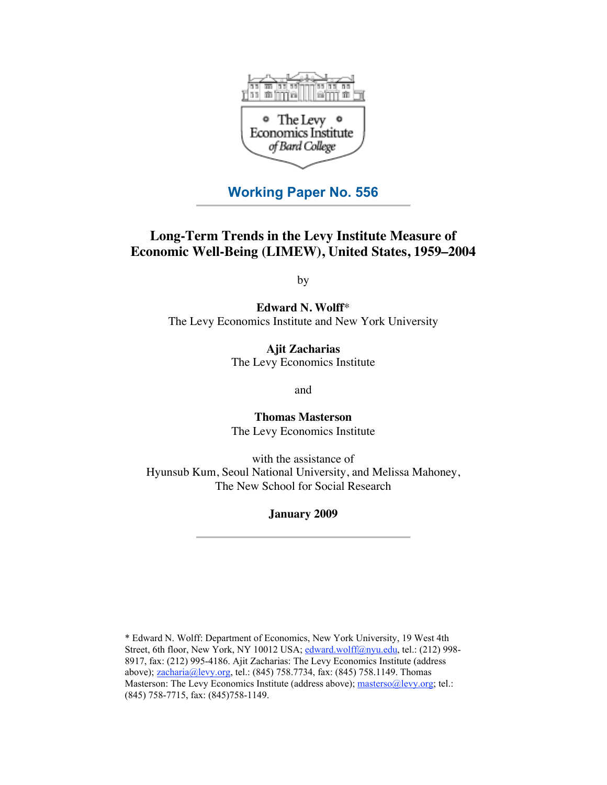

# **Working Paper No. 556**

# **Long-Term Trends in the Levy Institute Measure of Economic Well-Being (LIMEW), United States, 1959–2004**

by

**Edward N. Wolff**\* The Levy Economics Institute and New York University

> **Ajit Zacharias** The Levy Economics Institute

> > and

**Thomas Masterson** The Levy Economics Institute

with the assistance of Hyunsub Kum, Seoul National University, and Melissa Mahoney, The New School for Social Research

# **January 2009**

\* Edward N. Wolff: Department of Economics, New York University, 19 West 4th Street, 6th floor, New York, NY 10012 USA; [edward.wolff@nyu.edu,](mailto:edward.wolff@nyu.edu) tel.: (212) 998-8917, fax: (212) 995-4186. Ajit Zacharias: The Levy Economics Institute (address above); [zacharia@levy.org,](mailto:zacharia@levy.org) tel.: (845) 758.7734, fax: (845) 758.1149. Thomas Masterson: The Levy Economics Institute (address above); [masterso@levy.org;](mailto:masterso@levy.org) tel.: (845) 758-7715, fax: (845)758-1149.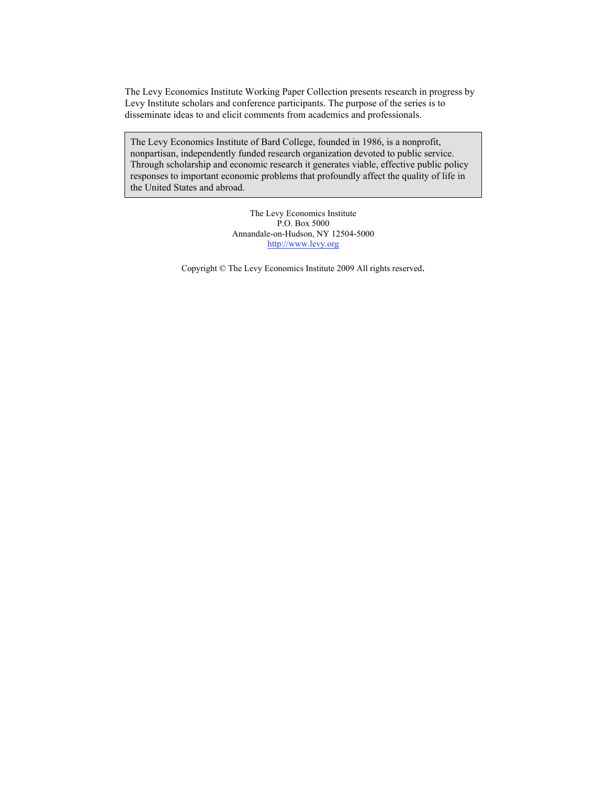The Levy Economics Institute Working Paper Collection presents research in progress by Levy Institute scholars and conference participants. The purpose of the series is to disseminate ideas to and elicit comments from academics and professionals.

The Levy Economics Institute of Bard College, founded in 1986, is a nonprofit, nonpartisan, independently funded research organization devoted to public service. Through scholarship and economic research it generates viable, effective public policy responses to important economic problems that profoundly affect the quality of life in the United States and abroad.

> The Levy Economics Institute P.O. Box 5000 Annandale-on-Hudson, NY 12504-5000 <http://www.levy.org>

Copyright © The Levy Economics Institute 2009 All rights reserved.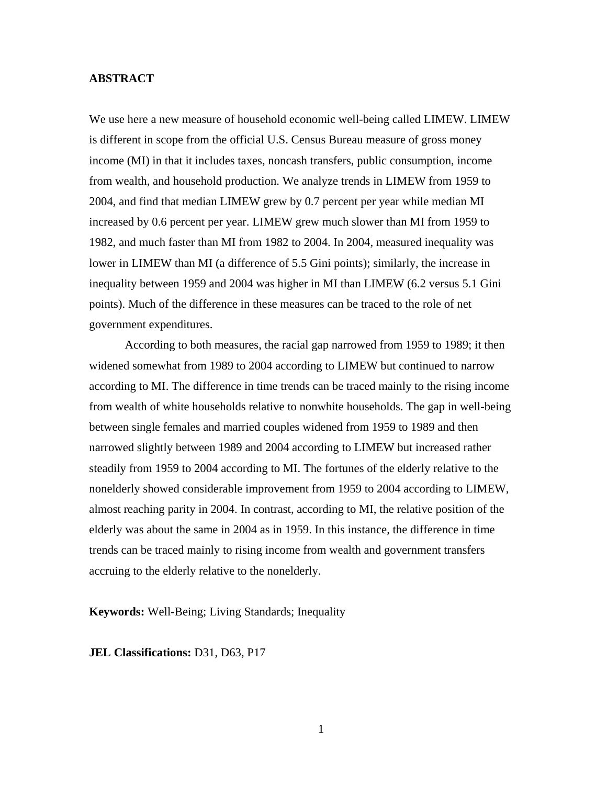# **ABSTRACT**

We use here a new measure of household economic well-being called LIMEW. LIMEW is different in scope from the official U.S. Census Bureau measure of gross money income (MI) in that it includes taxes, noncash transfers, public consumption, income from wealth, and household production. We analyze trends in LIMEW from 1959 to 2004, and find that median LIMEW grew by 0.7 percent per year while median MI increased by 0.6 percent per year. LIMEW grew much slower than MI from 1959 to 1982, and much faster than MI from 1982 to 2004. In 2004, measured inequality was lower in LIMEW than MI (a difference of 5.5 Gini points); similarly, the increase in inequality between 1959 and 2004 was higher in MI than LIMEW (6.2 versus 5.1 Gini points). Much of the difference in these measures can be traced to the role of net government expenditures.

According to both measures, the racial gap narrowed from 1959 to 1989; it then widened somewhat from 1989 to 2004 according to LIMEW but continued to narrow according to MI. The difference in time trends can be traced mainly to the rising income from wealth of white households relative to nonwhite households. The gap in well-being between single females and married couples widened from 1959 to 1989 and then narrowed slightly between 1989 and 2004 according to LIMEW but increased rather steadily from 1959 to 2004 according to MI. The fortunes of the elderly relative to the nonelderly showed considerable improvement from 1959 to 2004 according to LIMEW, almost reaching parity in 2004. In contrast, according to MI, the relative position of the elderly was about the same in 2004 as in 1959. In this instance, the difference in time trends can be traced mainly to rising income from wealth and government transfers accruing to the elderly relative to the nonelderly.

**Keywords:** Well-Being; Living Standards; Inequality

**JEL Classifications:** D31, D63, P17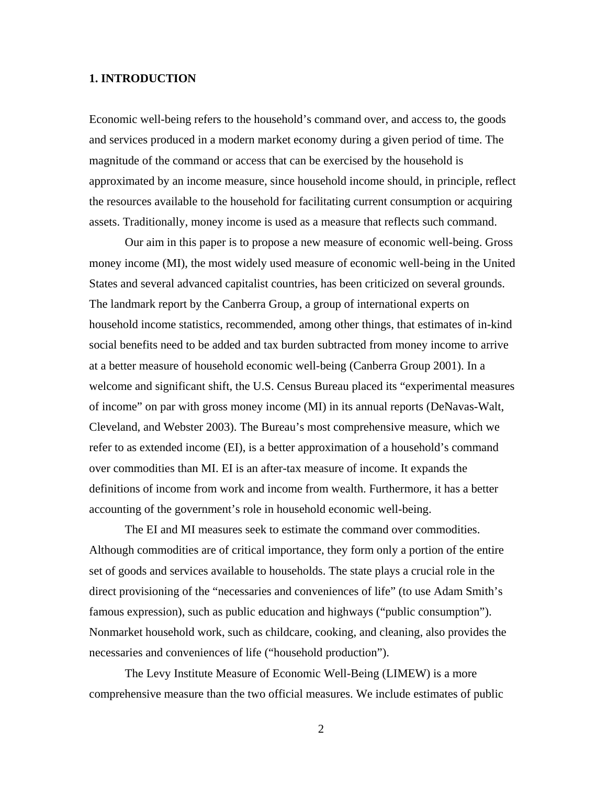# **1. INTRODUCTION**

Economic well-being refers to the household's command over, and access to, the goods and services produced in a modern market economy during a given period of time. The magnitude of the command or access that can be exercised by the household is approximated by an income measure, since household income should, in principle, reflect the resources available to the household for facilitating current consumption or acquiring assets. Traditionally, money income is used as a measure that reflects such command.

Our aim in this paper is to propose a new measure of economic well-being. Gross money income (MI), the most widely used measure of economic well-being in the United States and several advanced capitalist countries, has been criticized on several grounds. The landmark report by the Canberra Group, a group of international experts on household income statistics, recommended, among other things, that estimates of in-kind social benefits need to be added and tax burden subtracted from money income to arrive at a better measure of household economic well-being (Canberra Group 2001). In a welcome and significant shift, the U.S. Census Bureau placed its "experimental measures" of income" on par with gross money income (MI) in its annual reports (DeNavas-Walt, Cleveland, and Webster 2003). The Bureau's most comprehensive measure, which we refer to as extended income (EI), is a better approximation of a household's command over commodities than MI. EI is an after-tax measure of income. It expands the definitions of income from work and income from wealth. Furthermore, it has a better accounting of the government's role in household economic well-being.

The EI and MI measures seek to estimate the command over commodities. Although commodities are of critical importance, they form only a portion of the entire set of goods and services available to households. The state plays a crucial role in the direct provisioning of the "necessaries and conveniences of life" (to use Adam Smith's famous expression), such as public education and highways ("public consumption"). Nonmarket household work, such as childcare, cooking, and cleaning, also provides the necessaries and conveniences of life ("household production").

The Levy Institute Measure of Economic Well-Being (LIMEW) is a more comprehensive measure than the two official measures. We include estimates of public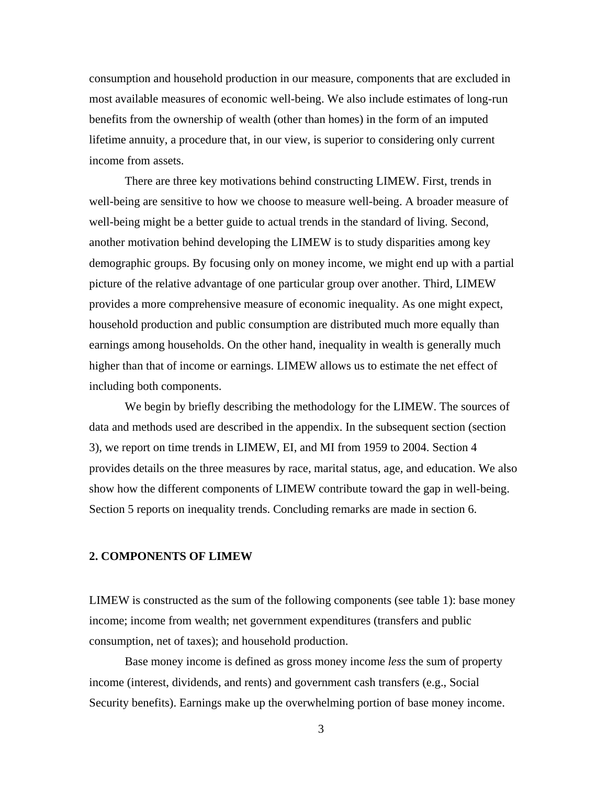consumption and household production in our measure, components that are excluded in most available measures of economic well-being. We also include estimates of long-run benefits from the ownership of wealth (other than homes) in the form of an imputed lifetime annuity, a procedure that, in our view, is superior to considering only current income from assets.

There are three key motivations behind constructing LIMEW. First, trends in well-being are sensitive to how we choose to measure well-being. A broader measure of well-being might be a better guide to actual trends in the standard of living. Second, another motivation behind developing the LIMEW is to study disparities among key demographic groups. By focusing only on money income, we might end up with a partial picture of the relative advantage of one particular group over another. Third, LIMEW provides a more comprehensive measure of economic inequality. As one might expect, household production and public consumption are distributed much more equally than earnings among households. On the other hand, inequality in wealth is generally much higher than that of income or earnings. LIMEW allows us to estimate the net effect of including both components.

We begin by briefly describing the methodology for the LIMEW. The sources of data and methods used are described in the appendix. In the subsequent section (section 3), we report on time trends in LIMEW, EI, and MI from 1959 to 2004. Section 4 provides details on the three measures by race, marital status, age, and education. We also show how the different components of LIMEW contribute toward the gap in well-being. Section 5 reports on inequality trends. Concluding remarks are made in section 6.

# **2. COMPONENTS OF LIMEW**

LIMEW is constructed as the sum of the following components (see table 1): base money income; income from wealth; net government expenditures (transfers and public consumption, net of taxes); and household production.

Base money income is defined as gross money income *less* the sum of property income (interest, dividends, and rents) and government cash transfers (e.g., Social Security benefits). Earnings make up the overwhelming portion of base money income.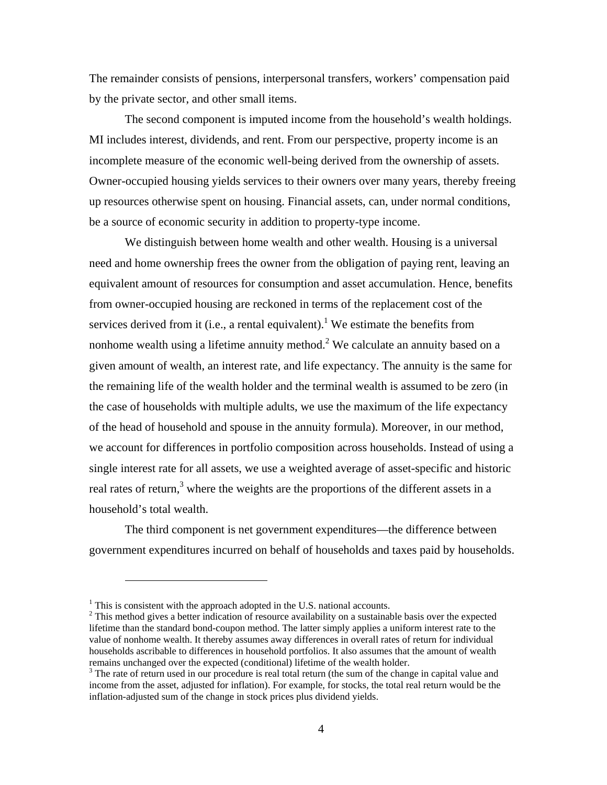The remainder consists of pensions, interpersonal transfers, workers' compensation paid by the private sector, and other small items.

The second component is imputed income from the household's wealth holdings. MI includes interest, dividends, and rent. From our perspective, property income is an incomplete measure of the economic well-being derived from the ownership of assets. Owner-occupied housing yields services to their owners over many years, thereby freeing up resources otherwise spent on housing. Financial assets, can, under normal conditions, be a source of economic security in addition to property-type income.

We distinguish between home wealth and other wealth. Housing is a universal need and home ownership frees the owner from the obligation of paying rent, leaving an equivalent amount of resources for consumption and asset accumulation. Hence, benefits from owner-occupied housing are reckoned in terms of the replacement cost of the services derived from it (i.e., a rental equivalent).<sup>1</sup> We estimate the benefits from nonhome wealth using a lifetime annuity method.<sup>2</sup> We calculate an annuity based on a given amount of wealth, an interest rate, and life expectancy. The annuity is the same for the remaining life of the wealth holder and the terminal wealth is assumed to be zero (in the case of households with multiple adults, we use the maximum of the life expectancy of the head of household and spouse in the annuity formula). Moreover, in our method, we account for differences in portfolio composition across households. Instead of using a single interest rate for all assets, we use a weighted average of asset-specific and historic real rates of return,<sup>3</sup> where the weights are the proportions of the different assets in a household's total wealth.

The third component is net government expenditures—the difference between government expenditures incurred on behalf of households and taxes paid by households.

 $<sup>1</sup>$  This is consistent with the approach adopted in the U.S. national accounts.</sup>

 $2$  This method gives a better indication of resource availability on a sustainable basis over the expected lifetime than the standard bond-coupon method. The latter simply applies a uniform interest rate to the value of nonhome wealth. It thereby assumes away differences in overall rates of return for individual households ascribable to differences in household portfolios. It also assumes that the amount of wealth remains unchanged over the expected (conditional) lifetime of the wealth holder.

<sup>&</sup>lt;sup>3</sup> The rate of return used in our procedure is real total return (the sum of the change in capital value and income from the asset, adjusted for inflation). For example, for stocks, the total real return would be the inflation-adjusted sum of the change in stock prices plus dividend yields.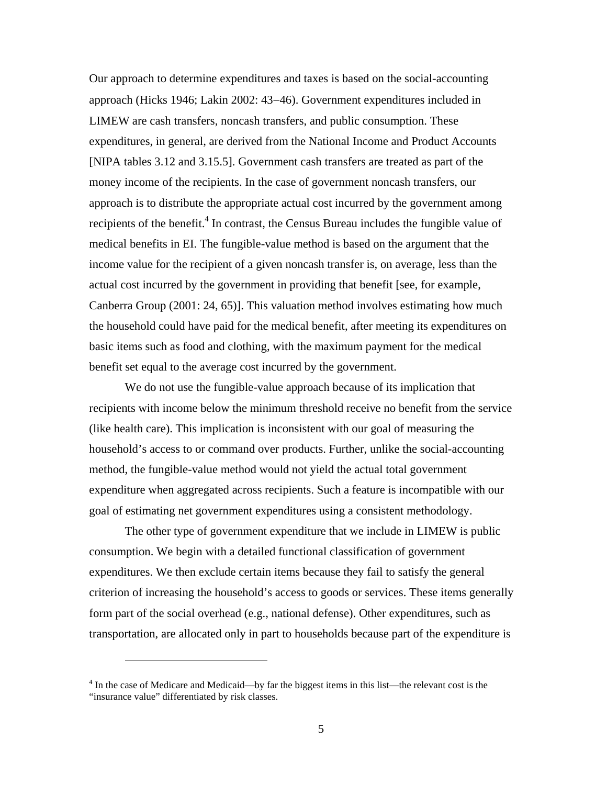Our approach to determine expenditures and taxes is based on the social-accounting approach (Hicks 1946; Lakin 2002: 43−46). Government expenditures included in LIMEW are cash transfers, noncash transfers, and public consumption. These expenditures, in general, are derived from the National Income and Product Accounts [NIPA tables 3.12 and 3.15.5]. Government cash transfers are treated as part of the money income of the recipients. In the case of government noncash transfers, our approach is to distribute the appropriate actual cost incurred by the government among recipients of the benefit.<sup>4</sup> In contrast, the Census Bureau includes the fungible value of medical benefits in EI. The fungible-value method is based on the argument that the income value for the recipient of a given noncash transfer is, on average, less than the actual cost incurred by the government in providing that benefit [see, for example, Canberra Group (2001: 24, 65)]. This valuation method involves estimating how much the household could have paid for the medical benefit, after meeting its expenditures on basic items such as food and clothing, with the maximum payment for the medical benefit set equal to the average cost incurred by the government.

We do not use the fungible-value approach because of its implication that recipients with income below the minimum threshold receive no benefit from the service (like health care). This implication is inconsistent with our goal of measuring the household's access to or command over products. Further, unlike the social-accounting method, the fungible-value method would not yield the actual total government expenditure when aggregated across recipients. Such a feature is incompatible with our goal of estimating net government expenditures using a consistent methodology.

The other type of government expenditure that we include in LIMEW is public consumption. We begin with a detailed functional classification of government expenditures. We then exclude certain items because they fail to satisfy the general criterion of increasing the household's access to goods or services. These items generally form part of the social overhead (e.g., national defense). Other expenditures, such as transportation, are allocated only in part to households because part of the expenditure is

<sup>&</sup>lt;sup>4</sup> In the case of Medicare and Medicaid—by far the biggest items in this list—the relevant cost is the "insurance value" differentiated by risk classes.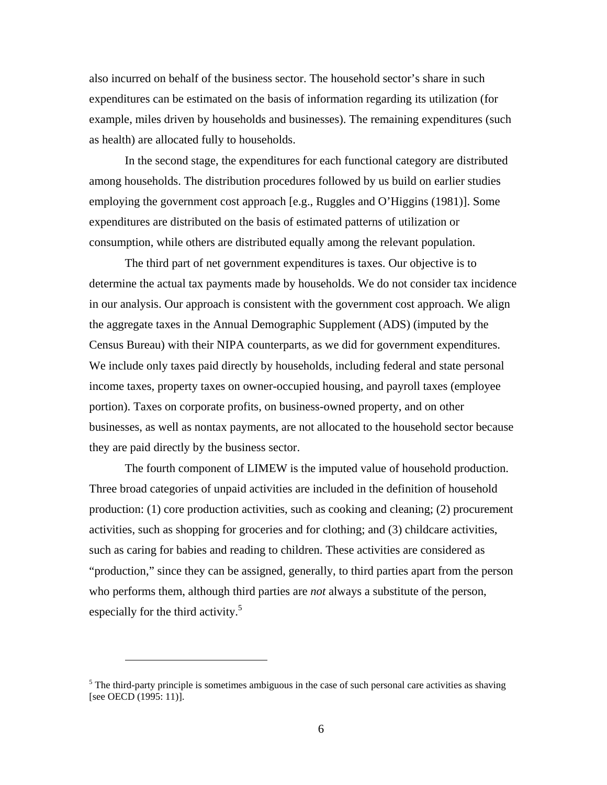also incurred on behalf of the business sector. The household sector's share in such expenditures can be estimated on the basis of information regarding its utilization (for example, miles driven by households and businesses). The remaining expenditures (such as health) are allocated fully to households.

In the second stage, the expenditures for each functional category are distributed among households. The distribution procedures followed by us build on earlier studies employing the government cost approach [e.g., Ruggles and O'Higgins (1981)]. Some expenditures are distributed on the basis of estimated patterns of utilization or consumption, while others are distributed equally among the relevant population.

The third part of net government expenditures is taxes. Our objective is to determine the actual tax payments made by households. We do not consider tax incidence in our analysis. Our approach is consistent with the government cost approach. We align the aggregate taxes in the Annual Demographic Supplement (ADS) (imputed by the Census Bureau) with their NIPA counterparts, as we did for government expenditures. We include only taxes paid directly by households, including federal and state personal income taxes, property taxes on owner-occupied housing, and payroll taxes (employee portion). Taxes on corporate profits, on business-owned property, and on other businesses, as well as nontax payments, are not allocated to the household sector because they are paid directly by the business sector.

The fourth component of LIMEW is the imputed value of household production. Three broad categories of unpaid activities are included in the definition of household production: (1) core production activities, such as cooking and cleaning; (2) procurement activities, such as shopping for groceries and for clothing; and (3) childcare activities, such as caring for babies and reading to children. These activities are considered as "production," since they can be assigned, generally, to third parties apart from the person who performs them, although third parties are *not* always a substitute of the person, especially for the third activity.<sup>5</sup>

<u>.</u>

 $<sup>5</sup>$  The third-party principle is sometimes ambiguous in the case of such personal care activities as shaving</sup> [see OECD (1995: 11)].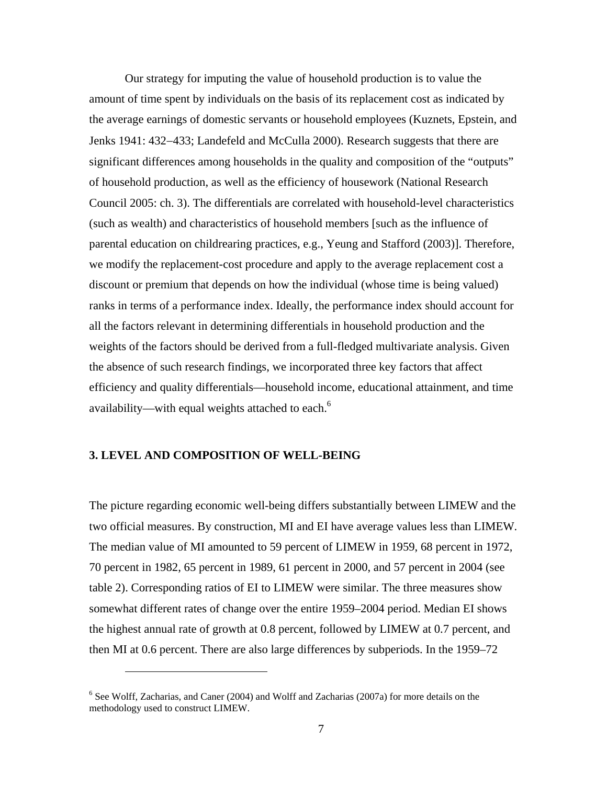Our strategy for imputing the value of household production is to value the amount of time spent by individuals on the basis of its replacement cost as indicated by the average earnings of domestic servants or household employees (Kuznets, Epstein, and Jenks 1941: 432−433; Landefeld and McCulla 2000). Research suggests that there are significant differences among households in the quality and composition of the "outputs" of household production, as well as the efficiency of housework (National Research Council 2005: ch. 3). The differentials are correlated with household-level characteristics (such as wealth) and characteristics of household members [such as the influence of parental education on childrearing practices, e.g., Yeung and Stafford (2003)]. Therefore, we modify the replacement-cost procedure and apply to the average replacement cost a discount or premium that depends on how the individual (whose time is being valued) ranks in terms of a performance index. Ideally, the performance index should account for all the factors relevant in determining differentials in household production and the weights of the factors should be derived from a full-fledged multivariate analysis. Given the absence of such research findings, we incorporated three key factors that affect efficiency and quality differentials—household income, educational attainment, and time availability—with equal weights attached to each. $^6$ 

#### **3. LEVEL AND COMPOSITION OF WELL-BEING**

 $\overline{a}$ 

The picture regarding economic well-being differs substantially between LIMEW and the two official measures. By construction, MI and EI have average values less than LIMEW. The median value of MI amounted to 59 percent of LIMEW in 1959, 68 percent in 1972, 70 percent in 1982, 65 percent in 1989, 61 percent in 2000, and 57 percent in 2004 (see table 2). Corresponding ratios of EI to LIMEW were similar. The three measures show somewhat different rates of change over the entire 1959–2004 period. Median EI shows the highest annual rate of growth at 0.8 percent, followed by LIMEW at 0.7 percent, and then MI at 0.6 percent. There are also large differences by subperiods. In the 1959–72

<sup>&</sup>lt;sup>6</sup> See Wolff, Zacharias, and Caner (2004) and Wolff and Zacharias (2007a) for more details on the methodology used to construct LIMEW.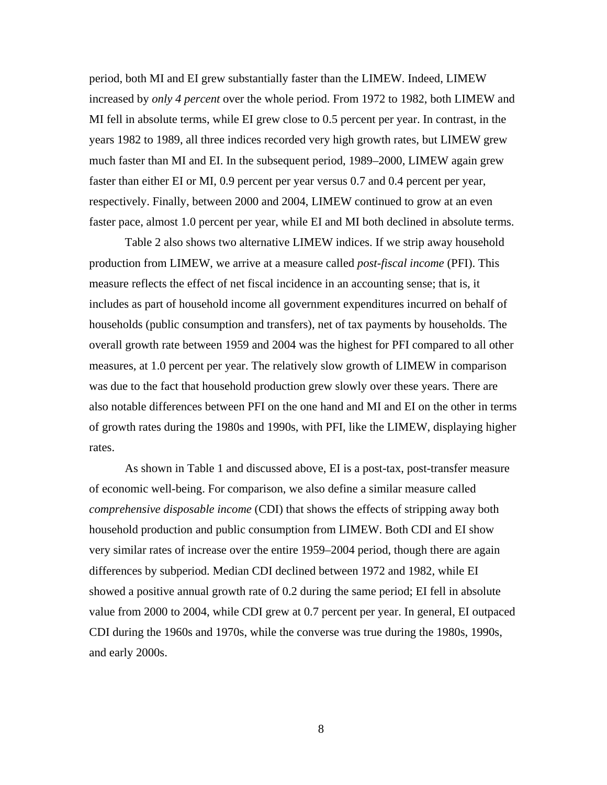period, both MI and EI grew substantially faster than the LIMEW. Indeed, LIMEW increased by *only 4 percent* over the whole period. From 1972 to 1982, both LIMEW and MI fell in absolute terms, while EI grew close to 0.5 percent per year. In contrast, in the years 1982 to 1989, all three indices recorded very high growth rates, but LIMEW grew much faster than MI and EI. In the subsequent period, 1989–2000, LIMEW again grew faster than either EI or MI, 0.9 percent per year versus 0.7 and 0.4 percent per year, respectively. Finally, between 2000 and 2004, LIMEW continued to grow at an even faster pace, almost 1.0 percent per year, while EI and MI both declined in absolute terms.

Table 2 also shows two alternative LIMEW indices. If we strip away household production from LIMEW, we arrive at a measure called *post-fiscal income* (PFI). This measure reflects the effect of net fiscal incidence in an accounting sense; that is, it includes as part of household income all government expenditures incurred on behalf of households (public consumption and transfers), net of tax payments by households. The overall growth rate between 1959 and 2004 was the highest for PFI compared to all other measures, at 1.0 percent per year. The relatively slow growth of LIMEW in comparison was due to the fact that household production grew slowly over these years. There are also notable differences between PFI on the one hand and MI and EI on the other in terms of growth rates during the 1980s and 1990s, with PFI, like the LIMEW, displaying higher rates.

As shown in Table 1 and discussed above, EI is a post-tax, post-transfer measure of economic well-being. For comparison, we also define a similar measure called *comprehensive disposable income* (CDI) that shows the effects of stripping away both household production and public consumption from LIMEW. Both CDI and EI show very similar rates of increase over the entire 1959–2004 period, though there are again differences by subperiod. Median CDI declined between 1972 and 1982, while EI showed a positive annual growth rate of 0.2 during the same period; EI fell in absolute value from 2000 to 2004, while CDI grew at 0.7 percent per year. In general, EI outpaced CDI during the 1960s and 1970s, while the converse was true during the 1980s, 1990s, and early 2000s.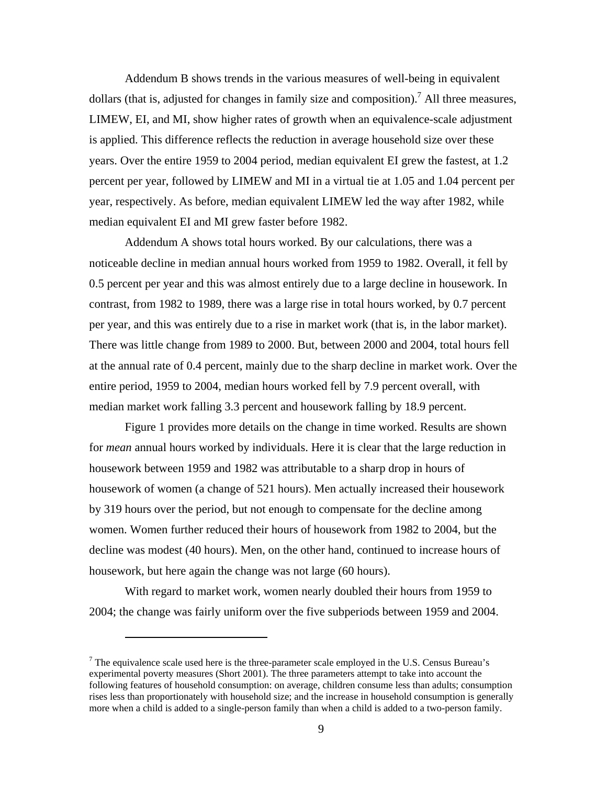Addendum B shows trends in the various measures of well-being in equivalent dollars (that is, adjusted for changes in family size and composition).<sup>7</sup> All three measures, LIMEW, EI, and MI, show higher rates of growth when an equivalence-scale adjustment is applied. This difference reflects the reduction in average household size over these years. Over the entire 1959 to 2004 period, median equivalent EI grew the fastest, at 1.2 percent per year, followed by LIMEW and MI in a virtual tie at 1.05 and 1.04 percent per year, respectively. As before, median equivalent LIMEW led the way after 1982, while median equivalent EI and MI grew faster before 1982.

Addendum A shows total hours worked. By our calculations, there was a noticeable decline in median annual hours worked from 1959 to 1982. Overall, it fell by 0.5 percent per year and this was almost entirely due to a large decline in housework. In contrast, from 1982 to 1989, there was a large rise in total hours worked, by 0.7 percent per year, and this was entirely due to a rise in market work (that is, in the labor market). There was little change from 1989 to 2000. But, between 2000 and 2004, total hours fell at the annual rate of 0.4 percent, mainly due to the sharp decline in market work. Over the entire period, 1959 to 2004, median hours worked fell by 7.9 percent overall, with median market work falling 3.3 percent and housework falling by 18.9 percent.

Figure 1 provides more details on the change in time worked. Results are shown for *mean* annual hours worked by individuals. Here it is clear that the large reduction in housework between 1959 and 1982 was attributable to a sharp drop in hours of housework of women (a change of 521 hours). Men actually increased their housework by 319 hours over the period, but not enough to compensate for the decline among women. Women further reduced their hours of housework from 1982 to 2004, but the decline was modest (40 hours). Men, on the other hand, continued to increase hours of housework, but here again the change was not large (60 hours).

With regard to market work, women nearly doubled their hours from 1959 to 2004; the change was fairly uniform over the five subperiods between 1959 and 2004.

<sup>&</sup>lt;sup>7</sup> The equivalence scale used here is the three-parameter scale employed in the U.S. Census Bureau's experimental poverty measures (Short 2001). The three parameters attempt to take into account the following features of household consumption: on average, children consume less than adults; consumption rises less than proportionately with household size; and the increase in household consumption is generally more when a child is added to a single-person family than when a child is added to a two-person family.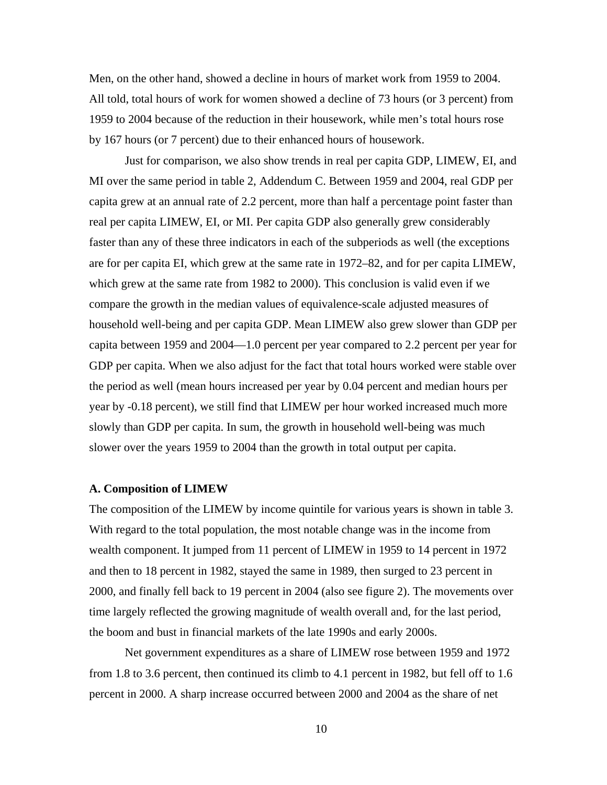Men, on the other hand, showed a decline in hours of market work from 1959 to 2004. All told, total hours of work for women showed a decline of 73 hours (or 3 percent) from 1959 to 2004 because of the reduction in their housework, while men's total hours rose by 167 hours (or 7 percent) due to their enhanced hours of housework.

Just for comparison, we also show trends in real per capita GDP, LIMEW, EI, and MI over the same period in table 2, Addendum C. Between 1959 and 2004, real GDP per capita grew at an annual rate of 2.2 percent, more than half a percentage point faster than real per capita LIMEW, EI, or MI. Per capita GDP also generally grew considerably faster than any of these three indicators in each of the subperiods as well (the exceptions are for per capita EI, which grew at the same rate in 1972–82, and for per capita LIMEW, which grew at the same rate from 1982 to 2000). This conclusion is valid even if we compare the growth in the median values of equivalence-scale adjusted measures of household well-being and per capita GDP. Mean LIMEW also grew slower than GDP per capita between 1959 and 2004—1.0 percent per year compared to 2.2 percent per year for GDP per capita. When we also adjust for the fact that total hours worked were stable over the period as well (mean hours increased per year by 0.04 percent and median hours per year by -0.18 percent), we still find that LIMEW per hour worked increased much more slowly than GDP per capita. In sum, the growth in household well-being was much slower over the years 1959 to 2004 than the growth in total output per capita.

#### **A. Composition of LIMEW**

The composition of the LIMEW by income quintile for various years is shown in table 3. With regard to the total population, the most notable change was in the income from wealth component. It jumped from 11 percent of LIMEW in 1959 to 14 percent in 1972 and then to 18 percent in 1982, stayed the same in 1989, then surged to 23 percent in 2000, and finally fell back to 19 percent in 2004 (also see figure 2). The movements over time largely reflected the growing magnitude of wealth overall and, for the last period, the boom and bust in financial markets of the late 1990s and early 2000s.

Net government expenditures as a share of LIMEW rose between 1959 and 1972 from 1.8 to 3.6 percent, then continued its climb to 4.1 percent in 1982, but fell off to 1.6 percent in 2000. A sharp increase occurred between 2000 and 2004 as the share of net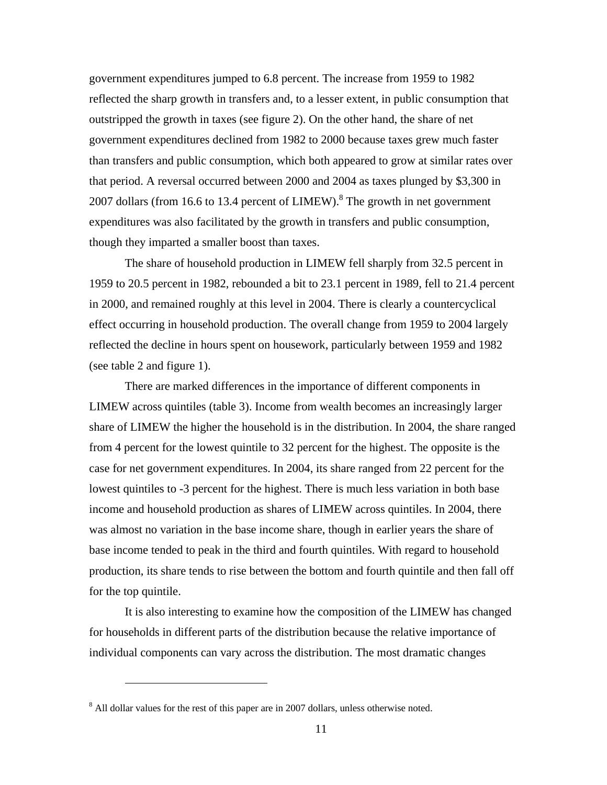government expenditures jumped to 6.8 percent. The increase from 1959 to 1982 reflected the sharp growth in transfers and, to a lesser extent, in public consumption that outstripped the growth in taxes (see figure 2). On the other hand, the share of net government expenditures declined from 1982 to 2000 because taxes grew much faster than transfers and public consumption, which both appeared to grow at similar rates over that period. A reversal occurred between 2000 and 2004 as taxes plunged by \$3,300 in 2007 dollars (from 16.6 to 13.4 percent of LIMEW).<sup>8</sup> The growth in net government expenditures was also facilitated by the growth in transfers and public consumption, though they imparted a smaller boost than taxes.

The share of household production in LIMEW fell sharply from 32.5 percent in 1959 to 20.5 percent in 1982, rebounded a bit to 23.1 percent in 1989, fell to 21.4 percent in 2000, and remained roughly at this level in 2004. There is clearly a countercyclical effect occurring in household production. The overall change from 1959 to 2004 largely reflected the decline in hours spent on housework, particularly between 1959 and 1982 (see table 2 and figure 1).

There are marked differences in the importance of different components in LIMEW across quintiles (table 3). Income from wealth becomes an increasingly larger share of LIMEW the higher the household is in the distribution. In 2004, the share ranged from 4 percent for the lowest quintile to 32 percent for the highest. The opposite is the case for net government expenditures. In 2004, its share ranged from 22 percent for the lowest quintiles to -3 percent for the highest. There is much less variation in both base income and household production as shares of LIMEW across quintiles. In 2004, there was almost no variation in the base income share, though in earlier years the share of base income tended to peak in the third and fourth quintiles. With regard to household production, its share tends to rise between the bottom and fourth quintile and then fall off for the top quintile.

It is also interesting to examine how the composition of the LIMEW has changed for households in different parts of the distribution because the relative importance of individual components can vary across the distribution. The most dramatic changes

 $8$  All dollar values for the rest of this paper are in 2007 dollars, unless otherwise noted.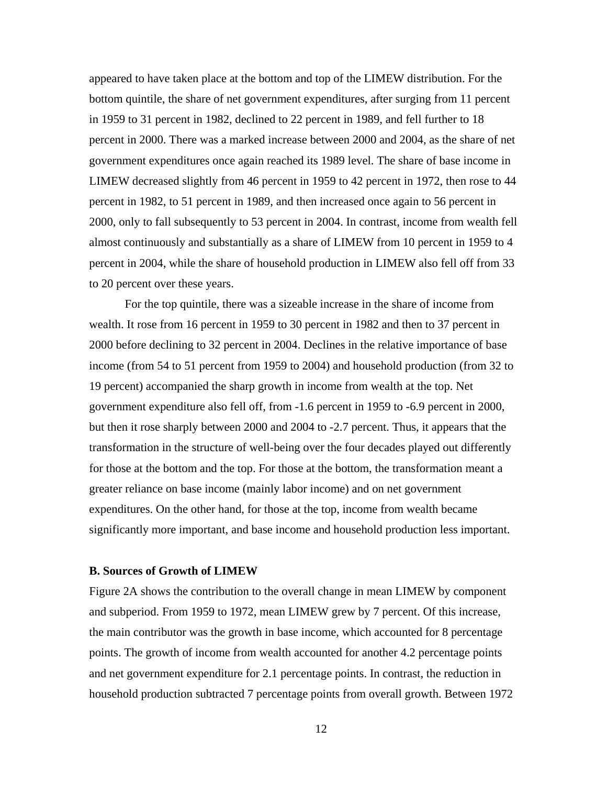appeared to have taken place at the bottom and top of the LIMEW distribution. For the bottom quintile, the share of net government expenditures, after surging from 11 percent in 1959 to 31 percent in 1982, declined to 22 percent in 1989, and fell further to 18 percent in 2000. There was a marked increase between 2000 and 2004, as the share of net government expenditures once again reached its 1989 level. The share of base income in LIMEW decreased slightly from 46 percent in 1959 to 42 percent in 1972, then rose to 44 percent in 1982, to 51 percent in 1989, and then increased once again to 56 percent in 2000, only to fall subsequently to 53 percent in 2004. In contrast, income from wealth fell almost continuously and substantially as a share of LIMEW from 10 percent in 1959 to 4 percent in 2004, while the share of household production in LIMEW also fell off from 33 to 20 percent over these years.

For the top quintile, there was a sizeable increase in the share of income from wealth. It rose from 16 percent in 1959 to 30 percent in 1982 and then to 37 percent in 2000 before declining to 32 percent in 2004. Declines in the relative importance of base income (from 54 to 51 percent from 1959 to 2004) and household production (from 32 to 19 percent) accompanied the sharp growth in income from wealth at the top. Net government expenditure also fell off, from -1.6 percent in 1959 to -6.9 percent in 2000, but then it rose sharply between 2000 and 2004 to -2.7 percent. Thus, it appears that the transformation in the structure of well-being over the four decades played out differently for those at the bottom and the top. For those at the bottom, the transformation meant a greater reliance on base income (mainly labor income) and on net government expenditures. On the other hand, for those at the top, income from wealth became significantly more important, and base income and household production less important.

#### **B. Sources of Growth of LIMEW**

Figure 2A shows the contribution to the overall change in mean LIMEW by component and subperiod. From 1959 to 1972, mean LIMEW grew by 7 percent. Of this increase, the main contributor was the growth in base income, which accounted for 8 percentage points. The growth of income from wealth accounted for another 4.2 percentage points and net government expenditure for 2.1 percentage points. In contrast, the reduction in household production subtracted 7 percentage points from overall growth. Between 1972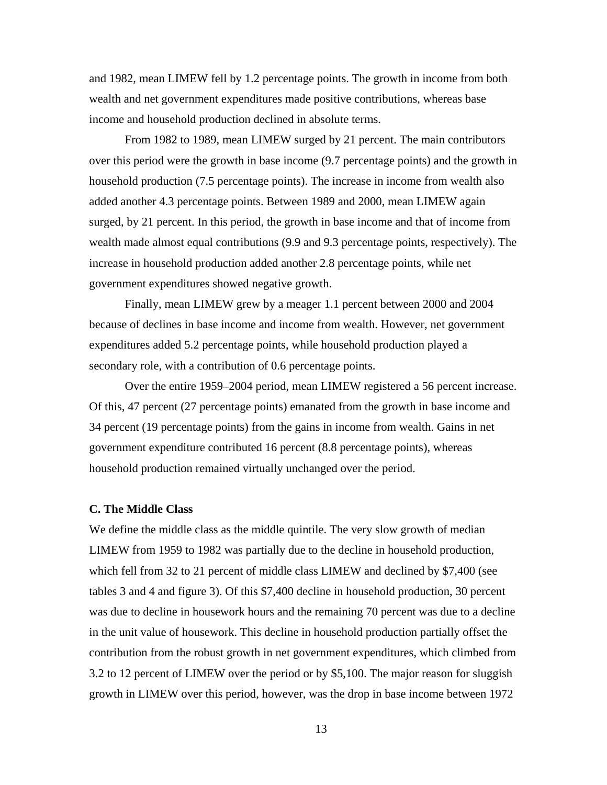and 1982, mean LIMEW fell by 1.2 percentage points. The growth in income from both wealth and net government expenditures made positive contributions, whereas base income and household production declined in absolute terms.

From 1982 to 1989, mean LIMEW surged by 21 percent. The main contributors over this period were the growth in base income (9.7 percentage points) and the growth in household production (7.5 percentage points). The increase in income from wealth also added another 4.3 percentage points. Between 1989 and 2000, mean LIMEW again surged, by 21 percent. In this period, the growth in base income and that of income from wealth made almost equal contributions (9.9 and 9.3 percentage points, respectively). The increase in household production added another 2.8 percentage points, while net government expenditures showed negative growth.

Finally, mean LIMEW grew by a meager 1.1 percent between 2000 and 2004 because of declines in base income and income from wealth. However, net government expenditures added 5.2 percentage points, while household production played a secondary role, with a contribution of 0.6 percentage points.

 Over the entire 1959–2004 period, mean LIMEW registered a 56 percent increase. Of this, 47 percent (27 percentage points) emanated from the growth in base income and 34 percent (19 percentage points) from the gains in income from wealth. Gains in net government expenditure contributed 16 percent (8.8 percentage points), whereas household production remained virtually unchanged over the period.

## **C. The Middle Class**

We define the middle class as the middle quintile. The very slow growth of median LIMEW from 1959 to 1982 was partially due to the decline in household production, which fell from 32 to 21 percent of middle class LIMEW and declined by \$7,400 (see tables 3 and 4 and figure 3). Of this \$7,400 decline in household production, 30 percent was due to decline in housework hours and the remaining 70 percent was due to a decline in the unit value of housework. This decline in household production partially offset the contribution from the robust growth in net government expenditures, which climbed from 3.2 to 12 percent of LIMEW over the period or by \$5,100. The major reason for sluggish growth in LIMEW over this period, however, was the drop in base income between 1972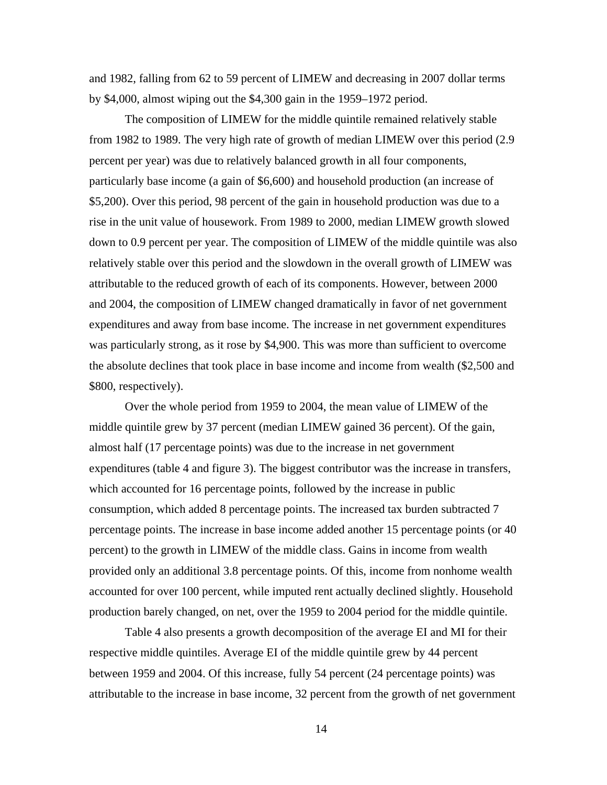and 1982, falling from 62 to 59 percent of LIMEW and decreasing in 2007 dollar terms by \$4,000, almost wiping out the \$4,300 gain in the 1959–1972 period.

The composition of LIMEW for the middle quintile remained relatively stable from 1982 to 1989. The very high rate of growth of median LIMEW over this period (2.9 percent per year) was due to relatively balanced growth in all four components, particularly base income (a gain of \$6,600) and household production (an increase of \$5,200). Over this period, 98 percent of the gain in household production was due to a rise in the unit value of housework. From 1989 to 2000, median LIMEW growth slowed down to 0.9 percent per year. The composition of LIMEW of the middle quintile was also relatively stable over this period and the slowdown in the overall growth of LIMEW was attributable to the reduced growth of each of its components. However, between 2000 and 2004, the composition of LIMEW changed dramatically in favor of net government expenditures and away from base income. The increase in net government expenditures was particularly strong, as it rose by \$4,900. This was more than sufficient to overcome the absolute declines that took place in base income and income from wealth (\$2,500 and \$800, respectively).

Over the whole period from 1959 to 2004, the mean value of LIMEW of the middle quintile grew by 37 percent (median LIMEW gained 36 percent). Of the gain, almost half (17 percentage points) was due to the increase in net government expenditures (table 4 and figure 3). The biggest contributor was the increase in transfers, which accounted for 16 percentage points, followed by the increase in public consumption, which added 8 percentage points. The increased tax burden subtracted 7 percentage points. The increase in base income added another 15 percentage points (or 40 percent) to the growth in LIMEW of the middle class. Gains in income from wealth provided only an additional 3.8 percentage points. Of this, income from nonhome wealth accounted for over 100 percent, while imputed rent actually declined slightly. Household production barely changed, on net, over the 1959 to 2004 period for the middle quintile.

Table 4 also presents a growth decomposition of the average EI and MI for their respective middle quintiles. Average EI of the middle quintile grew by 44 percent between 1959 and 2004. Of this increase, fully 54 percent (24 percentage points) was attributable to the increase in base income, 32 percent from the growth of net government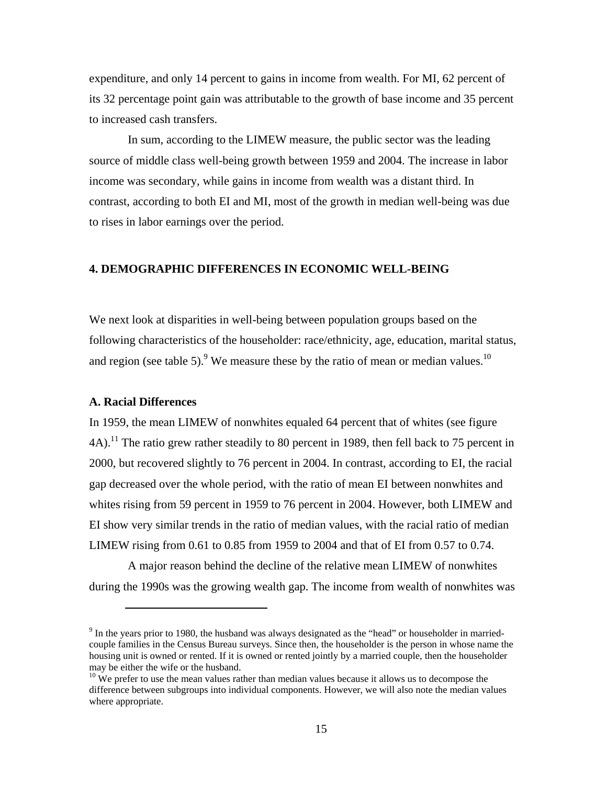expenditure, and only 14 percent to gains in income from wealth. For MI, 62 percent of its 32 percentage point gain was attributable to the growth of base income and 35 percent to increased cash transfers.

 In sum, according to the LIMEW measure, the public sector was the leading source of middle class well-being growth between 1959 and 2004. The increase in labor income was secondary, while gains in income from wealth was a distant third. In contrast, according to both EI and MI, most of the growth in median well-being was due to rises in labor earnings over the period.

# **4. DEMOGRAPHIC DIFFERENCES IN ECONOMIC WELL-BEING**

We next look at disparities in well-being between population groups based on the following characteristics of the householder: race/ethnicity, age, education, marital status, and region (see table 5).<sup>9</sup> We measure these by the ratio of mean or median values.<sup>10</sup>

#### **A. Racial Differences**

 $\overline{a}$ 

In 1959, the mean LIMEW of nonwhites equaled 64 percent that of whites (see figure  $4A$ ).<sup>11</sup> The ratio grew rather steadily to 80 percent in 1989, then fell back to 75 percent in 2000, but recovered slightly to 76 percent in 2004. In contrast, according to EI, the racial gap decreased over the whole period, with the ratio of mean EI between nonwhites and whites rising from 59 percent in 1959 to 76 percent in 2004. However, both LIMEW and EI show very similar trends in the ratio of median values, with the racial ratio of median LIMEW rising from 0.61 to 0.85 from 1959 to 2004 and that of EI from 0.57 to 0.74.

 A major reason behind the decline of the relative mean LIMEW of nonwhites during the 1990s was the growing wealth gap. The income from wealth of nonwhites was

 $9$  In the years prior to 1980, the husband was always designated as the "head" or householder in marriedcouple families in the Census Bureau surveys. Since then, the householder is the person in whose name the housing unit is owned or rented. If it is owned or rented jointly by a married couple, then the householder may be either the wife or the husband.

 $10$  We prefer to use the mean values rather than median values because it allows us to decompose the difference between subgroups into individual components. However, we will also note the median values where appropriate.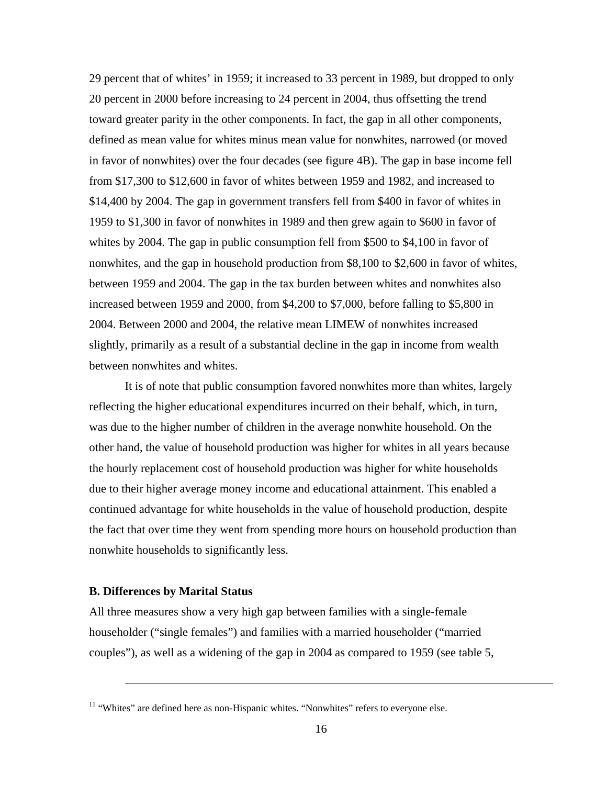29 percent that of whites' in 1959; it increased to 33 percent in 1989, but dropped to only 20 percent in 2000 before increasing to 24 percent in 2004, thus offsetting the trend toward greater parity in the other components. In fact, the gap in all other components, defined as mean value for whites minus mean value for nonwhites, narrowed (or moved in favor of nonwhites) over the four decades (see figure 4B). The gap in base income fell from \$17,300 to \$12,600 in favor of whites between 1959 and 1982, and increased to \$14,400 by 2004. The gap in government transfers fell from \$400 in favor of whites in 1959 to \$1,300 in favor of nonwhites in 1989 and then grew again to \$600 in favor of whites by 2004. The gap in public consumption fell from \$500 to \$4,100 in favor of nonwhites, and the gap in household production from \$8,100 to \$2,600 in favor of whites, between 1959 and 2004. The gap in the tax burden between whites and nonwhites also increased between 1959 and 2000, from \$4,200 to \$7,000, before falling to \$5,800 in 2004. Between 2000 and 2004, the relative mean LIMEW of nonwhites increased slightly, primarily as a result of a substantial decline in the gap in income from wealth between nonwhites and whites.

It is of note that public consumption favored nonwhites more than whites, largely reflecting the higher educational expenditures incurred on their behalf, which, in turn, was due to the higher number of children in the average nonwhite household. On the other hand, the value of household production was higher for whites in all years because the hourly replacement cost of household production was higher for white households due to their higher average money income and educational attainment. This enabled a continued advantage for white households in the value of household production, despite the fact that over time they went from spending more hours on household production than nonwhite households to significantly less.

#### **B. Differences by Marital Status**

 $\overline{a}$ 

All three measures show a very high gap between families with a single-female householder ("single females") and families with a married householder ("married couples"), as well as a widening of the gap in 2004 as compared to 1959 (see table 5,

<sup>&</sup>lt;sup>11</sup> "Whites" are defined here as non-Hispanic whites. "Nonwhites" refers to everyone else.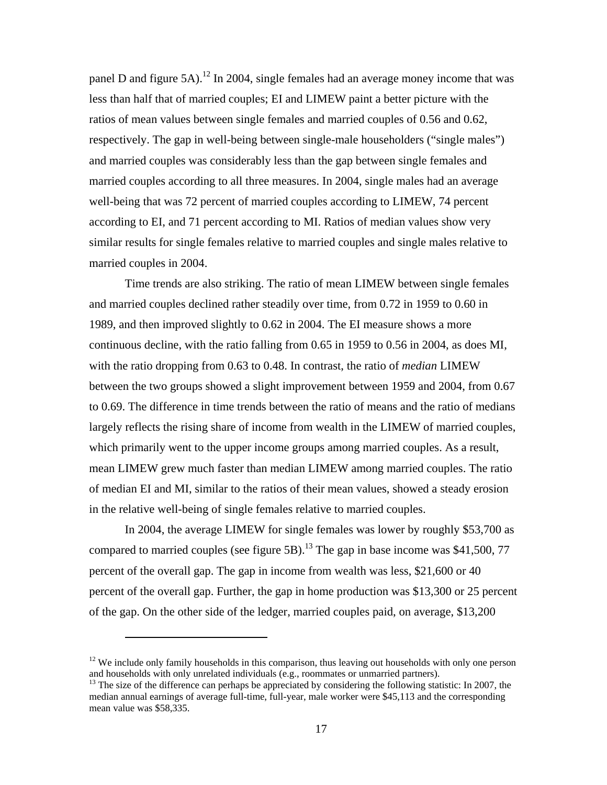panel D and figure 5A).<sup>12</sup> In 2004, single females had an average money income that was less than half that of married couples; EI and LIMEW paint a better picture with the ratios of mean values between single females and married couples of 0.56 and 0.62, respectively. The gap in well-being between single-male householders ("single males") and married couples was considerably less than the gap between single females and married couples according to all three measures. In 2004, single males had an average well-being that was 72 percent of married couples according to LIMEW, 74 percent according to EI, and 71 percent according to MI. Ratios of median values show very similar results for single females relative to married couples and single males relative to married couples in 2004.

Time trends are also striking. The ratio of mean LIMEW between single females and married couples declined rather steadily over time, from 0.72 in 1959 to 0.60 in 1989, and then improved slightly to 0.62 in 2004. The EI measure shows a more continuous decline, with the ratio falling from 0.65 in 1959 to 0.56 in 2004, as does MI, with the ratio dropping from 0.63 to 0.48. In contrast, the ratio of *median* LIMEW between the two groups showed a slight improvement between 1959 and 2004, from 0.67 to 0.69. The difference in time trends between the ratio of means and the ratio of medians largely reflects the rising share of income from wealth in the LIMEW of married couples, which primarily went to the upper income groups among married couples. As a result, mean LIMEW grew much faster than median LIMEW among married couples. The ratio of median EI and MI, similar to the ratios of their mean values, showed a steady erosion in the relative well-being of single females relative to married couples.

In 2004, the average LIMEW for single females was lower by roughly \$53,700 as compared to married couples (see figure 5B).<sup>13</sup> The gap in base income was \$41,500, 77 percent of the overall gap. The gap in income from wealth was less, \$21,600 or 40 percent of the overall gap. Further, the gap in home production was \$13,300 or 25 percent of the gap. On the other side of the ledger, married couples paid, on average, \$13,200

<sup>&</sup>lt;sup>12</sup> We include only family households in this comparison, thus leaving out households with only one person and households with only unrelated individuals (e.g., roommates or unmarried partners).

<sup>&</sup>lt;sup>13</sup> The size of the difference can perhaps be appreciated by considering the following statistic: In 2007, the median annual earnings of average full-time, full-year, male worker were \$45,113 and the corresponding mean value was \$58,335.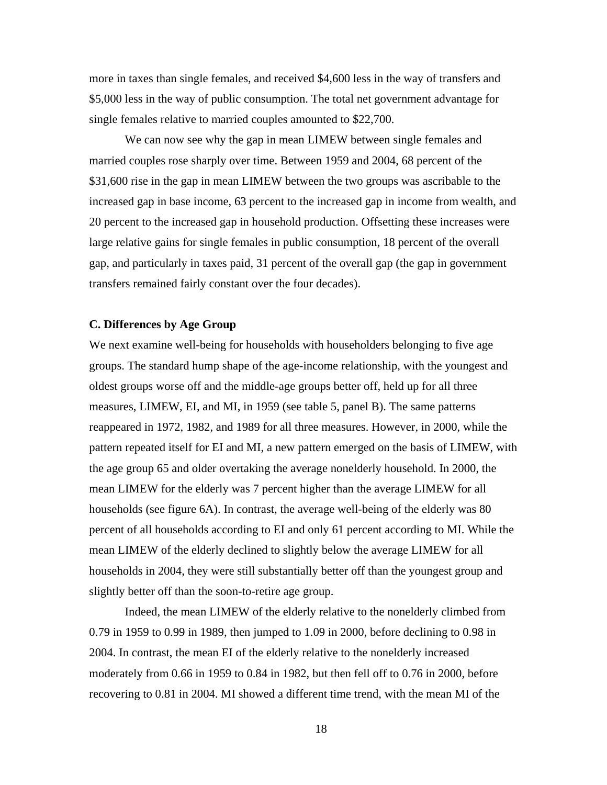more in taxes than single females, and received \$4,600 less in the way of transfers and \$5,000 less in the way of public consumption. The total net government advantage for single females relative to married couples amounted to \$22,700.

We can now see why the gap in mean LIMEW between single females and married couples rose sharply over time. Between 1959 and 2004, 68 percent of the \$31,600 rise in the gap in mean LIMEW between the two groups was ascribable to the increased gap in base income, 63 percent to the increased gap in income from wealth, and 20 percent to the increased gap in household production. Offsetting these increases were large relative gains for single females in public consumption, 18 percent of the overall gap, and particularly in taxes paid, 31 percent of the overall gap (the gap in government transfers remained fairly constant over the four decades).

#### **C. Differences by Age Group**

We next examine well-being for households with householders belonging to five age groups. The standard hump shape of the age-income relationship, with the youngest and oldest groups worse off and the middle-age groups better off, held up for all three measures, LIMEW, EI, and MI, in 1959 (see table 5, panel B). The same patterns reappeared in 1972, 1982, and 1989 for all three measures. However, in 2000, while the pattern repeated itself for EI and MI, a new pattern emerged on the basis of LIMEW, with the age group 65 and older overtaking the average nonelderly household. In 2000, the mean LIMEW for the elderly was 7 percent higher than the average LIMEW for all households (see figure 6A). In contrast, the average well-being of the elderly was 80 percent of all households according to EI and only 61 percent according to MI. While the mean LIMEW of the elderly declined to slightly below the average LIMEW for all households in 2004, they were still substantially better off than the youngest group and slightly better off than the soon-to-retire age group.

Indeed, the mean LIMEW of the elderly relative to the nonelderly climbed from 0.79 in 1959 to 0.99 in 1989, then jumped to 1.09 in 2000, before declining to 0.98 in 2004. In contrast, the mean EI of the elderly relative to the nonelderly increased moderately from 0.66 in 1959 to 0.84 in 1982, but then fell off to 0.76 in 2000, before recovering to 0.81 in 2004. MI showed a different time trend, with the mean MI of the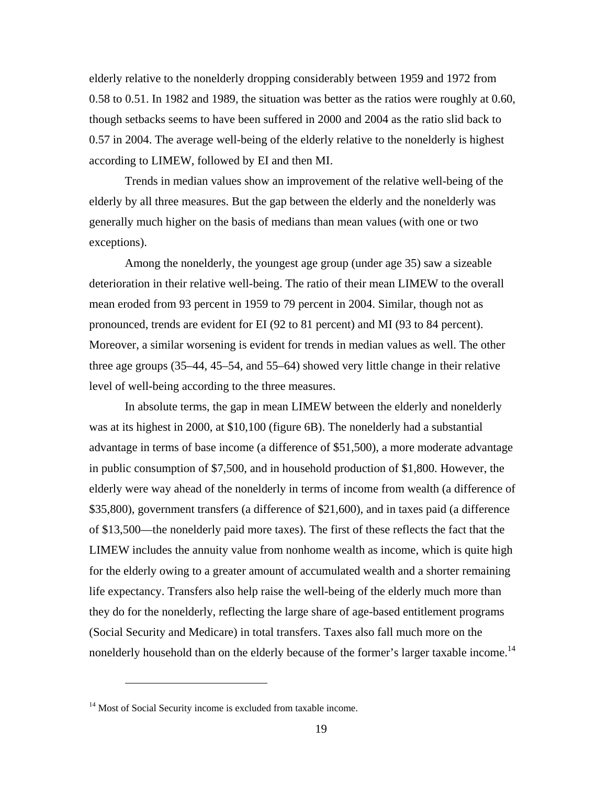elderly relative to the nonelderly dropping considerably between 1959 and 1972 from 0.58 to 0.51. In 1982 and 1989, the situation was better as the ratios were roughly at 0.60, though setbacks seems to have been suffered in 2000 and 2004 as the ratio slid back to 0.57 in 2004. The average well-being of the elderly relative to the nonelderly is highest according to LIMEW, followed by EI and then MI.

Trends in median values show an improvement of the relative well-being of the elderly by all three measures. But the gap between the elderly and the nonelderly was generally much higher on the basis of medians than mean values (with one or two exceptions).

Among the nonelderly, the youngest age group (under age 35) saw a sizeable deterioration in their relative well-being. The ratio of their mean LIMEW to the overall mean eroded from 93 percent in 1959 to 79 percent in 2004. Similar, though not as pronounced, trends are evident for EI (92 to 81 percent) and MI (93 to 84 percent). Moreover, a similar worsening is evident for trends in median values as well. The other three age groups (35–44, 45–54, and 55–64) showed very little change in their relative level of well-being according to the three measures.

In absolute terms, the gap in mean LIMEW between the elderly and nonelderly was at its highest in 2000, at \$10,100 (figure 6B). The nonelderly had a substantial advantage in terms of base income (a difference of \$51,500), a more moderate advantage in public consumption of \$7,500, and in household production of \$1,800. However, the elderly were way ahead of the nonelderly in terms of income from wealth (a difference of \$35,800), government transfers (a difference of \$21,600), and in taxes paid (a difference of \$13,500—the nonelderly paid more taxes). The first of these reflects the fact that the LIMEW includes the annuity value from nonhome wealth as income, which is quite high for the elderly owing to a greater amount of accumulated wealth and a shorter remaining life expectancy. Transfers also help raise the well-being of the elderly much more than they do for the nonelderly, reflecting the large share of age-based entitlement programs (Social Security and Medicare) in total transfers. Taxes also fall much more on the nonelderly household than on the elderly because of the former's larger taxable income.<sup>14</sup>

<sup>&</sup>lt;sup>14</sup> Most of Social Security income is excluded from taxable income.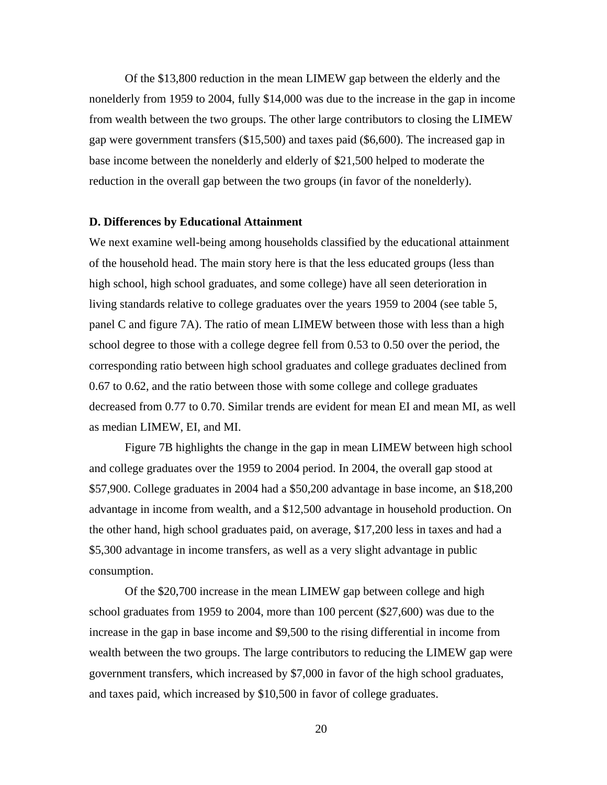Of the \$13,800 reduction in the mean LIMEW gap between the elderly and the nonelderly from 1959 to 2004, fully \$14,000 was due to the increase in the gap in income from wealth between the two groups. The other large contributors to closing the LIMEW gap were government transfers (\$15,500) and taxes paid (\$6,600). The increased gap in base income between the nonelderly and elderly of \$21,500 helped to moderate the reduction in the overall gap between the two groups (in favor of the nonelderly).

#### **D. Differences by Educational Attainment**

We next examine well-being among households classified by the educational attainment of the household head. The main story here is that the less educated groups (less than high school, high school graduates, and some college) have all seen deterioration in living standards relative to college graduates over the years 1959 to 2004 (see table 5, panel C and figure 7A). The ratio of mean LIMEW between those with less than a high school degree to those with a college degree fell from 0.53 to 0.50 over the period, the corresponding ratio between high school graduates and college graduates declined from 0.67 to 0.62, and the ratio between those with some college and college graduates decreased from 0.77 to 0.70. Similar trends are evident for mean EI and mean MI, as well as median LIMEW, EI, and MI.

Figure 7B highlights the change in the gap in mean LIMEW between high school and college graduates over the 1959 to 2004 period. In 2004, the overall gap stood at \$57,900. College graduates in 2004 had a \$50,200 advantage in base income, an \$18,200 advantage in income from wealth, and a \$12,500 advantage in household production. On the other hand, high school graduates paid, on average, \$17,200 less in taxes and had a \$5,300 advantage in income transfers, as well as a very slight advantage in public consumption.

Of the \$20,700 increase in the mean LIMEW gap between college and high school graduates from 1959 to 2004, more than 100 percent (\$27,600) was due to the increase in the gap in base income and \$9,500 to the rising differential in income from wealth between the two groups. The large contributors to reducing the LIMEW gap were government transfers, which increased by \$7,000 in favor of the high school graduates, and taxes paid, which increased by \$10,500 in favor of college graduates.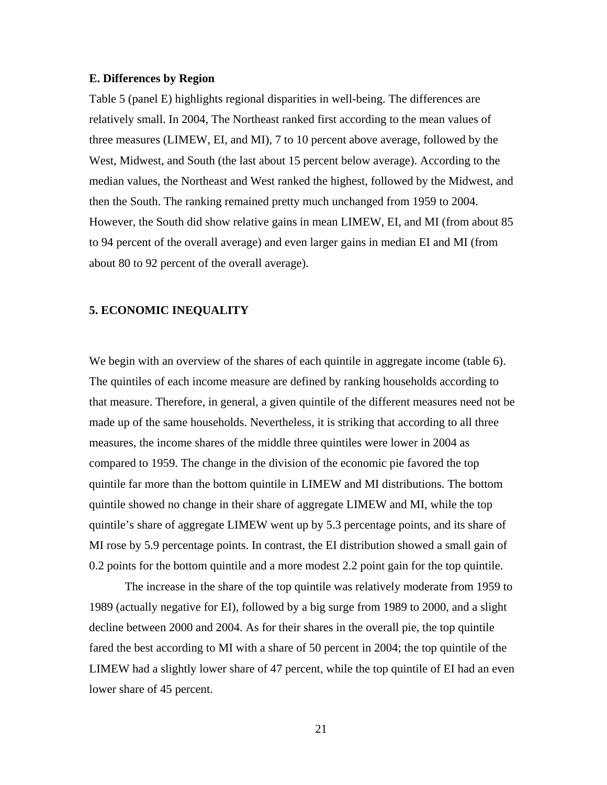#### **E. Differences by Region**

Table 5 (panel E) highlights regional disparities in well-being. The differences are relatively small. In 2004, The Northeast ranked first according to the mean values of three measures (LIMEW, EI, and MI), 7 to 10 percent above average, followed by the West, Midwest, and South (the last about 15 percent below average). According to the median values, the Northeast and West ranked the highest, followed by the Midwest, and then the South. The ranking remained pretty much unchanged from 1959 to 2004. However, the South did show relative gains in mean LIMEW, EI, and MI (from about 85 to 94 percent of the overall average) and even larger gains in median EI and MI (from about 80 to 92 percent of the overall average).

## **5. ECONOMIC INEQUALITY**

We begin with an overview of the shares of each quintile in aggregate income (table 6). The quintiles of each income measure are defined by ranking households according to that measure. Therefore, in general, a given quintile of the different measures need not be made up of the same households. Nevertheless, it is striking that according to all three measures, the income shares of the middle three quintiles were lower in 2004 as compared to 1959. The change in the division of the economic pie favored the top quintile far more than the bottom quintile in LIMEW and MI distributions. The bottom quintile showed no change in their share of aggregate LIMEW and MI, while the top quintile's share of aggregate LIMEW went up by 5.3 percentage points, and its share of MI rose by 5.9 percentage points. In contrast, the EI distribution showed a small gain of 0.2 points for the bottom quintile and a more modest 2.2 point gain for the top quintile.

The increase in the share of the top quintile was relatively moderate from 1959 to 1989 (actually negative for EI), followed by a big surge from 1989 to 2000, and a slight decline between 2000 and 2004. As for their shares in the overall pie, the top quintile fared the best according to MI with a share of 50 percent in 2004; the top quintile of the LIMEW had a slightly lower share of 47 percent, while the top quintile of EI had an even lower share of 45 percent.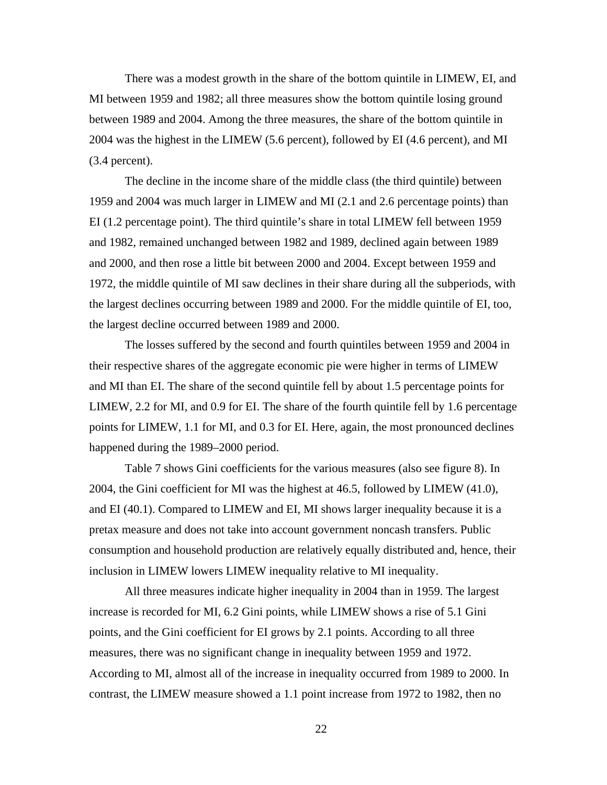There was a modest growth in the share of the bottom quintile in LIMEW, EI, and MI between 1959 and 1982; all three measures show the bottom quintile losing ground between 1989 and 2004. Among the three measures, the share of the bottom quintile in 2004 was the highest in the LIMEW (5.6 percent), followed by EI (4.6 percent), and MI (3.4 percent).

The decline in the income share of the middle class (the third quintile) between 1959 and 2004 was much larger in LIMEW and MI (2.1 and 2.6 percentage points) than EI (1.2 percentage point). The third quintile's share in total LIMEW fell between 1959 and 1982, remained unchanged between 1982 and 1989, declined again between 1989 and 2000, and then rose a little bit between 2000 and 2004. Except between 1959 and 1972, the middle quintile of MI saw declines in their share during all the subperiods, with the largest declines occurring between 1989 and 2000. For the middle quintile of EI, too, the largest decline occurred between 1989 and 2000.

The losses suffered by the second and fourth quintiles between 1959 and 2004 in their respective shares of the aggregate economic pie were higher in terms of LIMEW and MI than EI. The share of the second quintile fell by about 1.5 percentage points for LIMEW, 2.2 for MI, and 0.9 for EI. The share of the fourth quintile fell by 1.6 percentage points for LIMEW, 1.1 for MI, and 0.3 for EI. Here, again, the most pronounced declines happened during the 1989–2000 period.

Table 7 shows Gini coefficients for the various measures (also see figure 8). In 2004, the Gini coefficient for MI was the highest at 46.5, followed by LIMEW (41.0), and EI (40.1). Compared to LIMEW and EI, MI shows larger inequality because it is a pretax measure and does not take into account government noncash transfers. Public consumption and household production are relatively equally distributed and, hence, their inclusion in LIMEW lowers LIMEW inequality relative to MI inequality.

All three measures indicate higher inequality in 2004 than in 1959. The largest increase is recorded for MI, 6.2 Gini points, while LIMEW shows a rise of 5.1 Gini points, and the Gini coefficient for EI grows by 2.1 points. According to all three measures, there was no significant change in inequality between 1959 and 1972. According to MI, almost all of the increase in inequality occurred from 1989 to 2000. In contrast, the LIMEW measure showed a 1.1 point increase from 1972 to 1982, then no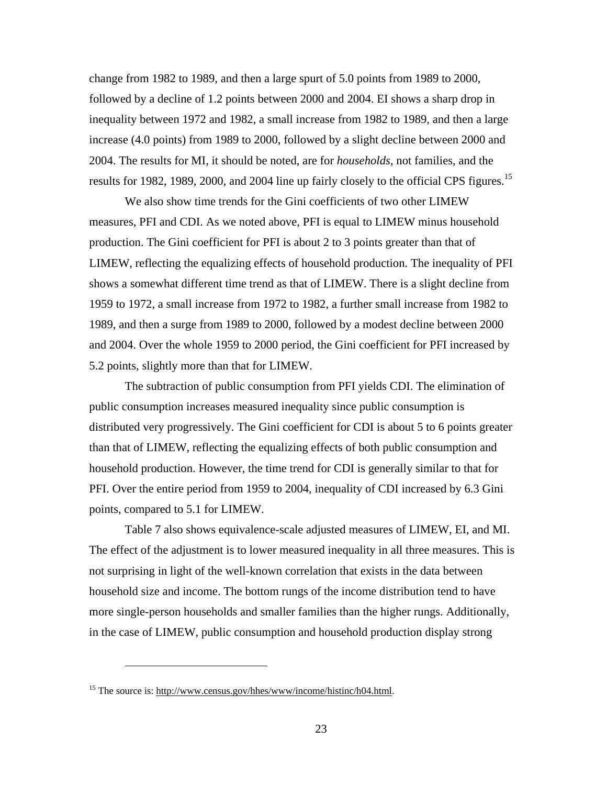change from 1982 to 1989, and then a large spurt of 5.0 points from 1989 to 2000, followed by a decline of 1.2 points between 2000 and 2004. EI shows a sharp drop in inequality between 1972 and 1982, a small increase from 1982 to 1989, and then a large increase (4.0 points) from 1989 to 2000, followed by a slight decline between 2000 and 2004. The results for MI, it should be noted, are for *households*, not families, and the results for 1982, 1989, 2000, and 2004 line up fairly closely to the official CPS figures.<sup>15</sup>

We also show time trends for the Gini coefficients of two other LIMEW measures, PFI and CDI. As we noted above, PFI is equal to LIMEW minus household production. The Gini coefficient for PFI is about 2 to 3 points greater than that of LIMEW, reflecting the equalizing effects of household production. The inequality of PFI shows a somewhat different time trend as that of LIMEW. There is a slight decline from 1959 to 1972, a small increase from 1972 to 1982, a further small increase from 1982 to 1989, and then a surge from 1989 to 2000, followed by a modest decline between 2000 and 2004. Over the whole 1959 to 2000 period, the Gini coefficient for PFI increased by 5.2 points, slightly more than that for LIMEW.

The subtraction of public consumption from PFI yields CDI. The elimination of public consumption increases measured inequality since public consumption is distributed very progressively. The Gini coefficient for CDI is about 5 to 6 points greater than that of LIMEW, reflecting the equalizing effects of both public consumption and household production. However, the time trend for CDI is generally similar to that for PFI. Over the entire period from 1959 to 2004, inequality of CDI increased by 6.3 Gini points, compared to 5.1 for LIMEW.

Table 7 also shows equivalence-scale adjusted measures of LIMEW, EI, and MI. The effect of the adjustment is to lower measured inequality in all three measures. This is not surprising in light of the well-known correlation that exists in the data between household size and income. The bottom rungs of the income distribution tend to have more single-person households and smaller families than the higher rungs. Additionally, in the case of LIMEW, public consumption and household production display strong

<sup>&</sup>lt;sup>15</sup> The source is: http://www.census.gov/hhes/www/income/histinc/h04.html.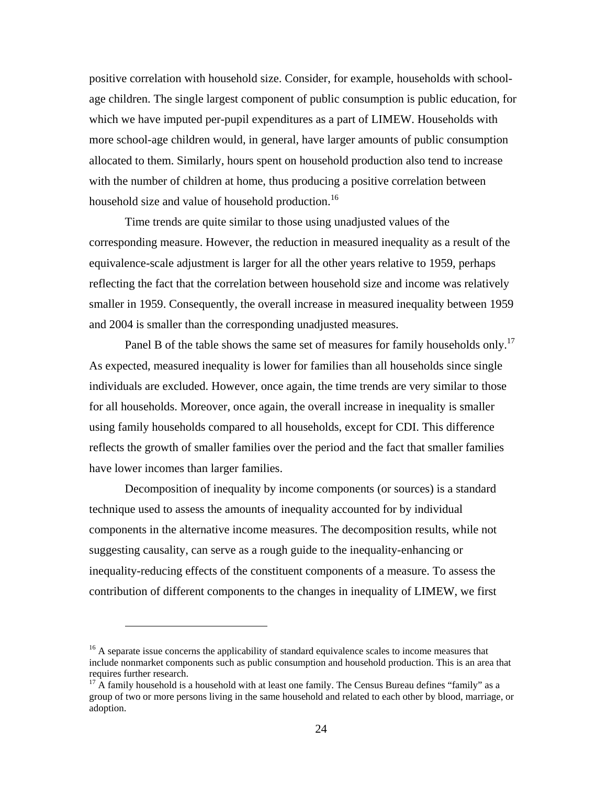positive correlation with household size. Consider, for example, households with schoolage children. The single largest component of public consumption is public education, for which we have imputed per-pupil expenditures as a part of LIMEW. Households with more school-age children would, in general, have larger amounts of public consumption allocated to them. Similarly, hours spent on household production also tend to increase with the number of children at home, thus producing a positive correlation between household size and value of household production.<sup>16</sup>

Time trends are quite similar to those using unadjusted values of the corresponding measure. However, the reduction in measured inequality as a result of the equivalence-scale adjustment is larger for all the other years relative to 1959, perhaps reflecting the fact that the correlation between household size and income was relatively smaller in 1959. Consequently, the overall increase in measured inequality between 1959 and 2004 is smaller than the corresponding unadjusted measures.

Panel B of the table shows the same set of measures for family households only.<sup>17</sup> As expected, measured inequality is lower for families than all households since single individuals are excluded. However, once again, the time trends are very similar to those for all households. Moreover, once again, the overall increase in inequality is smaller using family households compared to all households, except for CDI. This difference reflects the growth of smaller families over the period and the fact that smaller families have lower incomes than larger families.

Decomposition of inequality by income components (or sources) is a standard technique used to assess the amounts of inequality accounted for by individual components in the alternative income measures. The decomposition results, while not suggesting causality, can serve as a rough guide to the inequality-enhancing or inequality-reducing effects of the constituent components of a measure. To assess the contribution of different components to the changes in inequality of LIMEW, we first

<sup>&</sup>lt;sup>16</sup> A separate issue concerns the applicability of standard equivalence scales to income measures that include nonmarket components such as public consumption and household production. This is an area that requires further research.

 $17$  A family household is a household with at least one family. The Census Bureau defines "family" as a group of two or more persons living in the same household and related to each other by blood, marriage, or adoption.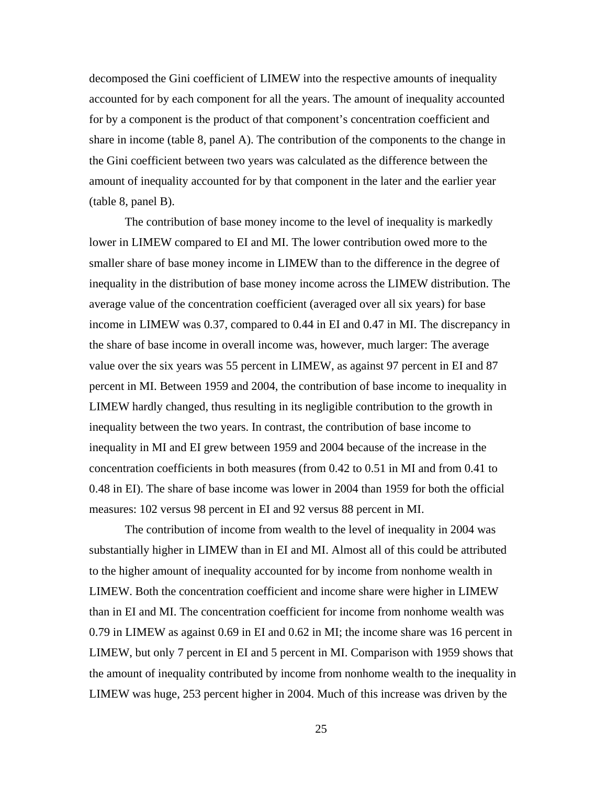decomposed the Gini coefficient of LIMEW into the respective amounts of inequality accounted for by each component for all the years. The amount of inequality accounted for by a component is the product of that component's concentration coefficient and share in income (table 8, panel A). The contribution of the components to the change in the Gini coefficient between two years was calculated as the difference between the amount of inequality accounted for by that component in the later and the earlier year (table 8, panel B).

The contribution of base money income to the level of inequality is markedly lower in LIMEW compared to EI and MI. The lower contribution owed more to the smaller share of base money income in LIMEW than to the difference in the degree of inequality in the distribution of base money income across the LIMEW distribution. The average value of the concentration coefficient (averaged over all six years) for base income in LIMEW was 0.37, compared to 0.44 in EI and 0.47 in MI. The discrepancy in the share of base income in overall income was, however, much larger: The average value over the six years was 55 percent in LIMEW, as against 97 percent in EI and 87 percent in MI. Between 1959 and 2004, the contribution of base income to inequality in LIMEW hardly changed, thus resulting in its negligible contribution to the growth in inequality between the two years. In contrast, the contribution of base income to inequality in MI and EI grew between 1959 and 2004 because of the increase in the concentration coefficients in both measures (from 0.42 to 0.51 in MI and from 0.41 to 0.48 in EI). The share of base income was lower in 2004 than 1959 for both the official measures: 102 versus 98 percent in EI and 92 versus 88 percent in MI.

The contribution of income from wealth to the level of inequality in 2004 was substantially higher in LIMEW than in EI and MI. Almost all of this could be attributed to the higher amount of inequality accounted for by income from nonhome wealth in LIMEW. Both the concentration coefficient and income share were higher in LIMEW than in EI and MI. The concentration coefficient for income from nonhome wealth was 0.79 in LIMEW as against 0.69 in EI and 0.62 in MI; the income share was 16 percent in LIMEW, but only 7 percent in EI and 5 percent in MI. Comparison with 1959 shows that the amount of inequality contributed by income from nonhome wealth to the inequality in LIMEW was huge, 253 percent higher in 2004. Much of this increase was driven by the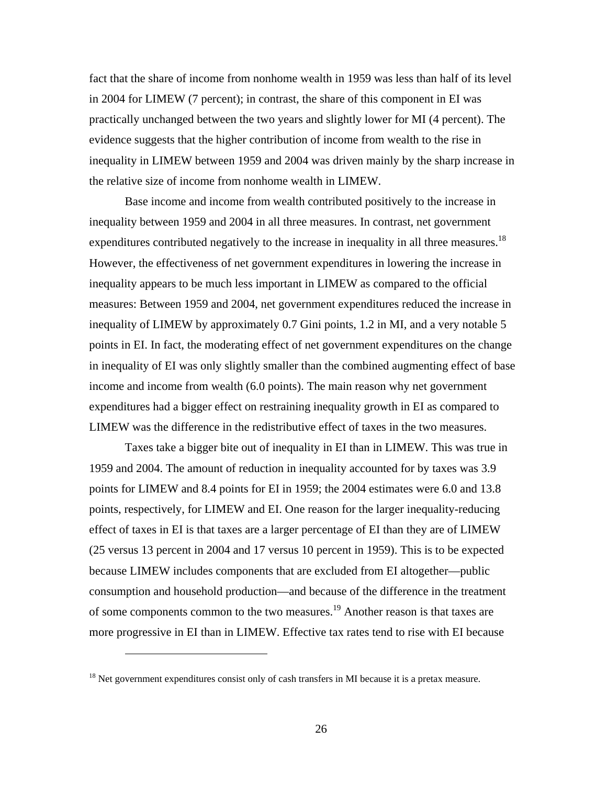fact that the share of income from nonhome wealth in 1959 was less than half of its level in 2004 for LIMEW (7 percent); in contrast, the share of this component in EI was practically unchanged between the two years and slightly lower for MI (4 percent). The evidence suggests that the higher contribution of income from wealth to the rise in inequality in LIMEW between 1959 and 2004 was driven mainly by the sharp increase in the relative size of income from nonhome wealth in LIMEW.

Base income and income from wealth contributed positively to the increase in inequality between 1959 and 2004 in all three measures. In contrast, net government expenditures contributed negatively to the increase in inequality in all three measures.<sup>18</sup> However, the effectiveness of net government expenditures in lowering the increase in inequality appears to be much less important in LIMEW as compared to the official measures: Between 1959 and 2004, net government expenditures reduced the increase in inequality of LIMEW by approximately 0.7 Gini points, 1.2 in MI, and a very notable 5 points in EI. In fact, the moderating effect of net government expenditures on the change in inequality of EI was only slightly smaller than the combined augmenting effect of base income and income from wealth (6.0 points). The main reason why net government expenditures had a bigger effect on restraining inequality growth in EI as compared to LIMEW was the difference in the redistributive effect of taxes in the two measures.

Taxes take a bigger bite out of inequality in EI than in LIMEW. This was true in 1959 and 2004. The amount of reduction in inequality accounted for by taxes was 3.9 points for LIMEW and 8.4 points for EI in 1959; the 2004 estimates were 6.0 and 13.8 points, respectively, for LIMEW and EI. One reason for the larger inequality-reducing effect of taxes in EI is that taxes are a larger percentage of EI than they are of LIMEW (25 versus 13 percent in 2004 and 17 versus 10 percent in 1959). This is to be expected because LIMEW includes components that are excluded from EI altogether—public consumption and household production—and because of the difference in the treatment of some components common to the two measures.<sup>19</sup> Another reason is that taxes are more progressive in EI than in LIMEW. Effective tax rates tend to rise with EI because

 $18$  Net government expenditures consist only of cash transfers in MI because it is a pretax measure.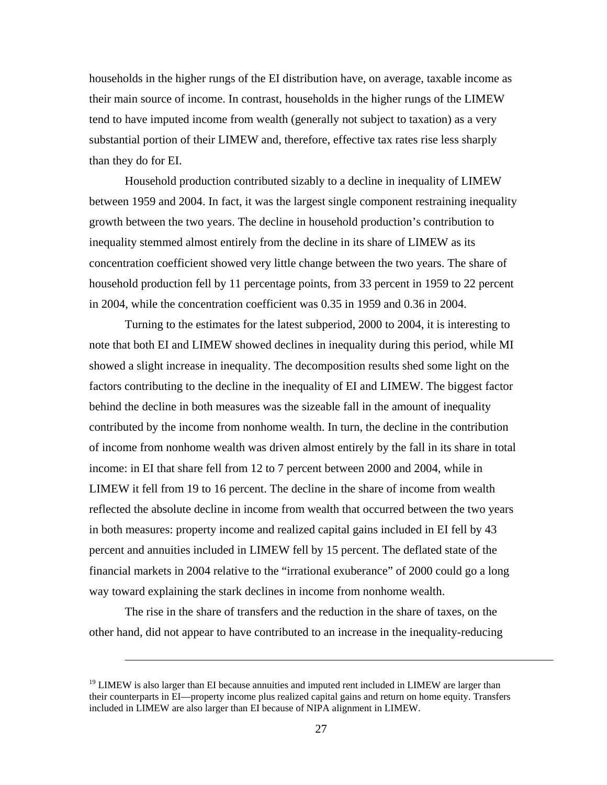households in the higher rungs of the EI distribution have, on average, taxable income as their main source of income. In contrast, households in the higher rungs of the LIMEW tend to have imputed income from wealth (generally not subject to taxation) as a very substantial portion of their LIMEW and, therefore, effective tax rates rise less sharply than they do for EI.

Household production contributed sizably to a decline in inequality of LIMEW between 1959 and 2004. In fact, it was the largest single component restraining inequality growth between the two years. The decline in household production's contribution to inequality stemmed almost entirely from the decline in its share of LIMEW as its concentration coefficient showed very little change between the two years. The share of household production fell by 11 percentage points, from 33 percent in 1959 to 22 percent in 2004, while the concentration coefficient was 0.35 in 1959 and 0.36 in 2004.

Turning to the estimates for the latest subperiod, 2000 to 2004, it is interesting to note that both EI and LIMEW showed declines in inequality during this period, while MI showed a slight increase in inequality. The decomposition results shed some light on the factors contributing to the decline in the inequality of EI and LIMEW. The biggest factor behind the decline in both measures was the sizeable fall in the amount of inequality contributed by the income from nonhome wealth. In turn, the decline in the contribution of income from nonhome wealth was driven almost entirely by the fall in its share in total income: in EI that share fell from 12 to 7 percent between 2000 and 2004, while in LIMEW it fell from 19 to 16 percent. The decline in the share of income from wealth reflected the absolute decline in income from wealth that occurred between the two years in both measures: property income and realized capital gains included in EI fell by 43 percent and annuities included in LIMEW fell by 15 percent. The deflated state of the financial markets in 2004 relative to the "irrational exuberance" of 2000 could go a long way toward explaining the stark declines in income from nonhome wealth.

The rise in the share of transfers and the reduction in the share of taxes, on the other hand, did not appear to have contributed to an increase in the inequality-reducing

<u>.</u>

 $19$  LIMEW is also larger than EI because annuities and imputed rent included in LIMEW are larger than their counterparts in EI—property income plus realized capital gains and return on home equity. Transfers included in LIMEW are also larger than EI because of NIPA alignment in LIMEW.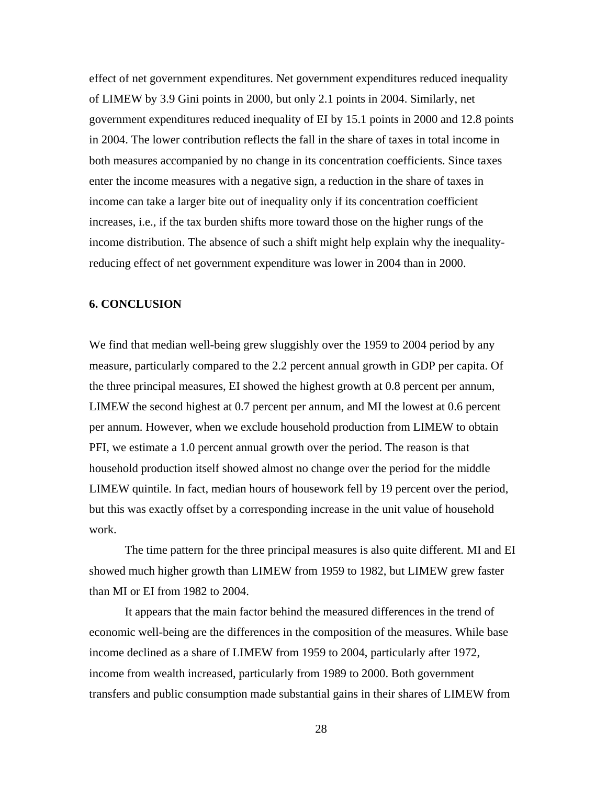effect of net government expenditures. Net government expenditures reduced inequality of LIMEW by 3.9 Gini points in 2000, but only 2.1 points in 2004. Similarly, net government expenditures reduced inequality of EI by 15.1 points in 2000 and 12.8 points in 2004. The lower contribution reflects the fall in the share of taxes in total income in both measures accompanied by no change in its concentration coefficients. Since taxes enter the income measures with a negative sign, a reduction in the share of taxes in income can take a larger bite out of inequality only if its concentration coefficient increases, i.e., if the tax burden shifts more toward those on the higher rungs of the income distribution. The absence of such a shift might help explain why the inequalityreducing effect of net government expenditure was lower in 2004 than in 2000.

#### **6. CONCLUSION**

We find that median well-being grew sluggishly over the 1959 to 2004 period by any measure, particularly compared to the 2.2 percent annual growth in GDP per capita. Of the three principal measures, EI showed the highest growth at 0.8 percent per annum, LIMEW the second highest at 0.7 percent per annum, and MI the lowest at 0.6 percent per annum. However, when we exclude household production from LIMEW to obtain PFI, we estimate a 1.0 percent annual growth over the period. The reason is that household production itself showed almost no change over the period for the middle LIMEW quintile. In fact, median hours of housework fell by 19 percent over the period, but this was exactly offset by a corresponding increase in the unit value of household work.

The time pattern for the three principal measures is also quite different. MI and EI showed much higher growth than LIMEW from 1959 to 1982, but LIMEW grew faster than MI or EI from 1982 to 2004.

It appears that the main factor behind the measured differences in the trend of economic well-being are the differences in the composition of the measures. While base income declined as a share of LIMEW from 1959 to 2004, particularly after 1972, income from wealth increased, particularly from 1989 to 2000. Both government transfers and public consumption made substantial gains in their shares of LIMEW from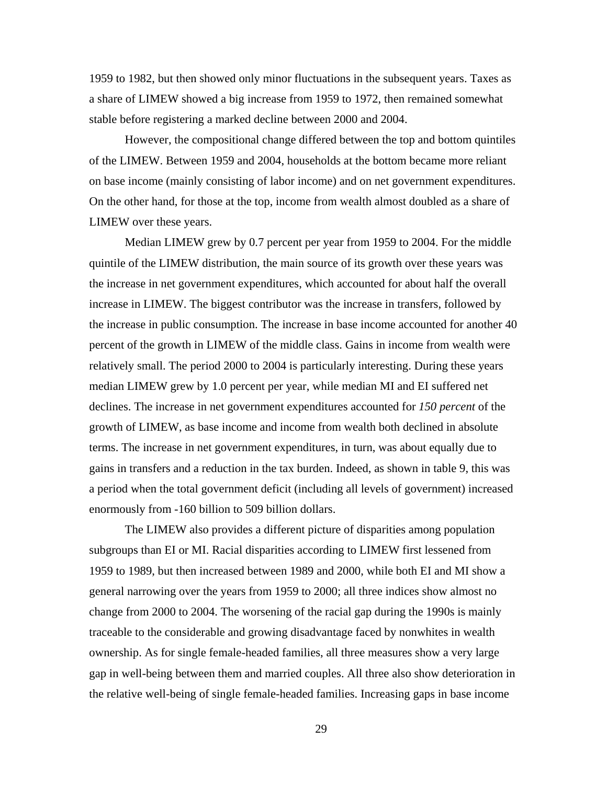1959 to 1982, but then showed only minor fluctuations in the subsequent years. Taxes as a share of LIMEW showed a big increase from 1959 to 1972, then remained somewhat stable before registering a marked decline between 2000 and 2004.

However, the compositional change differed between the top and bottom quintiles of the LIMEW. Between 1959 and 2004, households at the bottom became more reliant on base income (mainly consisting of labor income) and on net government expenditures. On the other hand, for those at the top, income from wealth almost doubled as a share of LIMEW over these years.

Median LIMEW grew by 0.7 percent per year from 1959 to 2004. For the middle quintile of the LIMEW distribution, the main source of its growth over these years was the increase in net government expenditures, which accounted for about half the overall increase in LIMEW. The biggest contributor was the increase in transfers, followed by the increase in public consumption. The increase in base income accounted for another 40 percent of the growth in LIMEW of the middle class. Gains in income from wealth were relatively small. The period 2000 to 2004 is particularly interesting. During these years median LIMEW grew by 1.0 percent per year, while median MI and EI suffered net declines. The increase in net government expenditures accounted for *150 percent* of the growth of LIMEW, as base income and income from wealth both declined in absolute terms. The increase in net government expenditures, in turn, was about equally due to gains in transfers and a reduction in the tax burden. Indeed, as shown in table 9, this was a period when the total government deficit (including all levels of government) increased enormously from -160 billion to 509 billion dollars.

The LIMEW also provides a different picture of disparities among population subgroups than EI or MI. Racial disparities according to LIMEW first lessened from 1959 to 1989, but then increased between 1989 and 2000, while both EI and MI show a general narrowing over the years from 1959 to 2000; all three indices show almost no change from 2000 to 2004. The worsening of the racial gap during the 1990s is mainly traceable to the considerable and growing disadvantage faced by nonwhites in wealth ownership. As for single female-headed families, all three measures show a very large gap in well-being between them and married couples. All three also show deterioration in the relative well-being of single female-headed families. Increasing gaps in base income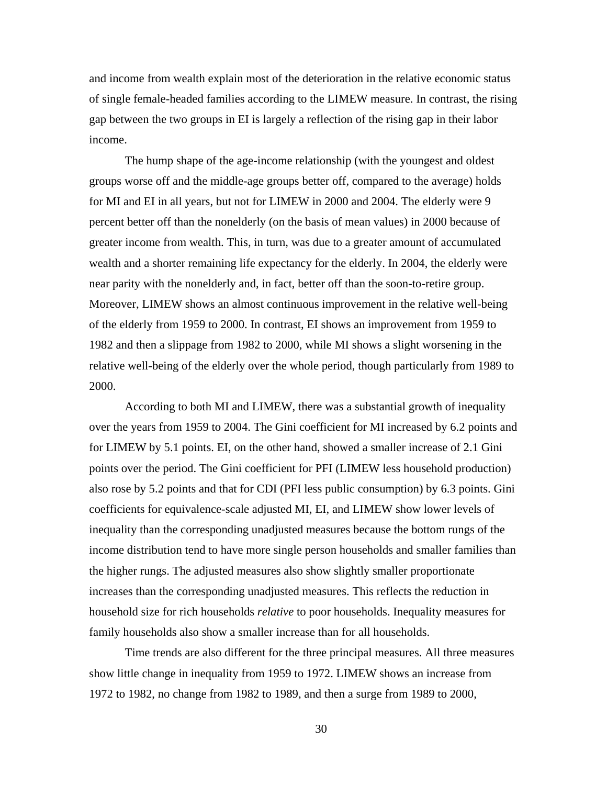and income from wealth explain most of the deterioration in the relative economic status of single female-headed families according to the LIMEW measure. In contrast, the rising gap between the two groups in EI is largely a reflection of the rising gap in their labor income.

The hump shape of the age-income relationship (with the youngest and oldest groups worse off and the middle-age groups better off, compared to the average) holds for MI and EI in all years, but not for LIMEW in 2000 and 2004. The elderly were 9 percent better off than the nonelderly (on the basis of mean values) in 2000 because of greater income from wealth. This, in turn, was due to a greater amount of accumulated wealth and a shorter remaining life expectancy for the elderly. In 2004, the elderly were near parity with the nonelderly and, in fact, better off than the soon-to-retire group. Moreover, LIMEW shows an almost continuous improvement in the relative well-being of the elderly from 1959 to 2000. In contrast, EI shows an improvement from 1959 to 1982 and then a slippage from 1982 to 2000, while MI shows a slight worsening in the relative well-being of the elderly over the whole period, though particularly from 1989 to 2000.

According to both MI and LIMEW, there was a substantial growth of inequality over the years from 1959 to 2004. The Gini coefficient for MI increased by 6.2 points and for LIMEW by 5.1 points. EI, on the other hand, showed a smaller increase of 2.1 Gini points over the period. The Gini coefficient for PFI (LIMEW less household production) also rose by 5.2 points and that for CDI (PFI less public consumption) by 6.3 points. Gini coefficients for equivalence-scale adjusted MI, EI, and LIMEW show lower levels of inequality than the corresponding unadjusted measures because the bottom rungs of the income distribution tend to have more single person households and smaller families than the higher rungs. The adjusted measures also show slightly smaller proportionate increases than the corresponding unadjusted measures. This reflects the reduction in household size for rich households *relative* to poor households. Inequality measures for family households also show a smaller increase than for all households.

Time trends are also different for the three principal measures. All three measures show little change in inequality from 1959 to 1972. LIMEW shows an increase from 1972 to 1982, no change from 1982 to 1989, and then a surge from 1989 to 2000,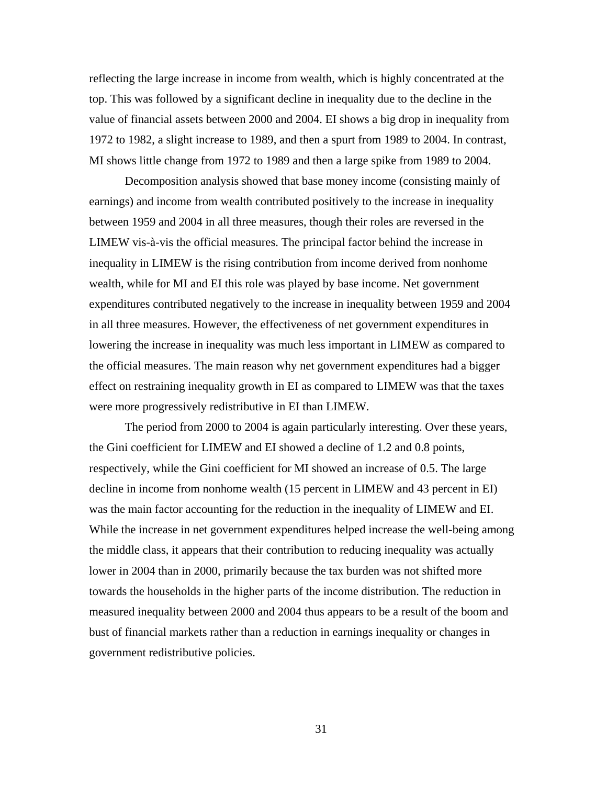reflecting the large increase in income from wealth, which is highly concentrated at the top. This was followed by a significant decline in inequality due to the decline in the value of financial assets between 2000 and 2004. EI shows a big drop in inequality from 1972 to 1982, a slight increase to 1989, and then a spurt from 1989 to 2004. In contrast, MI shows little change from 1972 to 1989 and then a large spike from 1989 to 2004.

Decomposition analysis showed that base money income (consisting mainly of earnings) and income from wealth contributed positively to the increase in inequality between 1959 and 2004 in all three measures, though their roles are reversed in the LIMEW vis-à-vis the official measures. The principal factor behind the increase in inequality in LIMEW is the rising contribution from income derived from nonhome wealth, while for MI and EI this role was played by base income. Net government expenditures contributed negatively to the increase in inequality between 1959 and 2004 in all three measures. However, the effectiveness of net government expenditures in lowering the increase in inequality was much less important in LIMEW as compared to the official measures. The main reason why net government expenditures had a bigger effect on restraining inequality growth in EI as compared to LIMEW was that the taxes were more progressively redistributive in EI than LIMEW.

The period from 2000 to 2004 is again particularly interesting. Over these years, the Gini coefficient for LIMEW and EI showed a decline of 1.2 and 0.8 points, respectively, while the Gini coefficient for MI showed an increase of 0.5. The large decline in income from nonhome wealth (15 percent in LIMEW and 43 percent in EI) was the main factor accounting for the reduction in the inequality of LIMEW and EI. While the increase in net government expenditures helped increase the well-being among the middle class, it appears that their contribution to reducing inequality was actually lower in 2004 than in 2000, primarily because the tax burden was not shifted more towards the households in the higher parts of the income distribution. The reduction in measured inequality between 2000 and 2004 thus appears to be a result of the boom and bust of financial markets rather than a reduction in earnings inequality or changes in government redistributive policies.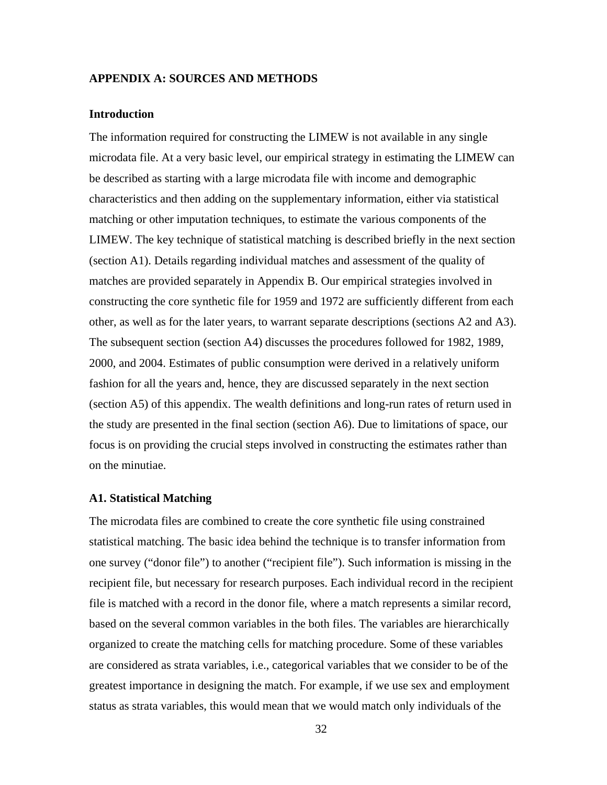# **APPENDIX A: SOURCES AND METHODS**

## **Introduction**

The information required for constructing the LIMEW is not available in any single microdata file. At a very basic level, our empirical strategy in estimating the LIMEW can be described as starting with a large microdata file with income and demographic characteristics and then adding on the supplementary information, either via statistical matching or other imputation techniques, to estimate the various components of the LIMEW. The key technique of statistical matching is described briefly in the next section (section A1). Details regarding individual matches and assessment of the quality of matches are provided separately in Appendix B. Our empirical strategies involved in constructing the core synthetic file for 1959 and 1972 are sufficiently different from each other, as well as for the later years, to warrant separate descriptions (sections A2 and A3). The subsequent section (section A4) discusses the procedures followed for 1982, 1989, 2000, and 2004. Estimates of public consumption were derived in a relatively uniform fashion for all the years and, hence, they are discussed separately in the next section (section A5) of this appendix. The wealth definitions and long-run rates of return used in the study are presented in the final section (section A6). Due to limitations of space, our focus is on providing the crucial steps involved in constructing the estimates rather than on the minutiae.

## **A1. Statistical Matching**

The microdata files are combined to create the core synthetic file using constrained statistical matching. The basic idea behind the technique is to transfer information from one survey ("donor file") to another ("recipient file"). Such information is missing in the recipient file, but necessary for research purposes. Each individual record in the recipient file is matched with a record in the donor file, where a match represents a similar record, based on the several common variables in the both files. The variables are hierarchically organized to create the matching cells for matching procedure. Some of these variables are considered as strata variables, i.e., categorical variables that we consider to be of the greatest importance in designing the match. For example, if we use sex and employment status as strata variables, this would mean that we would match only individuals of the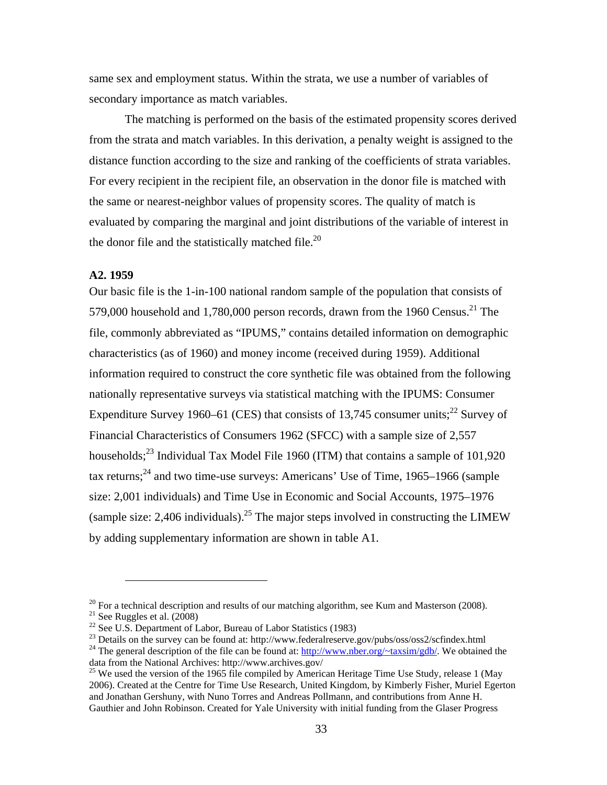same sex and employment status. Within the strata, we use a number of variables of secondary importance as match variables.

The matching is performed on the basis of the estimated propensity scores derived from the strata and match variables. In this derivation, a penalty weight is assigned to the distance function according to the size and ranking of the coefficients of strata variables. For every recipient in the recipient file, an observation in the donor file is matched with the same or nearest-neighbor values of propensity scores. The quality of match is evaluated by comparing the marginal and joint distributions of the variable of interest in the donor file and the statistically matched file. $^{20}$ 

#### **A2. 1959**

1

Our basic file is the 1-in-100 national random sample of the population that consists of 579,000 household and 1,780,000 person records, drawn from the 1960 Census.<sup>21</sup> The file, commonly abbreviated as "IPUMS," contains detailed information on demographic characteristics (as of 1960) and money income (received during 1959). Additional information required to construct the core synthetic file was obtained from the following nationally representative surveys via statistical matching with the IPUMS: Consumer Expenditure Survey 1960–61 (CES) that consists of 13,745 consumer units;<sup>22</sup> Survey of Financial Characteristics of Consumers 1962 (SFCC) with a sample size of 2,557 households; $^{23}$  Individual Tax Model File 1960 (ITM) that contains a sample of 101,920 tax returns; $^{24}$  and two time-use surveys: Americans' Use of Time, 1965–1966 (sample size: 2,001 individuals) and Time Use in Economic and Social Accounts, 1975–1976 (sample size: 2,406 individuals).<sup>25</sup> The major steps involved in constructing the LIMEW by adding supplementary information are shown in table A1.

 $^{20}$  For a technical description and results of our matching algorithm, see Kum and Masterson (2008). <sup>21</sup> See Ruggles et al.  $(2008)$ 

<sup>&</sup>lt;sup>22</sup> See U.S. Department of Labor, Bureau of Labor Statistics (1983)<br><sup>23</sup> Details on the survey can be found at: http://www.federalreserve.gov/pubs/oss/oss2/scfindex.html

<sup>&</sup>lt;sup>24</sup> The general description of the file can be found at: http://www.nber.org/~taxsim/gdb/. We obtained the data from the National Archives: http://www.archives.gov/

<sup>&</sup>lt;sup>25</sup> We used the version of the 1965 file compiled by American Heritage Time Use Study, release 1 (May 2006). Created at the Centre for Time Use Research, United Kingdom, by Kimberly Fisher, Muriel Egerton and Jonathan Gershuny, with Nuno Torres and Andreas Pollmann, and contributions from Anne H. Gauthier and John Robinson. Created for Yale University with initial funding from the Glaser Progress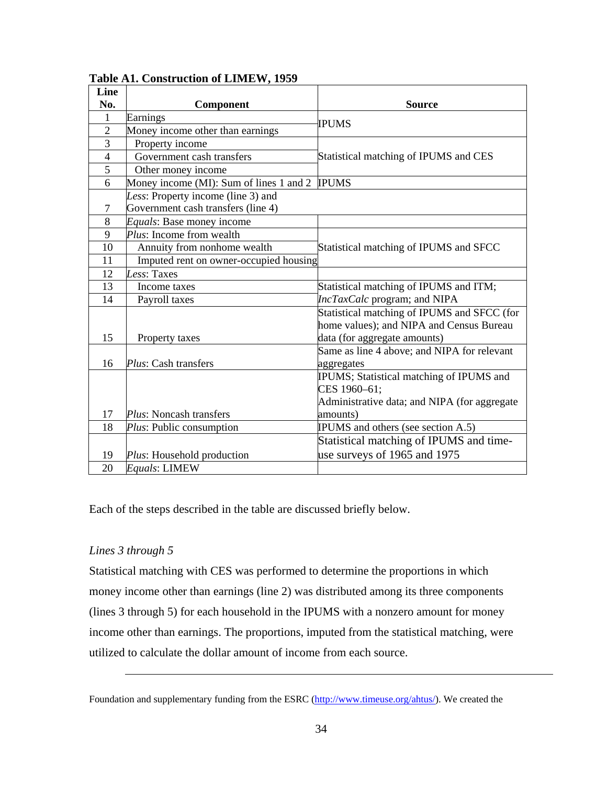| Line           |                                         |                                              |
|----------------|-----------------------------------------|----------------------------------------------|
| No.            | Component                               | <b>Source</b>                                |
| $\mathbf{1}$   | Earnings                                | IPUMS                                        |
| $\overline{2}$ | Money income other than earnings        |                                              |
| 3              | Property income                         |                                              |
| $\overline{4}$ | Government cash transfers               | Statistical matching of IPUMS and CES        |
| 5              | Other money income                      |                                              |
| 6              | Money income (MI): Sum of lines 1 and 2 | <b>IPUMS</b>                                 |
|                | Less: Property income (line 3) and      |                                              |
| 7              | Government cash transfers (line 4)      |                                              |
| 8              | Equals: Base money income               |                                              |
| 9              | Plus: Income from wealth                |                                              |
| 10             | Annuity from nonhome wealth             | Statistical matching of IPUMS and SFCC       |
| 11             | Imputed rent on owner-occupied housing  |                                              |
| 12             | Less: Taxes                             |                                              |
| 13             | Income taxes                            | Statistical matching of IPUMS and ITM;       |
| 14             | Payroll taxes                           | IncTaxCalc program; and NIPA                 |
|                |                                         | Statistical matching of IPUMS and SFCC (for  |
|                |                                         | home values); and NIPA and Census Bureau     |
| 15             | Property taxes                          | data (for aggregate amounts)                 |
|                |                                         | Same as line 4 above; and NIPA for relevant  |
| 16             | Plus: Cash transfers                    | aggregates                                   |
|                |                                         | IPUMS; Statistical matching of IPUMS and     |
|                |                                         | CES 1960-61;                                 |
|                |                                         | Administrative data; and NIPA (for aggregate |
| 17             | <i>Plus:</i> Noncash transfers          | amounts)                                     |
| 18             | Plus: Public consumption                | IPUMS and others (see section A.5)           |
|                |                                         | Statistical matching of IPUMS and time-      |
| 19             | Plus: Household production              | use surveys of 1965 and 1975                 |
| 20             | Equals: LIMEW                           |                                              |

# **Table A1. Construction of LIMEW, 1959**

Each of the steps described in the table are discussed briefly below.

# *Lines 3 through 5*

 $\overline{a}$ 

Statistical matching with CES was performed to determine the proportions in which money income other than earnings (line 2) was distributed among its three components (lines 3 through 5) for each household in the IPUMS with a nonzero amount for money income other than earnings. The proportions, imputed from the statistical matching, were utilized to calculate the dollar amount of income from each source.

Foundation and supplementary funding from the ESRC (http://www.timeuse.org/ahtus/). We created the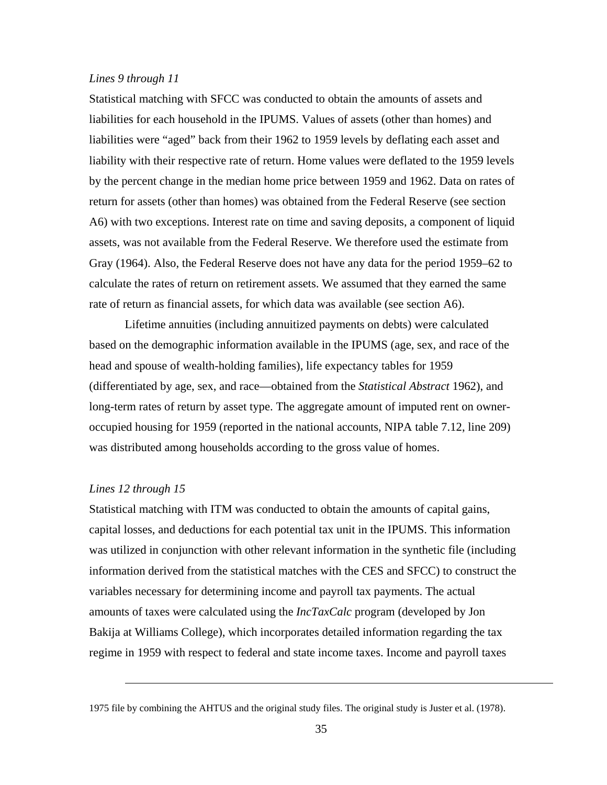## *Lines 9 through 11*

Statistical matching with SFCC was conducted to obtain the amounts of assets and liabilities for each household in the IPUMS. Values of assets (other than homes) and liabilities were "aged" back from their 1962 to 1959 levels by deflating each asset and liability with their respective rate of return. Home values were deflated to the 1959 levels by the percent change in the median home price between 1959 and 1962. Data on rates of return for assets (other than homes) was obtained from the Federal Reserve (see section A6) with two exceptions. Interest rate on time and saving deposits, a component of liquid assets, was not available from the Federal Reserve. We therefore used the estimate from Gray (1964). Also, the Federal Reserve does not have any data for the period 1959–62 to calculate the rates of return on retirement assets. We assumed that they earned the same rate of return as financial assets, for which data was available (see section A6).

Lifetime annuities (including annuitized payments on debts) were calculated based on the demographic information available in the IPUMS (age, sex, and race of the head and spouse of wealth-holding families), life expectancy tables for 1959 (differentiated by age, sex, and race—obtained from the *Statistical Abstract* 1962), and long-term rates of return by asset type. The aggregate amount of imputed rent on owneroccupied housing for 1959 (reported in the national accounts, NIPA table 7.12, line 209) was distributed among households according to the gross value of homes.

#### *Lines 12 through 15*

 $\overline{a}$ 

Statistical matching with ITM was conducted to obtain the amounts of capital gains, capital losses, and deductions for each potential tax unit in the IPUMS. This information was utilized in conjunction with other relevant information in the synthetic file (including information derived from the statistical matches with the CES and SFCC) to construct the variables necessary for determining income and payroll tax payments. The actual amounts of taxes were calculated using the *IncTaxCalc* program (developed by Jon Bakija at Williams College), which incorporates detailed information regarding the tax regime in 1959 with respect to federal and state income taxes. Income and payroll taxes

<sup>1975</sup> file by combining the AHTUS and the original study files. The original study is Juster et al. (1978).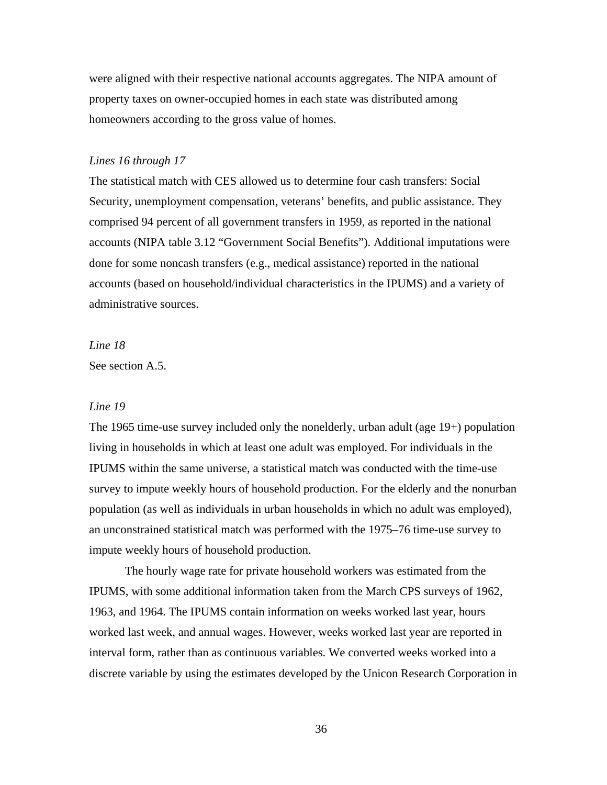were aligned with their respective national accounts aggregates. The NIPA amount of property taxes on owner-occupied homes in each state was distributed among homeowners according to the gross value of homes.

#### *Lines 16 through 17*

The statistical match with CES allowed us to determine four cash transfers: Social Security, unemployment compensation, veterans' benefits, and public assistance. They comprised 94 percent of all government transfers in 1959, as reported in the national accounts (NIPA table 3.12 "Government Social Benefits"). Additional imputations were done for some noncash transfers (e.g., medical assistance) reported in the national accounts (based on household/individual characteristics in the IPUMS) and a variety of administrative sources.

*Line 18*

See section A.5.

### *Line 19*

The 1965 time-use survey included only the nonelderly, urban adult (age 19+) population living in households in which at least one adult was employed. For individuals in the IPUMS within the same universe, a statistical match was conducted with the time-use survey to impute weekly hours of household production. For the elderly and the nonurban population (as well as individuals in urban households in which no adult was employed), an unconstrained statistical match was performed with the 1975–76 time-use survey to impute weekly hours of household production.

The hourly wage rate for private household workers was estimated from the IPUMS, with some additional information taken from the March CPS surveys of 1962, 1963, and 1964. The IPUMS contain information on weeks worked last year, hours worked last week, and annual wages. However, weeks worked last year are reported in interval form, rather than as continuous variables. We converted weeks worked into a discrete variable by using the estimates developed by the Unicon Research Corporation in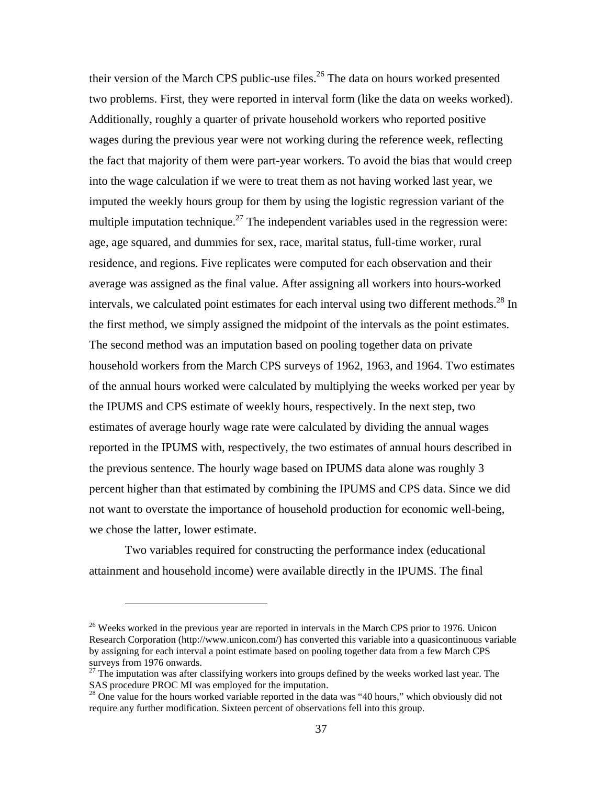their version of the March CPS public-use files.<sup>26</sup> The data on hours worked presented two problems. First, they were reported in interval form (like the data on weeks worked). Additionally, roughly a quarter of private household workers who reported positive wages during the previous year were not working during the reference week, reflecting the fact that majority of them were part-year workers. To avoid the bias that would creep into the wage calculation if we were to treat them as not having worked last year, we imputed the weekly hours group for them by using the logistic regression variant of the multiple imputation technique.<sup>27</sup> The independent variables used in the regression were: age, age squared, and dummies for sex, race, marital status, full-time worker, rural residence, and regions. Five replicates were computed for each observation and their average was assigned as the final value. After assigning all workers into hours-worked intervals, we calculated point estimates for each interval using two different methods.<sup>28</sup> In the first method, we simply assigned the midpoint of the intervals as the point estimates. The second method was an imputation based on pooling together data on private household workers from the March CPS surveys of 1962, 1963, and 1964. Two estimates of the annual hours worked were calculated by multiplying the weeks worked per year by the IPUMS and CPS estimate of weekly hours, respectively. In the next step, two estimates of average hourly wage rate were calculated by dividing the annual wages reported in the IPUMS with, respectively, the two estimates of annual hours described in the previous sentence. The hourly wage based on IPUMS data alone was roughly 3 percent higher than that estimated by combining the IPUMS and CPS data. Since we did not want to overstate the importance of household production for economic well-being, we chose the latter, lower estimate.

Two variables required for constructing the performance index (educational attainment and household income) were available directly in the IPUMS. The final

 $^{26}$  Weeks worked in the previous year are reported in intervals in the March CPS prior to 1976. Unicon Research Corporation (http://www.unicon.com/) has converted this variable into a quasicontinuous variable by assigning for each interval a point estimate based on pooling together data from a few March CPS surveys from 1976 onwards.

 $27$  The imputation was after classifying workers into groups defined by the weeks worked last year. The SAS procedure PROC MI was employed for the imputation.

<sup>&</sup>lt;sup>28</sup> One value for the hours worked variable reported in the data was "40 hours," which obviously did not require any further modification. Sixteen percent of observations fell into this group.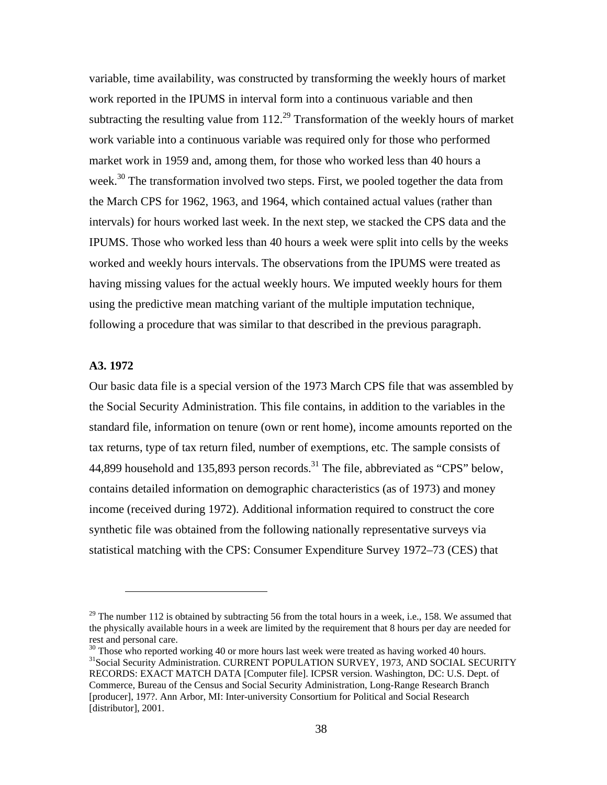variable, time availability, was constructed by transforming the weekly hours of market work reported in the IPUMS in interval form into a continuous variable and then subtracting the resulting value from  $112<sup>29</sup>$  Transformation of the weekly hours of market work variable into a continuous variable was required only for those who performed market work in 1959 and, among them, for those who worked less than 40 hours a week.<sup>30</sup> The transformation involved two steps. First, we pooled together the data from the March CPS for 1962, 1963, and 1964, which contained actual values (rather than intervals) for hours worked last week. In the next step, we stacked the CPS data and the IPUMS. Those who worked less than 40 hours a week were split into cells by the weeks worked and weekly hours intervals. The observations from the IPUMS were treated as having missing values for the actual weekly hours. We imputed weekly hours for them using the predictive mean matching variant of the multiple imputation technique, following a procedure that was similar to that described in the previous paragraph.

# **A3. 1972**

 $\overline{a}$ 

Our basic data file is a special version of the 1973 March CPS file that was assembled by the Social Security Administration. This file contains, in addition to the variables in the standard file, information on tenure (own or rent home), income amounts reported on the tax returns, type of tax return filed, number of exemptions, etc. The sample consists of 44,899 household and 135,893 person records.<sup>31</sup> The file, abbreviated as "CPS" below, contains detailed information on demographic characteristics (as of 1973) and money income (received during 1972). Additional information required to construct the core synthetic file was obtained from the following nationally representative surveys via statistical matching with the CPS: Consumer Expenditure Survey 1972–73 (CES) that

 $29$  The number 112 is obtained by subtracting 56 from the total hours in a week, i.e., 158. We assumed that the physically available hours in a week are limited by the requirement that 8 hours per day are needed for rest and personal care.

 $30$  Those who reported working 40 or more hours last week were treated as having worked 40 hours. <sup>31</sup>Social Security Administration. CURRENT POPULATION SURVEY, 1973, AND SOCIAL SECURITY RECORDS: EXACT MATCH DATA [Computer file]. ICPSR version. Washington, DC: U.S. Dept. of Commerce, Bureau of the Census and Social Security Administration, Long-Range Research Branch [producer], 197?. Ann Arbor, MI: Inter-university Consortium for Political and Social Research [distributor], 2001.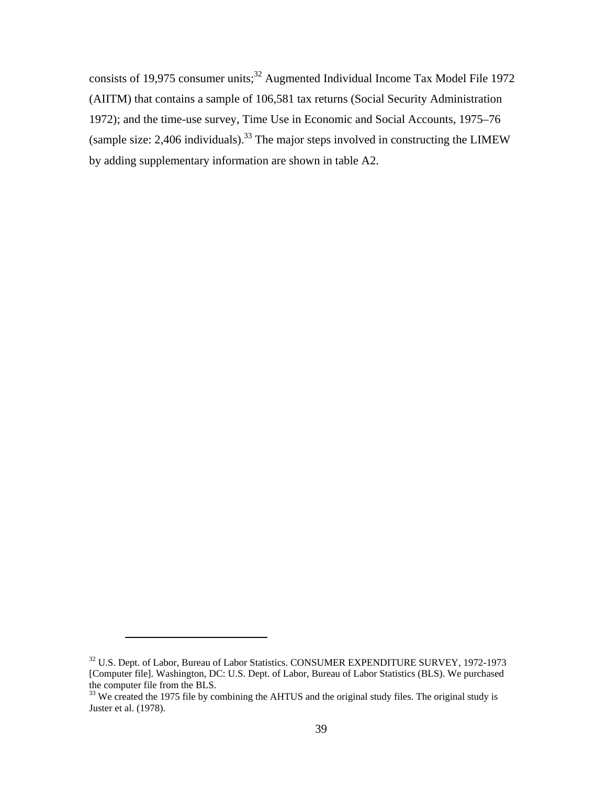consists of 19,975 consumer units;<sup>32</sup> Augmented Individual Income Tax Model File 1972 (AIITM) that contains a sample of 106,581 tax returns (Social Security Administration 1972); and the time-use survey, Time Use in Economic and Social Accounts, 1975–76 (sample size:  $2,406$  individuals).<sup>33</sup> The major steps involved in constructing the LIMEW by adding supplementary information are shown in table A2.

<sup>&</sup>lt;sup>32</sup> U.S. Dept. of Labor, Bureau of Labor Statistics. CONSUMER EXPENDITURE SURVEY, 1972-1973 [Computer file]. Washington, DC: U.S. Dept. of Labor, Bureau of Labor Statistics (BLS). We purchased the computer file from the BLS.

<sup>&</sup>lt;sup>33</sup> We created the 1975 file by combining the AHTUS and the original study files. The original study is Juster et al. (1978).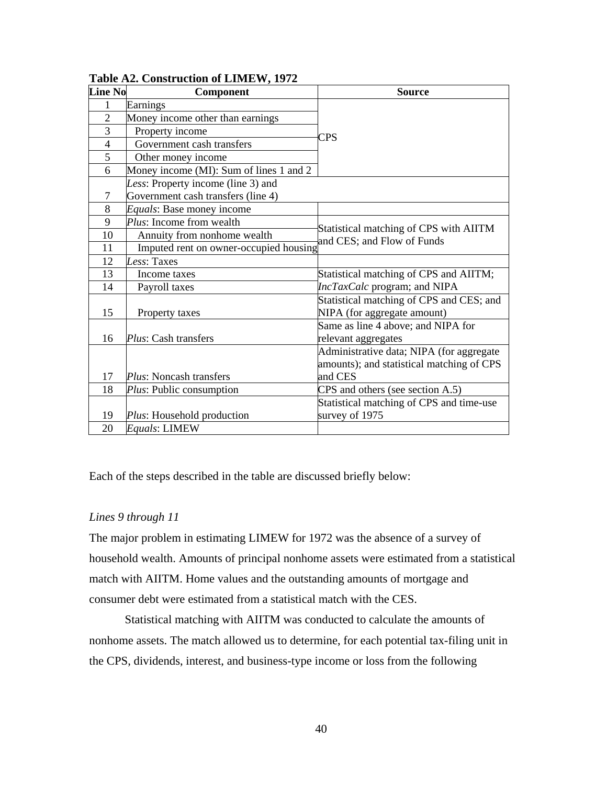| <b>Line No</b> | Component                               | <b>Source</b>                                                           |  |  |
|----------------|-----------------------------------------|-------------------------------------------------------------------------|--|--|
| 1              | Earnings                                |                                                                         |  |  |
| $\overline{2}$ | Money income other than earnings        |                                                                         |  |  |
| 3              | Property income                         | CPS                                                                     |  |  |
| $\overline{4}$ | Government cash transfers               |                                                                         |  |  |
| 5              | Other money income                      |                                                                         |  |  |
| 6              | Money income (MI): Sum of lines 1 and 2 |                                                                         |  |  |
|                | Less: Property income (line 3) and      |                                                                         |  |  |
| $\tau$         | Government cash transfers (line 4)      |                                                                         |  |  |
| 8              | Equals: Base money income               |                                                                         |  |  |
| 9              | Plus: Income from wealth                | Statistical matching of CPS with AIITM                                  |  |  |
| 10             | Annuity from nonhome wealth             | and CES; and Flow of Funds                                              |  |  |
| 11             | Imputed rent on owner-occupied housing  |                                                                         |  |  |
| 12             | Less: Taxes                             |                                                                         |  |  |
| 13             | Income taxes                            | Statistical matching of CPS and AIITM;                                  |  |  |
| 14             | Payroll taxes                           | <i>IncTaxCalc</i> program; and NIPA                                     |  |  |
| 15             | Property taxes                          | Statistical matching of CPS and CES; and<br>NIPA (for aggregate amount) |  |  |
|                |                                         | Same as line 4 above; and NIPA for                                      |  |  |
| 16             | <i>Plus</i> : Cash transfers            | relevant aggregates                                                     |  |  |
|                |                                         | Administrative data; NIPA (for aggregate                                |  |  |
|                |                                         | amounts); and statistical matching of CPS                               |  |  |
| 17             | Plus: Noncash transfers                 | and CES                                                                 |  |  |
| 18             | Plus: Public consumption                | CPS and others (see section A.5)                                        |  |  |
|                |                                         | Statistical matching of CPS and time-use                                |  |  |
| 19             | Plus: Household production              | survey of 1975                                                          |  |  |
| 20             | Equals: LIMEW                           |                                                                         |  |  |

**Table A2. Construction of LIMEW, 1972** 

Each of the steps described in the table are discussed briefly below:

### *Lines 9 through 11*

The major problem in estimating LIMEW for 1972 was the absence of a survey of household wealth. Amounts of principal nonhome assets were estimated from a statistical match with AIITM. Home values and the outstanding amounts of mortgage and consumer debt were estimated from a statistical match with the CES.

Statistical matching with AIITM was conducted to calculate the amounts of nonhome assets. The match allowed us to determine, for each potential tax-filing unit in the CPS, dividends, interest, and business-type income or loss from the following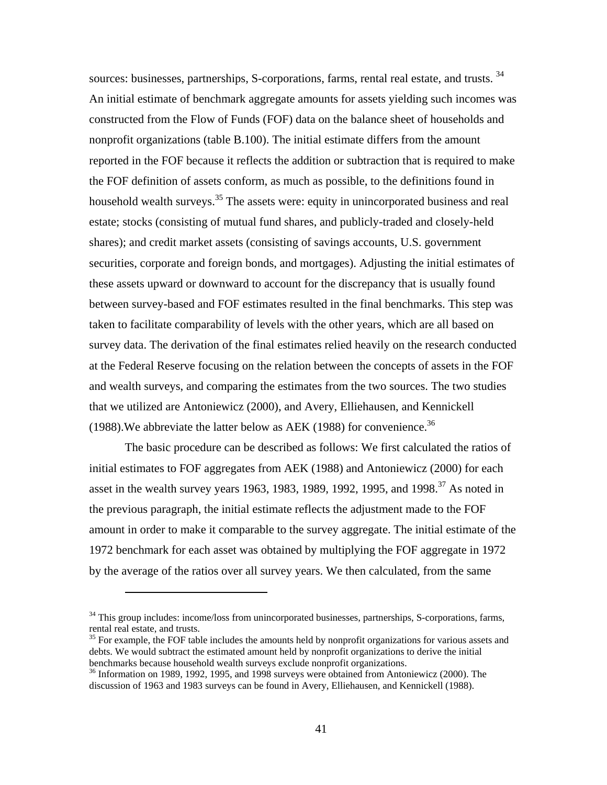sources: businesses, partnerships, S-corporations, farms, rental real estate, and trusts.<sup>34</sup> An initial estimate of benchmark aggregate amounts for assets yielding such incomes was constructed from the Flow of Funds (FOF) data on the balance sheet of households and nonprofit organizations (table B.100). The initial estimate differs from the amount reported in the FOF because it reflects the addition or subtraction that is required to make the FOF definition of assets conform, as much as possible, to the definitions found in household wealth surveys.<sup>35</sup> The assets were: equity in unincorporated business and real estate; stocks (consisting of mutual fund shares, and publicly-traded and closely-held shares); and credit market assets (consisting of savings accounts, U.S. government securities, corporate and foreign bonds, and mortgages). Adjusting the initial estimates of these assets upward or downward to account for the discrepancy that is usually found between survey-based and FOF estimates resulted in the final benchmarks. This step was taken to facilitate comparability of levels with the other years, which are all based on survey data. The derivation of the final estimates relied heavily on the research conducted at the Federal Reserve focusing on the relation between the concepts of assets in the FOF and wealth surveys, and comparing the estimates from the two sources. The two studies that we utilized are Antoniewicz (2000), and Avery, Elliehausen, and Kennickell (1988). We abbreviate the latter below as AEK (1988) for convenience.  $36$ 

The basic procedure can be described as follows: We first calculated the ratios of initial estimates to FOF aggregates from AEK (1988) and Antoniewicz (2000) for each asset in the wealth survey years 1963, 1983, 1989, 1992, 1995, and 1998.<sup>37</sup> As noted in the previous paragraph, the initial estimate reflects the adjustment made to the FOF amount in order to make it comparable to the survey aggregate. The initial estimate of the 1972 benchmark for each asset was obtained by multiplying the FOF aggregate in 1972 by the average of the ratios over all survey years. We then calculated, from the same

 $\overline{a}$ 

<sup>&</sup>lt;sup>34</sup> This group includes: income/loss from unincorporated businesses, partnerships, S-corporations, farms, rental real estate, and trusts.

<sup>&</sup>lt;sup>35</sup> For example, the FOF table includes the amounts held by nonprofit organizations for various assets and debts. We would subtract the estimated amount held by nonprofit organizations to derive the initial benchmarks because household wealth surveys exclude nonprofit organizations.

<sup>&</sup>lt;sup>36</sup> Information on 1989, 1992, 1995, and 1998 surveys were obtained from Antoniewicz (2000). The discussion of 1963 and 1983 surveys can be found in Avery, Elliehausen, and Kennickell (1988).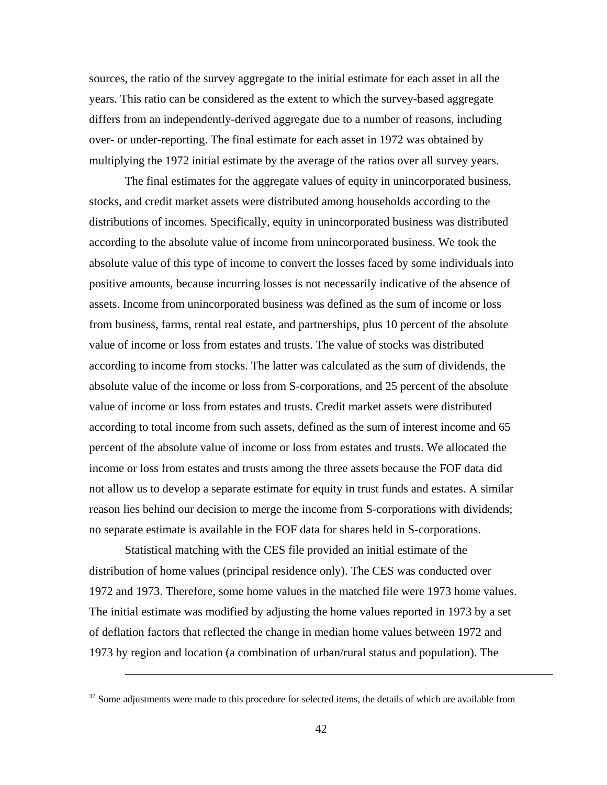sources, the ratio of the survey aggregate to the initial estimate for each asset in all the years. This ratio can be considered as the extent to which the survey-based aggregate differs from an independently-derived aggregate due to a number of reasons, including over- or under-reporting. The final estimate for each asset in 1972 was obtained by multiplying the 1972 initial estimate by the average of the ratios over all survey years.

The final estimates for the aggregate values of equity in unincorporated business, stocks, and credit market assets were distributed among households according to the distributions of incomes. Specifically, equity in unincorporated business was distributed according to the absolute value of income from unincorporated business. We took the absolute value of this type of income to convert the losses faced by some individuals into positive amounts, because incurring losses is not necessarily indicative of the absence of assets. Income from unincorporated business was defined as the sum of income or loss from business, farms, rental real estate, and partnerships, plus 10 percent of the absolute value of income or loss from estates and trusts. The value of stocks was distributed according to income from stocks. The latter was calculated as the sum of dividends, the absolute value of the income or loss from S-corporations, and 25 percent of the absolute value of income or loss from estates and trusts. Credit market assets were distributed according to total income from such assets, defined as the sum of interest income and 65 percent of the absolute value of income or loss from estates and trusts. We allocated the income or loss from estates and trusts among the three assets because the FOF data did not allow us to develop a separate estimate for equity in trust funds and estates. A similar reason lies behind our decision to merge the income from S-corporations with dividends; no separate estimate is available in the FOF data for shares held in S-corporations.

Statistical matching with the CES file provided an initial estimate of the distribution of home values (principal residence only). The CES was conducted over 1972 and 1973. Therefore, some home values in the matched file were 1973 home values. The initial estimate was modified by adjusting the home values reported in 1973 by a set of deflation factors that reflected the change in median home values between 1972 and 1973 by region and location (a combination of urban/rural status and population). The

 $\overline{a}$ 

 $37$  Some adjustments were made to this procedure for selected items, the details of which are available from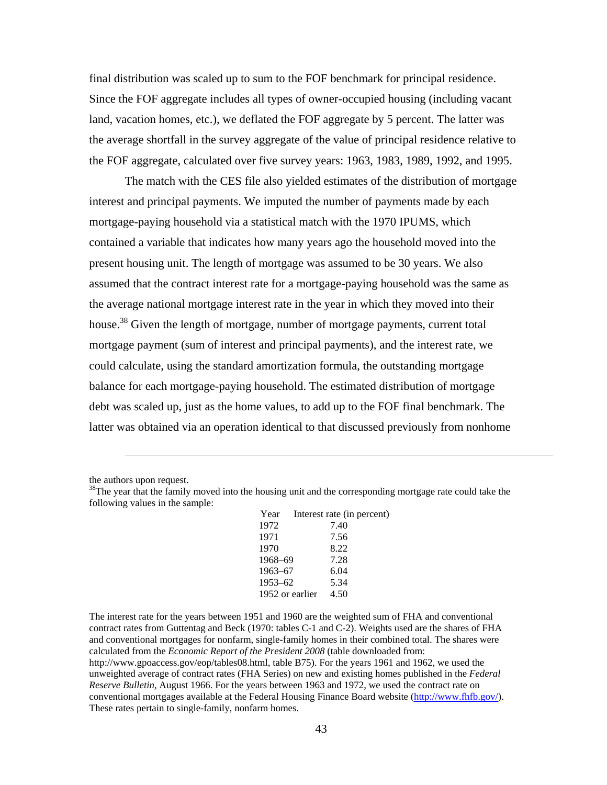final distribution was scaled up to sum to the FOF benchmark for principal residence. Since the FOF aggregate includes all types of owner-occupied housing (including vacant land, vacation homes, etc.), we deflated the FOF aggregate by 5 percent. The latter was the average shortfall in the survey aggregate of the value of principal residence relative to the FOF aggregate, calculated over five survey years: 1963, 1983, 1989, 1992, and 1995.

The match with the CES file also yielded estimates of the distribution of mortgage interest and principal payments. We imputed the number of payments made by each mortgage-paying household via a statistical match with the 1970 IPUMS, which contained a variable that indicates how many years ago the household moved into the present housing unit. The length of mortgage was assumed to be 30 years. We also assumed that the contract interest rate for a mortgage-paying household was the same as the average national mortgage interest rate in the year in which they moved into their house.<sup>38</sup> Given the length of mortgage, number of mortgage payments, current total mortgage payment (sum of interest and principal payments), and the interest rate, we could calculate, using the standard amortization formula, the outstanding mortgage balance for each mortgage-paying household. The estimated distribution of mortgage debt was scaled up, just as the home values, to add up to the FOF final benchmark. The latter was obtained via an operation identical to that discussed previously from nonhome

the authors upon request.

 $\overline{a}$ 

<sup>&</sup>lt;sup>38</sup>The year that the family moved into the housing unit and the corresponding mortgage rate could take the following values in the sample:

| Year            | Interest rate (in percent) |      |  |
|-----------------|----------------------------|------|--|
| 1972            |                            | 7.40 |  |
| 1971            |                            | 7.56 |  |
| 1970            |                            | 8.22 |  |
| 1968-69         |                            | 7.28 |  |
| $1963 - 67$     |                            | 6.04 |  |
| $1953 - 62$     |                            | 5.34 |  |
| 1952 or earlier |                            | 4.50 |  |
|                 |                            |      |  |

The interest rate for the years between 1951 and 1960 are the weighted sum of FHA and conventional contract rates from Guttentag and Beck (1970: tables C-1 and C-2). Weights used are the shares of FHA and conventional mortgages for nonfarm, single-family homes in their combined total. The shares were calculated from the *Economic Report of the President 2008* (table downloaded from: http://www.gpoaccess.gov/eop/tables08.html, table B75). For the years 1961 and 1962, we used the unweighted average of contract rates (FHA Series) on new and existing homes published in the *Federal Reserve Bulletin*, August 1966. For the years between 1963 and 1972, we used the contract rate on conventional mortgages available at the Federal Housing Finance Board website (http://www.fhfb.gov/). These rates pertain to single-family, nonfarm homes.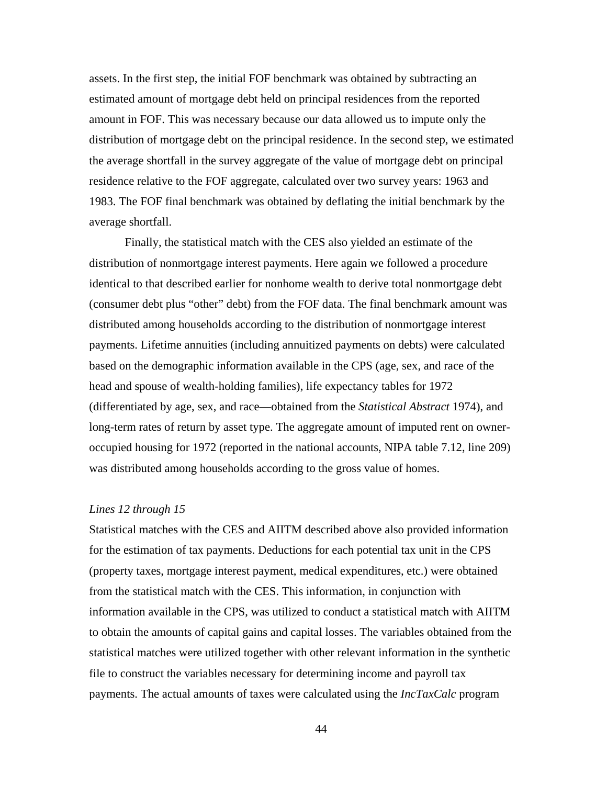assets. In the first step, the initial FOF benchmark was obtained by subtracting an estimated amount of mortgage debt held on principal residences from the reported amount in FOF. This was necessary because our data allowed us to impute only the distribution of mortgage debt on the principal residence. In the second step, we estimated the average shortfall in the survey aggregate of the value of mortgage debt on principal residence relative to the FOF aggregate, calculated over two survey years: 1963 and 1983. The FOF final benchmark was obtained by deflating the initial benchmark by the average shortfall.

Finally, the statistical match with the CES also yielded an estimate of the distribution of nonmortgage interest payments. Here again we followed a procedure identical to that described earlier for nonhome wealth to derive total nonmortgage debt (consumer debt plus "other" debt) from the FOF data. The final benchmark amount was distributed among households according to the distribution of nonmortgage interest payments. Lifetime annuities (including annuitized payments on debts) were calculated based on the demographic information available in the CPS (age, sex, and race of the head and spouse of wealth-holding families), life expectancy tables for 1972 (differentiated by age, sex, and race—obtained from the *Statistical Abstract* 1974), and long-term rates of return by asset type. The aggregate amount of imputed rent on owneroccupied housing for 1972 (reported in the national accounts, NIPA table 7.12, line 209) was distributed among households according to the gross value of homes.

#### *Lines 12 through 15*

Statistical matches with the CES and AIITM described above also provided information for the estimation of tax payments. Deductions for each potential tax unit in the CPS (property taxes, mortgage interest payment, medical expenditures, etc.) were obtained from the statistical match with the CES. This information, in conjunction with information available in the CPS, was utilized to conduct a statistical match with AIITM to obtain the amounts of capital gains and capital losses. The variables obtained from the statistical matches were utilized together with other relevant information in the synthetic file to construct the variables necessary for determining income and payroll tax payments. The actual amounts of taxes were calculated using the *IncTaxCalc* program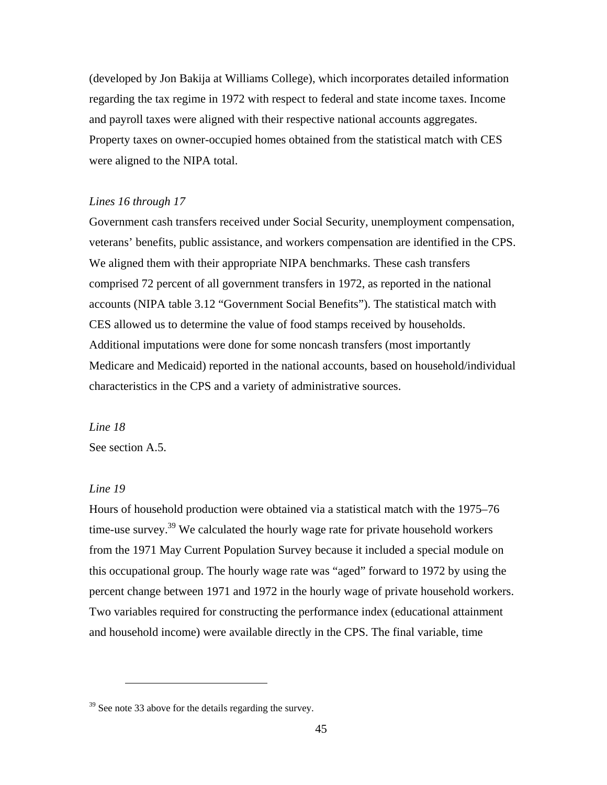(developed by Jon Bakija at Williams College), which incorporates detailed information regarding the tax regime in 1972 with respect to federal and state income taxes. Income and payroll taxes were aligned with their respective national accounts aggregates. Property taxes on owner-occupied homes obtained from the statistical match with CES were aligned to the NIPA total.

## *Lines 16 through 17*

Government cash transfers received under Social Security, unemployment compensation, veterans' benefits, public assistance, and workers compensation are identified in the CPS. We aligned them with their appropriate NIPA benchmarks. These cash transfers comprised 72 percent of all government transfers in 1972, as reported in the national accounts (NIPA table 3.12 "Government Social Benefits"). The statistical match with CES allowed us to determine the value of food stamps received by households. Additional imputations were done for some noncash transfers (most importantly Medicare and Medicaid) reported in the national accounts, based on household/individual characteristics in the CPS and a variety of administrative sources.

*Line 18*  See section A.5.

 $\overline{a}$ 

# *Line 19*

Hours of household production were obtained via a statistical match with the 1975–76 time-use survey.<sup>39</sup> We calculated the hourly wage rate for private household workers from the 1971 May Current Population Survey because it included a special module on this occupational group. The hourly wage rate was "aged" forward to 1972 by using the percent change between 1971 and 1972 in the hourly wage of private household workers. Two variables required for constructing the performance index (educational attainment and household income) were available directly in the CPS. The final variable, time

 $39$  See note 33 above for the details regarding the survey.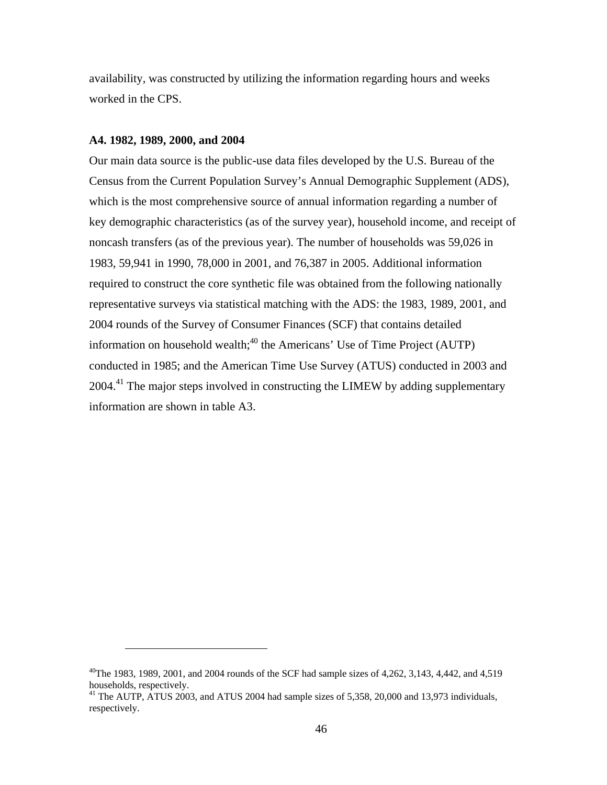availability, was constructed by utilizing the information regarding hours and weeks worked in the CPS.

#### **A4. 1982, 1989, 2000, and 2004**

 $\overline{a}$ 

Our main data source is the public-use data files developed by the U.S. Bureau of the Census from the Current Population Survey's Annual Demographic Supplement (ADS), which is the most comprehensive source of annual information regarding a number of key demographic characteristics (as of the survey year), household income, and receipt of noncash transfers (as of the previous year). The number of households was 59,026 in 1983, 59,941 in 1990, 78,000 in 2001, and 76,387 in 2005. Additional information required to construct the core synthetic file was obtained from the following nationally representative surveys via statistical matching with the ADS: the 1983, 1989, 2001, and 2004 rounds of the Survey of Consumer Finances (SCF) that contains detailed information on household wealth; $40$  the Americans' Use of Time Project (AUTP) conducted in 1985; and the American Time Use Survey (ATUS) conducted in 2003 and 2004.<sup>41</sup> The major steps involved in constructing the LIMEW by adding supplementary information are shown in table A3.

 $^{40}$ The 1983, 1989, 2001, and 2004 rounds of the SCF had sample sizes of 4,262, 3,143, 4,442, and 4,519 households, respectively.

<sup>&</sup>lt;sup>41</sup> The AUTP, ATUS 2003, and ATUS 2004 had sample sizes of 5,358, 20,000 and 13,973 individuals, respectively.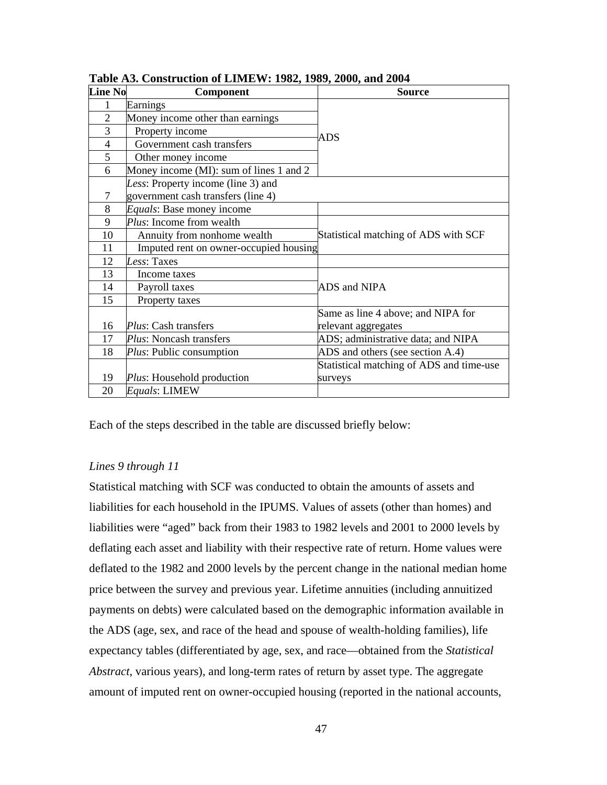| <b>Line No</b> | Component                                                                | <b>Source</b>                            |
|----------------|--------------------------------------------------------------------------|------------------------------------------|
| 1              | Earnings                                                                 |                                          |
| $\overline{2}$ | Money income other than earnings                                         |                                          |
| 3              | Property income                                                          | <b>ADS</b>                               |
| 4              | Government cash transfers                                                |                                          |
| 5              | Other money income                                                       |                                          |
| 6              | Money income (MI): sum of lines 1 and 2                                  |                                          |
| 7              | Less: Property income (line 3) and<br>government cash transfers (line 4) |                                          |
| 8              | Equals: Base money income                                                |                                          |
| 9              | Plus: Income from wealth                                                 |                                          |
| 10             | Annuity from nonhome wealth                                              | Statistical matching of ADS with SCF     |
| 11             | Imputed rent on owner-occupied housing                                   |                                          |
| 12             | Less: Taxes                                                              |                                          |
| 13             | Income taxes                                                             |                                          |
| 14             | Payroll taxes                                                            | ADS and NIPA                             |
| 15             | Property taxes                                                           |                                          |
|                |                                                                          | Same as line 4 above; and NIPA for       |
| 16             | <i>Plus</i> : Cash transfers                                             | relevant aggregates                      |
| 17             | Plus: Noncash transfers                                                  | ADS; administrative data; and NIPA       |
| 18             | <i>Plus:</i> Public consumption                                          | ADS and others (see section A.4)         |
|                |                                                                          | Statistical matching of ADS and time-use |
| 19             | Plus: Household production                                               | surveys                                  |
| 20             | Equals: LIMEW                                                            |                                          |

**Table A3. Construction of LIMEW: 1982, 1989, 2000, and 2004** 

Each of the steps described in the table are discussed briefly below:

## *Lines 9 through 11*

Statistical matching with SCF was conducted to obtain the amounts of assets and liabilities for each household in the IPUMS. Values of assets (other than homes) and liabilities were "aged" back from their 1983 to 1982 levels and 2001 to 2000 levels by deflating each asset and liability with their respective rate of return. Home values were deflated to the 1982 and 2000 levels by the percent change in the national median home price between the survey and previous year. Lifetime annuities (including annuitized payments on debts) were calculated based on the demographic information available in the ADS (age, sex, and race of the head and spouse of wealth-holding families), life expectancy tables (differentiated by age, sex, and race—obtained from the *Statistical Abstract*, various years), and long-term rates of return by asset type. The aggregate amount of imputed rent on owner-occupied housing (reported in the national accounts,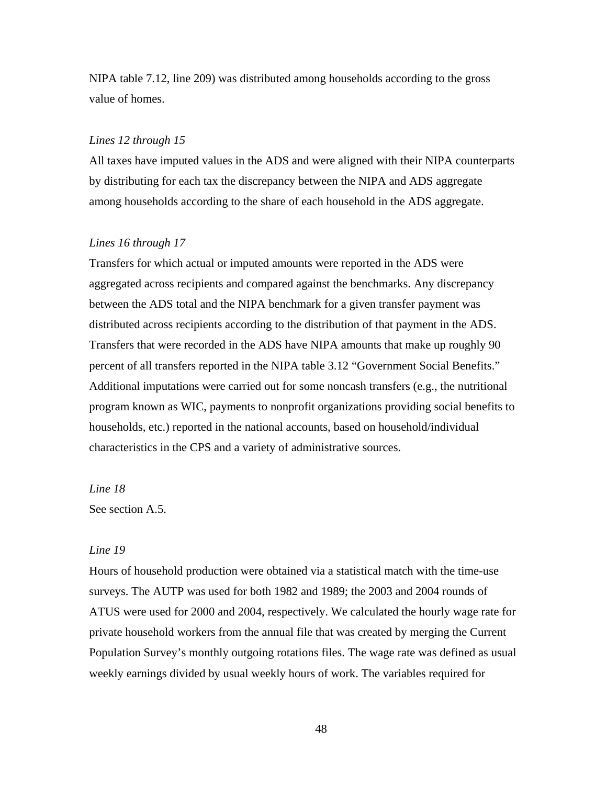NIPA table 7.12, line 209) was distributed among households according to the gross value of homes.

#### *Lines 12 through 15*

All taxes have imputed values in the ADS and were aligned with their NIPA counterparts by distributing for each tax the discrepancy between the NIPA and ADS aggregate among households according to the share of each household in the ADS aggregate.

### *Lines 16 through 17*

Transfers for which actual or imputed amounts were reported in the ADS were aggregated across recipients and compared against the benchmarks. Any discrepancy between the ADS total and the NIPA benchmark for a given transfer payment was distributed across recipients according to the distribution of that payment in the ADS. Transfers that were recorded in the ADS have NIPA amounts that make up roughly 90 percent of all transfers reported in the NIPA table 3.12 "Government Social Benefits." Additional imputations were carried out for some noncash transfers (e.g., the nutritional program known as WIC, payments to nonprofit organizations providing social benefits to households, etc.) reported in the national accounts, based on household/individual characteristics in the CPS and a variety of administrative sources.

#### *Line 18*

See section A.5.

## *Line 19*

Hours of household production were obtained via a statistical match with the time-use surveys. The AUTP was used for both 1982 and 1989; the 2003 and 2004 rounds of ATUS were used for 2000 and 2004, respectively. We calculated the hourly wage rate for private household workers from the annual file that was created by merging the Current Population Survey's monthly outgoing rotations files. The wage rate was defined as usual weekly earnings divided by usual weekly hours of work. The variables required for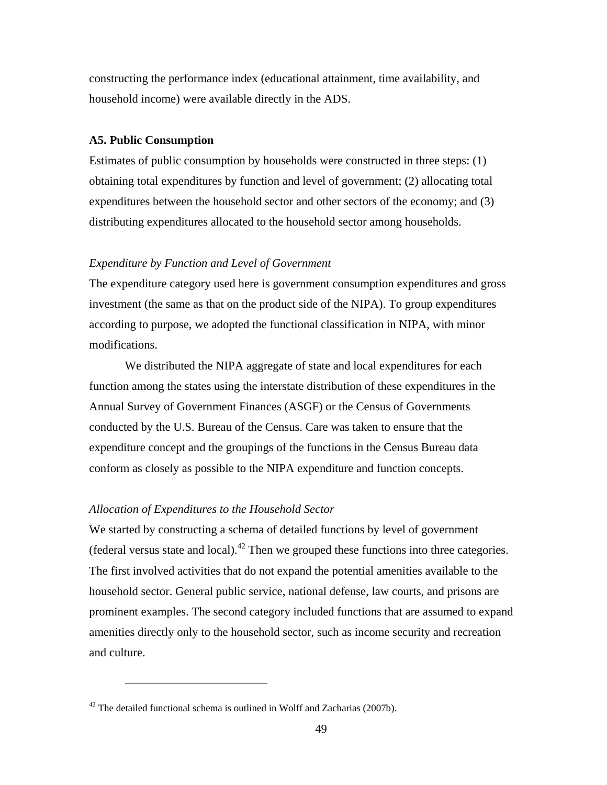constructing the performance index (educational attainment, time availability, and household income) were available directly in the ADS.

#### **A5. Public Consumption**

Estimates of public consumption by households were constructed in three steps: (1) obtaining total expenditures by function and level of government; (2) allocating total expenditures between the household sector and other sectors of the economy; and (3) distributing expenditures allocated to the household sector among households.

### *Expenditure by Function and Level of Government*

The expenditure category used here is government consumption expenditures and gross investment (the same as that on the product side of the NIPA). To group expenditures according to purpose, we adopted the functional classification in NIPA, with minor modifications.

We distributed the NIPA aggregate of state and local expenditures for each function among the states using the interstate distribution of these expenditures in the Annual Survey of Government Finances (ASGF) or the Census of Governments conducted by the U.S. Bureau of the Census. Care was taken to ensure that the expenditure concept and the groupings of the functions in the Census Bureau data conform as closely as possible to the NIPA expenditure and function concepts.

### *Allocation of Expenditures to the Household Sector*

 $\overline{a}$ 

We started by constructing a schema of detailed functions by level of government (federal versus state and local).<sup>42</sup> Then we grouped these functions into three categories. The first involved activities that do not expand the potential amenities available to the household sector. General public service, national defense, law courts, and prisons are prominent examples. The second category included functions that are assumed to expand amenities directly only to the household sector, such as income security and recreation and culture.

 $42$  The detailed functional schema is outlined in Wolff and Zacharias (2007b).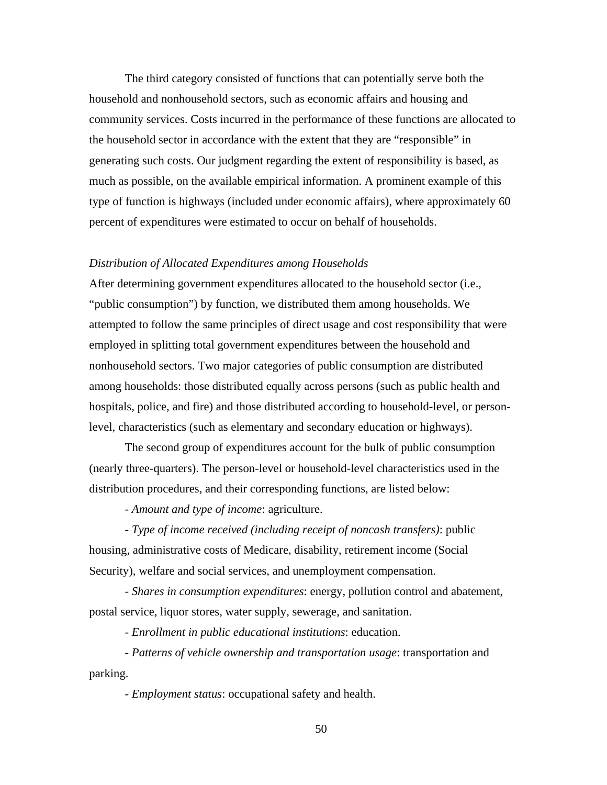The third category consisted of functions that can potentially serve both the household and nonhousehold sectors, such as economic affairs and housing and community services. Costs incurred in the performance of these functions are allocated to the household sector in accordance with the extent that they are "responsible" in generating such costs. Our judgment regarding the extent of responsibility is based, as much as possible, on the available empirical information. A prominent example of this type of function is highways (included under economic affairs), where approximately 60 percent of expenditures were estimated to occur on behalf of households.

### *Distribution of Allocated Expenditures among Households*

After determining government expenditures allocated to the household sector (i.e., "public consumption") by function, we distributed them among households. We attempted to follow the same principles of direct usage and cost responsibility that were employed in splitting total government expenditures between the household and nonhousehold sectors. Two major categories of public consumption are distributed among households: those distributed equally across persons (such as public health and hospitals, police, and fire) and those distributed according to household-level, or personlevel, characteristics (such as elementary and secondary education or highways).

The second group of expenditures account for the bulk of public consumption (nearly three-quarters). The person-level or household-level characteristics used in the distribution procedures, and their corresponding functions, are listed below:

*- Amount and type of income*: agriculture.

*- Type of income received (including receipt of noncash transfers)*: public housing, administrative costs of Medicare, disability, retirement income (Social Security), welfare and social services, and unemployment compensation.

*- Shares in consumption expenditures*: energy, pollution control and abatement, postal service, liquor stores, water supply, sewerage, and sanitation.

*- Enrollment in public educational institutions*: education.

*- Patterns of vehicle ownership and transportation usage*: transportation and parking.

*- Employment status*: occupational safety and health.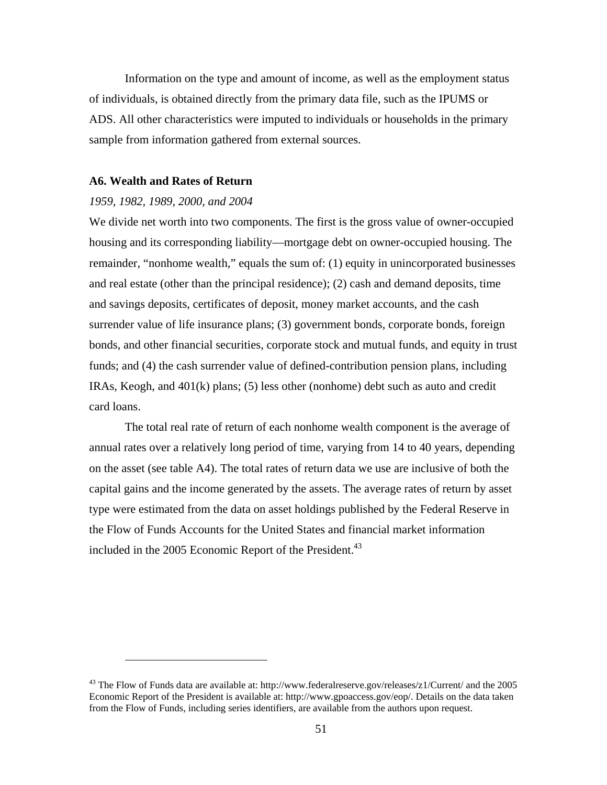Information on the type and amount of income, as well as the employment status of individuals, is obtained directly from the primary data file, such as the IPUMS or ADS. All other characteristics were imputed to individuals or households in the primary sample from information gathered from external sources.

#### **A6. Wealth and Rates of Return**

#### *1959, 1982, 1989, 2000, and 2004*

 $\overline{a}$ 

We divide net worth into two components. The first is the gross value of owner-occupied housing and its corresponding liability—mortgage debt on owner-occupied housing. The remainder, "nonhome wealth," equals the sum of: (1) equity in unincorporated businesses and real estate (other than the principal residence); (2) cash and demand deposits, time and savings deposits, certificates of deposit, money market accounts, and the cash surrender value of life insurance plans; (3) government bonds, corporate bonds, foreign bonds, and other financial securities, corporate stock and mutual funds, and equity in trust funds; and (4) the cash surrender value of defined-contribution pension plans, including IRAs, Keogh, and 401(k) plans; (5) less other (nonhome) debt such as auto and credit card loans.

The total real rate of return of each nonhome wealth component is the average of annual rates over a relatively long period of time, varying from 14 to 40 years, depending on the asset (see table A4). The total rates of return data we use are inclusive of both the capital gains and the income generated by the assets. The average rates of return by asset type were estimated from the data on asset holdings published by the Federal Reserve in the Flow of Funds Accounts for the United States and financial market information included in the 2005 Economic Report of the President. $43$ 

<sup>&</sup>lt;sup>43</sup> The Flow of Funds data are available at: http://www.federalreserve.gov/releases/z1/Current/ and the 2005 Economic Report of the President is available at: http://www.gpoaccess.gov/eop/. Details on the data taken from the Flow of Funds, including series identifiers, are available from the authors upon request.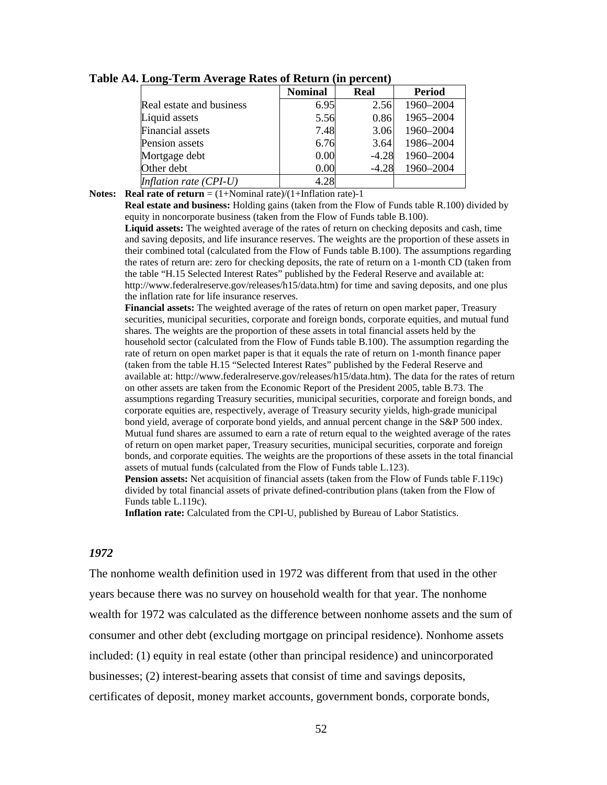|                          | <b>Nominal</b> | <b>Real</b> | <b>Period</b> |
|--------------------------|----------------|-------------|---------------|
| Real estate and business | 6.95           | 2.56        | 1960-2004     |
| Liquid assets            | 5.56           | 0.86        | 1965-2004     |
| <b>Financial</b> assets  | 7.48           | 3.06        | 1960-2004     |
| Pension assets           | 6.76           | 3.64        | 1986-2004     |
| Mortgage debt            | 0.00           | $-4.28$     | 1960-2004     |
| Other debt               | 0.00           | $-4.28$     | 1960-2004     |
| Inflation rate $(CPI-U)$ | 4.28           |             |               |

#### **Table A4. Long-Term Average Rates of Return (in percent)**

**Notes: Real rate of return** =  $(1+~~Nominal rate)/ $(1+Inflation rate)$ -1</del>~~$ 

**Real estate and business:** Holding gains (taken from the Flow of Funds table R.100) divided by equity in noncorporate business (taken from the Flow of Funds table B.100).

**Liquid assets:** The weighted average of the rates of return on checking deposits and cash, time and saving deposits, and life insurance reserves. The weights are the proportion of these assets in their combined total (calculated from the Flow of Funds table B.100). The assumptions regarding the rates of return are: zero for checking deposits, the rate of return on a 1-month CD (taken from the table "H.15 Selected Interest Rates" published by the Federal Reserve and available at: http://www.federalreserve.gov/releases/h15/data.htm) for time and saving deposits, and one plus the inflation rate for life insurance reserves.

**Financial assets:** The weighted average of the rates of return on open market paper, Treasury securities, municipal securities, corporate and foreign bonds, corporate equities, and mutual fund shares. The weights are the proportion of these assets in total financial assets held by the household sector (calculated from the Flow of Funds table B.100). The assumption regarding the rate of return on open market paper is that it equals the rate of return on 1-month finance paper (taken from the table H.15 "Selected Interest Rates" published by the Federal Reserve and available at: http://www.federalreserve.gov/releases/h15/data.htm). The data for the rates of return on other assets are taken from the Economic Report of the President 2005, table B.73. The assumptions regarding Treasury securities, municipal securities, corporate and foreign bonds, and corporate equities are, respectively, average of Treasury security yields, high-grade municipal bond yield, average of corporate bond yields, and annual percent change in the S&P 500 index. Mutual fund shares are assumed to earn a rate of return equal to the weighted average of the rates of return on open market paper, Treasury securities, municipal securities, corporate and foreign bonds, and corporate equities. The weights are the proportions of these assets in the total financial assets of mutual funds (calculated from the Flow of Funds table L.123).

**Pension assets:** Net acquisition of financial assets (taken from the Flow of Funds table F.119c) divided by total financial assets of private defined-contribution plans (taken from the Flow of Funds table L.119c).

**Inflation rate:** Calculated from the CPI-U, published by Bureau of Labor Statistics.

#### *1972*

The nonhome wealth definition used in 1972 was different from that used in the other years because there was no survey on household wealth for that year. The nonhome wealth for 1972 was calculated as the difference between nonhome assets and the sum of consumer and other debt (excluding mortgage on principal residence). Nonhome assets included: (1) equity in real estate (other than principal residence) and unincorporated businesses; (2) interest-bearing assets that consist of time and savings deposits, certificates of deposit, money market accounts, government bonds, corporate bonds,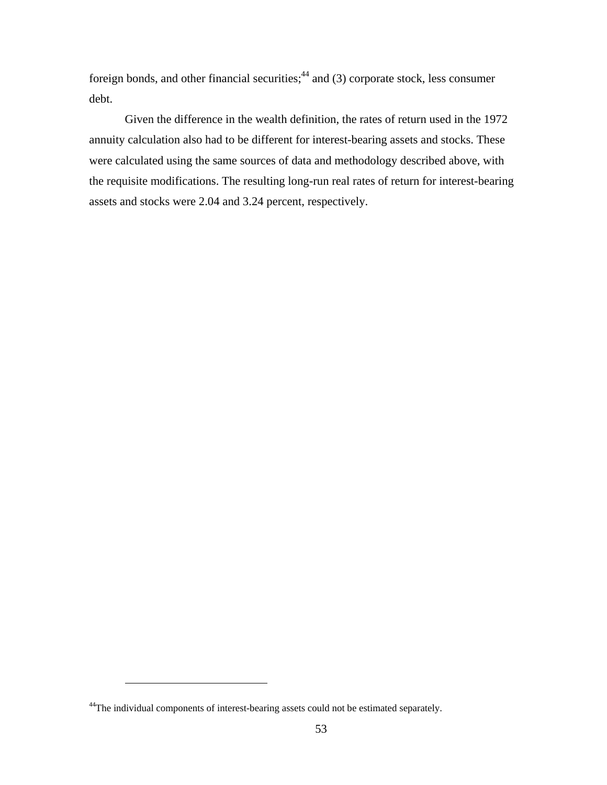foreign bonds, and other financial securities; $44$  and (3) corporate stock, less consumer debt.

Given the difference in the wealth definition, the rates of return used in the 1972 annuity calculation also had to be different for interest-bearing assets and stocks. These were calculated using the same sources of data and methodology described above, with the requisite modifications. The resulting long-run real rates of return for interest-bearing assets and stocks were 2.04 and 3.24 percent, respectively.

 $\overline{a}$ 

<sup>&</sup>lt;sup>44</sup>The individual components of interest-bearing assets could not be estimated separately.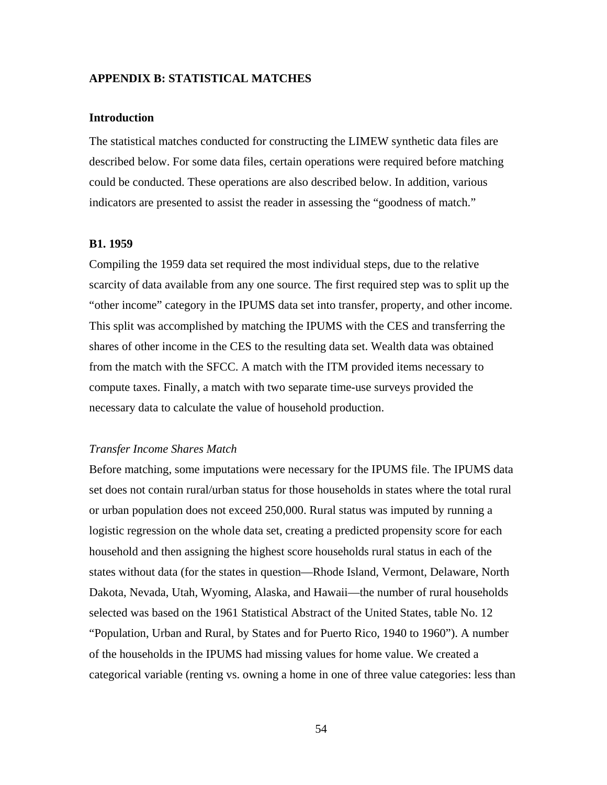### **APPENDIX B: STATISTICAL MATCHES**

#### **Introduction**

The statistical matches conducted for constructing the LIMEW synthetic data files are described below. For some data files, certain operations were required before matching could be conducted. These operations are also described below. In addition, various indicators are presented to assist the reader in assessing the "goodness of match."

#### **B1. 1959**

Compiling the 1959 data set required the most individual steps, due to the relative scarcity of data available from any one source. The first required step was to split up the "other income" category in the IPUMS data set into transfer, property, and other income. This split was accomplished by matching the IPUMS with the CES and transferring the shares of other income in the CES to the resulting data set. Wealth data was obtained from the match with the SFCC. A match with the ITM provided items necessary to compute taxes. Finally, a match with two separate time-use surveys provided the necessary data to calculate the value of household production.

### *Transfer Income Shares Match*

Before matching, some imputations were necessary for the IPUMS file. The IPUMS data set does not contain rural/urban status for those households in states where the total rural or urban population does not exceed 250,000. Rural status was imputed by running a logistic regression on the whole data set, creating a predicted propensity score for each household and then assigning the highest score households rural status in each of the states without data (for the states in question—Rhode Island, Vermont, Delaware, North Dakota, Nevada, Utah, Wyoming, Alaska, and Hawaii—the number of rural households selected was based on the 1961 Statistical Abstract of the United States, table No. 12 "Population, Urban and Rural, by States and for Puerto Rico, 1940 to 1960"). A number of the households in the IPUMS had missing values for home value. We created a categorical variable (renting vs. owning a home in one of three value categories: less than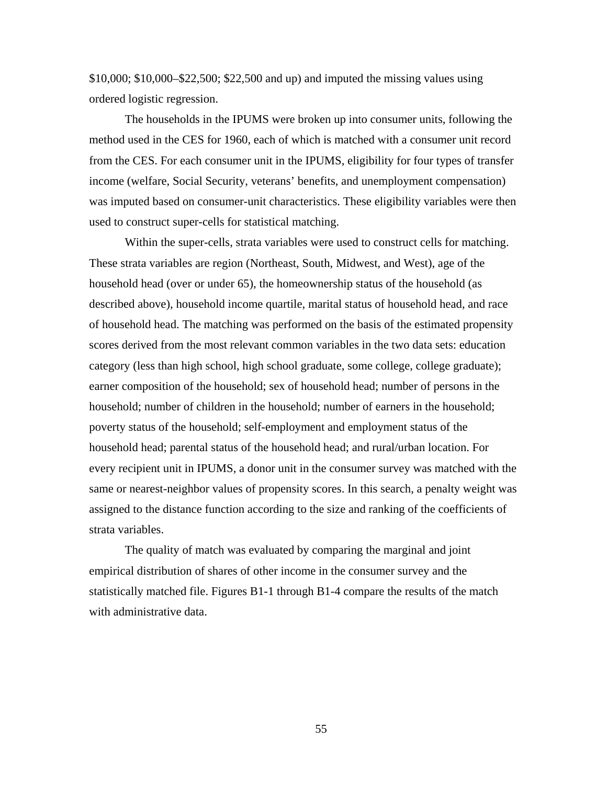\$10,000; \$10,000–\$22,500; \$22,500 and up) and imputed the missing values using ordered logistic regression.

The households in the IPUMS were broken up into consumer units, following the method used in the CES for 1960, each of which is matched with a consumer unit record from the CES. For each consumer unit in the IPUMS, eligibility for four types of transfer income (welfare, Social Security, veterans' benefits, and unemployment compensation) was imputed based on consumer-unit characteristics. These eligibility variables were then used to construct super-cells for statistical matching.

Within the super-cells, strata variables were used to construct cells for matching. These strata variables are region (Northeast, South, Midwest, and West), age of the household head (over or under 65), the homeownership status of the household (as described above), household income quartile, marital status of household head, and race of household head. The matching was performed on the basis of the estimated propensity scores derived from the most relevant common variables in the two data sets: education category (less than high school, high school graduate, some college, college graduate); earner composition of the household; sex of household head; number of persons in the household; number of children in the household; number of earners in the household; poverty status of the household; self-employment and employment status of the household head; parental status of the household head; and rural/urban location. For every recipient unit in IPUMS, a donor unit in the consumer survey was matched with the same or nearest-neighbor values of propensity scores. In this search, a penalty weight was assigned to the distance function according to the size and ranking of the coefficients of strata variables.

The quality of match was evaluated by comparing the marginal and joint empirical distribution of shares of other income in the consumer survey and the statistically matched file. Figures B1-1 through B1-4 compare the results of the match with administrative data.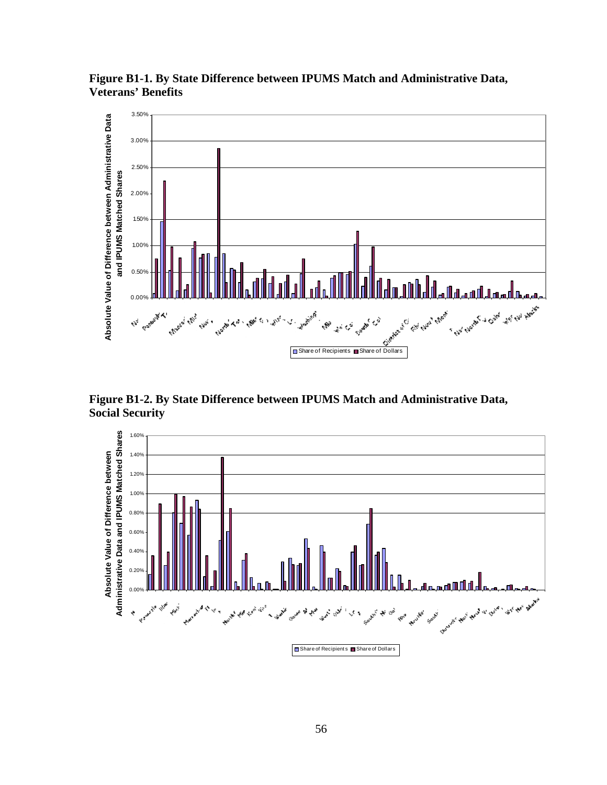

**Figure B1-1. By State Difference between IPUMS Match and Administrative Data, Veterans' Benefits** 

**Figure B1-2. By State Difference between IPUMS Match and Administrative Data, Social Security** 

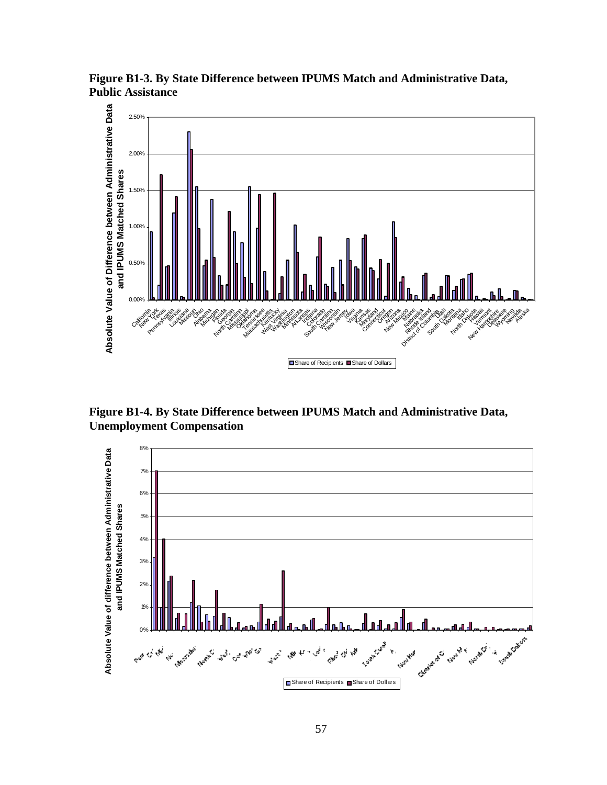**Figure B1-3. By State Difference between IPUMS Match and Administrative Data, Public Assistance** 



**Figure B1-4. By State Difference between IPUMS Match and Administrative Data, Unemployment Compensation** 

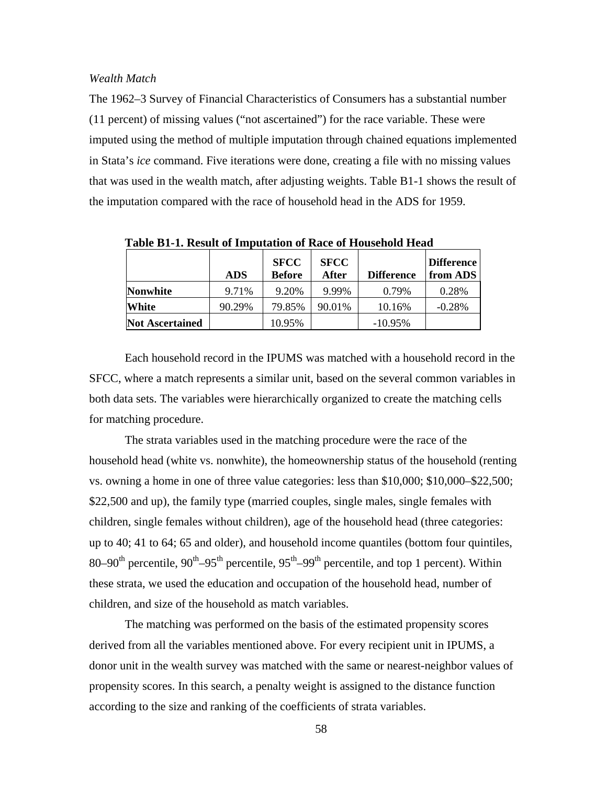### *Wealth Match*

The 1962–3 Survey of Financial Characteristics of Consumers has a substantial number (11 percent) of missing values ("not ascertained") for the race variable. These were imputed using the method of multiple imputation through chained equations implemented in Stata's *ice* command. Five iterations were done, creating a file with no missing values that was used in the wealth match, after adjusting weights. Table B1-1 shows the result of the imputation compared with the race of household head in the ADS for 1959.

|                        | <b>ADS</b> | <b>SFCC</b><br><b>Before</b> | <b>SFCC</b><br>After | <b>Difference</b> | Difference<br>from ADS |
|------------------------|------------|------------------------------|----------------------|-------------------|------------------------|
| <b>Nonwhite</b>        | 9.71%      | 9.20%                        | 9.99%                | 0.79%             | 0.28%                  |
| White                  | 90.29%     | 79.85%                       | 90.01%               | 10.16%            | $-0.28%$               |
| <b>Not Ascertained</b> |            | 10.95%                       |                      | $-10.95\%$        |                        |

**Table B1-1. Result of Imputation of Race of Household Head** 

Each household record in the IPUMS was matched with a household record in the SFCC, where a match represents a similar unit, based on the several common variables in both data sets. The variables were hierarchically organized to create the matching cells for matching procedure.

The strata variables used in the matching procedure were the race of the household head (white vs. nonwhite), the homeownership status of the household (renting vs. owning a home in one of three value categories: less than \$10,000; \$10,000–\$22,500; \$22,500 and up), the family type (married couples, single males, single females with children, single females without children), age of the household head (three categories: up to 40; 41 to 64; 65 and older), and household income quantiles (bottom four quintiles, 80–90<sup>th</sup> percentile, 90<sup>th</sup>–95<sup>th</sup> percentile, 95<sup>th</sup>–99<sup>th</sup> percentile, and top 1 percent). Within these strata, we used the education and occupation of the household head, number of children, and size of the household as match variables.

The matching was performed on the basis of the estimated propensity scores derived from all the variables mentioned above. For every recipient unit in IPUMS, a donor unit in the wealth survey was matched with the same or nearest-neighbor values of propensity scores. In this search, a penalty weight is assigned to the distance function according to the size and ranking of the coefficients of strata variables.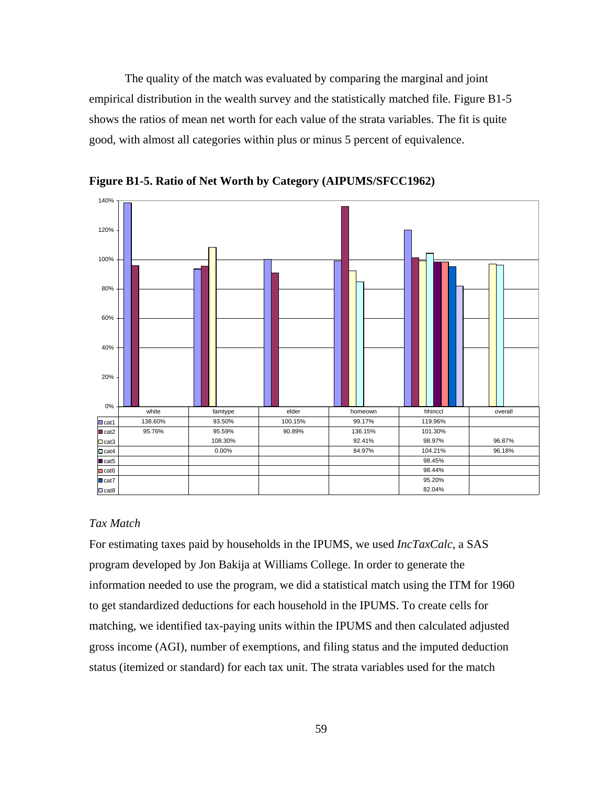The quality of the match was evaluated by comparing the marginal and joint empirical distribution in the wealth survey and the statistically matched file. Figure B1-5 shows the ratios of mean net worth for each value of the strata variables. The fit is quite good, with almost all categories within plus or minus 5 percent of equivalence.



**Figure B1-5. Ratio of Net Worth by Category (AIPUMS/SFCC1962)** 

## *Tax Match*

For estimating taxes paid by households in the IPUMS, we used *IncTaxCalc*, a SAS program developed by Jon Bakija at Williams College. In order to generate the information needed to use the program, we did a statistical match using the ITM for 1960 to get standardized deductions for each household in the IPUMS. To create cells for matching, we identified tax-paying units within the IPUMS and then calculated adjusted gross income (AGI), number of exemptions, and filing status and the imputed deduction status (itemized or standard) for each tax unit. The strata variables used for the match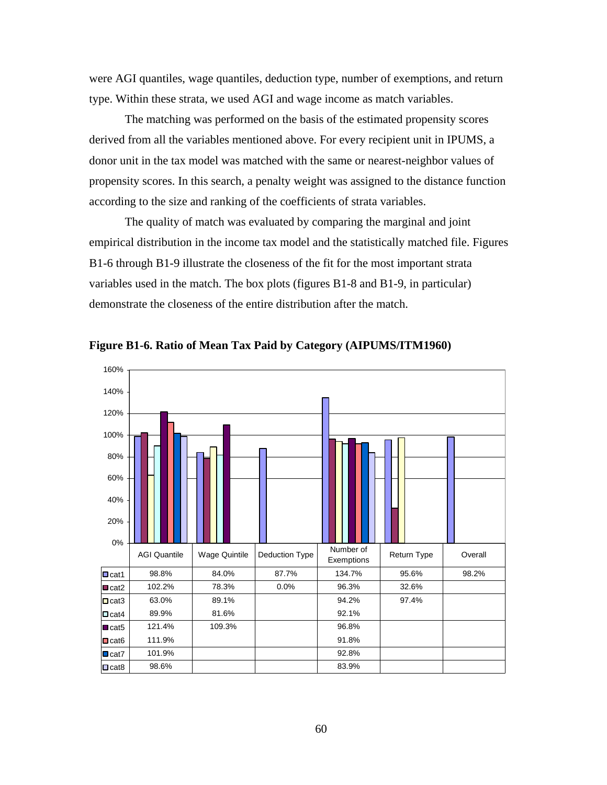were AGI quantiles, wage quantiles, deduction type, number of exemptions, and return type. Within these strata, we used AGI and wage income as match variables.

The matching was performed on the basis of the estimated propensity scores derived from all the variables mentioned above. For every recipient unit in IPUMS, a donor unit in the tax model was matched with the same or nearest-neighbor values of propensity scores. In this search, a penalty weight was assigned to the distance function according to the size and ranking of the coefficients of strata variables.

The quality of match was evaluated by comparing the marginal and joint empirical distribution in the income tax model and the statistically matched file. Figures B1-6 through B1-9 illustrate the closeness of the fit for the most important strata variables used in the match. The box plots (figures B1-8 and B1-9, in particular) demonstrate the closeness of the entire distribution after the match.



**Figure B1-6. Ratio of Mean Tax Paid by Category (AIPUMS/ITM1960)**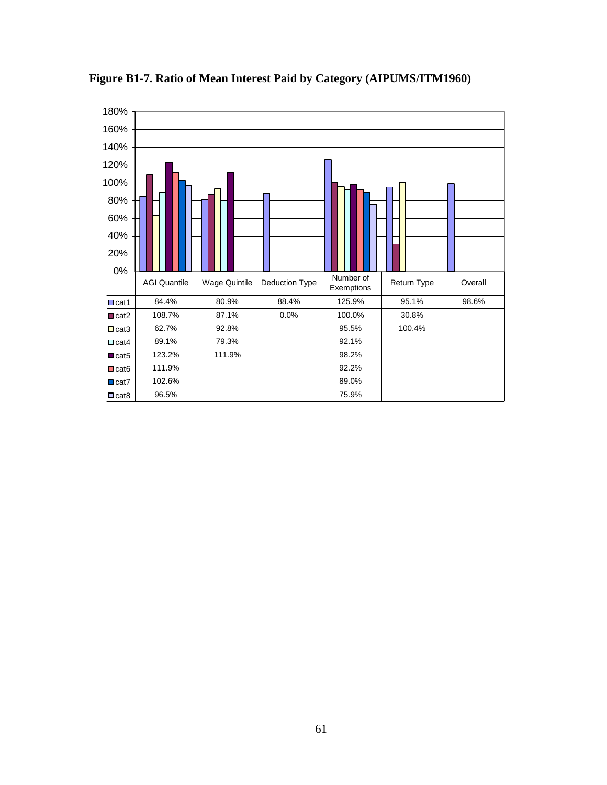

**Figure B1-7. Ratio of Mean Interest Paid by Category (AIPUMS/ITM1960)**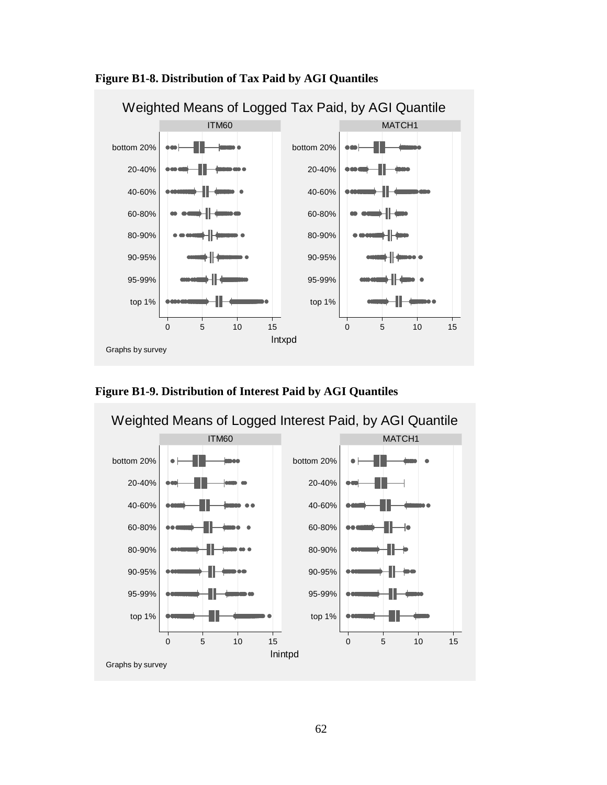

 **Figure B1-8. Distribution of Tax Paid by AGI Quantiles** 



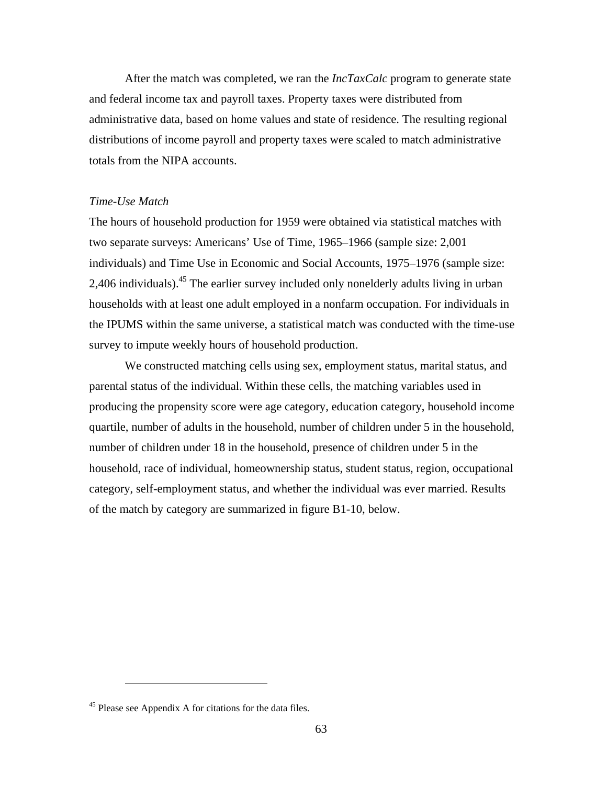After the match was completed, we ran the *IncTaxCalc* program to generate state and federal income tax and payroll taxes. Property taxes were distributed from administrative data, based on home values and state of residence. The resulting regional distributions of income payroll and property taxes were scaled to match administrative totals from the NIPA accounts.

### *Time-Use Match*

The hours of household production for 1959 were obtained via statistical matches with two separate surveys: Americans' Use of Time, 1965–1966 (sample size: 2,001 individuals) and Time Use in Economic and Social Accounts, 1975–1976 (sample size: 2,406 individuals).<sup>45</sup> The earlier survey included only nonelderly adults living in urban households with at least one adult employed in a nonfarm occupation. For individuals in the IPUMS within the same universe, a statistical match was conducted with the time-use survey to impute weekly hours of household production.

We constructed matching cells using sex, employment status, marital status, and parental status of the individual. Within these cells, the matching variables used in producing the propensity score were age category, education category, household income quartile, number of adults in the household, number of children under 5 in the household, number of children under 18 in the household, presence of children under 5 in the household, race of individual, homeownership status, student status, region, occupational category, self-employment status, and whether the individual was ever married. Results of the match by category are summarized in figure B1-10, below.

<sup>&</sup>lt;sup>45</sup> Please see Appendix A for citations for the data files.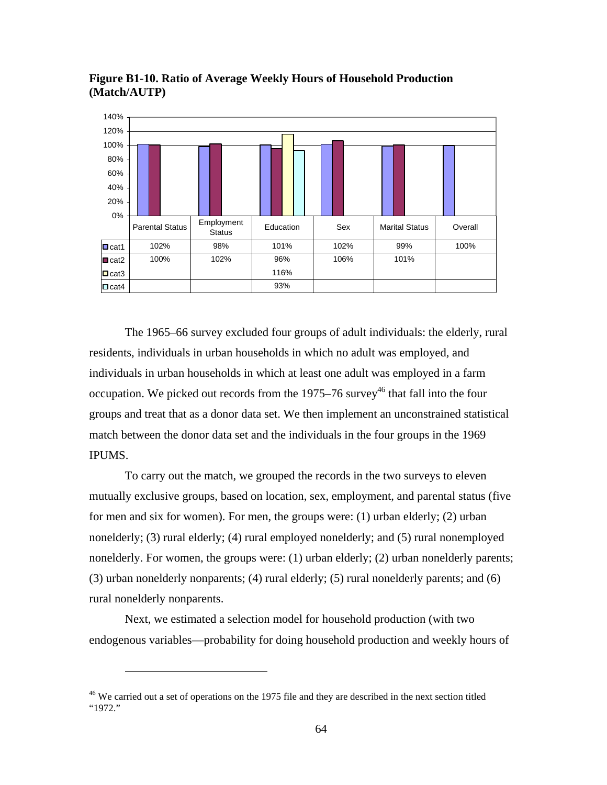

**Figure B1-10. Ratio of Average Weekly Hours of Household Production (Match/AUTP)** 

The 1965–66 survey excluded four groups of adult individuals: the elderly, rural residents, individuals in urban households in which no adult was employed, and individuals in urban households in which at least one adult was employed in a farm occupation. We picked out records from the 1975–76 survey<sup>46</sup> that fall into the four groups and treat that as a donor data set. We then implement an unconstrained statistical match between the donor data set and the individuals in the four groups in the 1969 IPUMS.

To carry out the match, we grouped the records in the two surveys to eleven mutually exclusive groups, based on location, sex, employment, and parental status (five for men and six for women). For men, the groups were: (1) urban elderly; (2) urban nonelderly; (3) rural elderly; (4) rural employed nonelderly; and (5) rural nonemployed nonelderly. For women, the groups were: (1) urban elderly; (2) urban nonelderly parents; (3) urban nonelderly nonparents; (4) rural elderly; (5) rural nonelderly parents; and (6) rural nonelderly nonparents.

Next, we estimated a selection model for household production (with two endogenous variables—probability for doing household production and weekly hours of

 $\overline{a}$ 

<sup>&</sup>lt;sup>46</sup> We carried out a set of operations on the 1975 file and they are described in the next section titled "1972."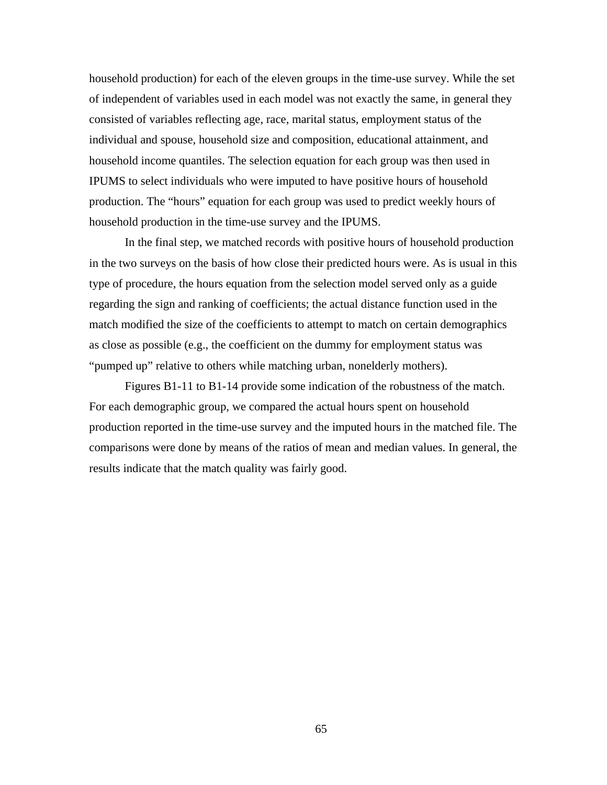household production) for each of the eleven groups in the time-use survey. While the set of independent of variables used in each model was not exactly the same, in general they consisted of variables reflecting age, race, marital status, employment status of the individual and spouse, household size and composition, educational attainment, and household income quantiles. The selection equation for each group was then used in IPUMS to select individuals who were imputed to have positive hours of household production. The "hours" equation for each group was used to predict weekly hours of household production in the time-use survey and the IPUMS.

In the final step, we matched records with positive hours of household production in the two surveys on the basis of how close their predicted hours were. As is usual in this type of procedure, the hours equation from the selection model served only as a guide regarding the sign and ranking of coefficients; the actual distance function used in the match modified the size of the coefficients to attempt to match on certain demographics as close as possible (e.g., the coefficient on the dummy for employment status was "pumped up" relative to others while matching urban, nonelderly mothers).

Figures B1-11 to B1-14 provide some indication of the robustness of the match. For each demographic group, we compared the actual hours spent on household production reported in the time-use survey and the imputed hours in the matched file. The comparisons were done by means of the ratios of mean and median values. In general, the results indicate that the match quality was fairly good.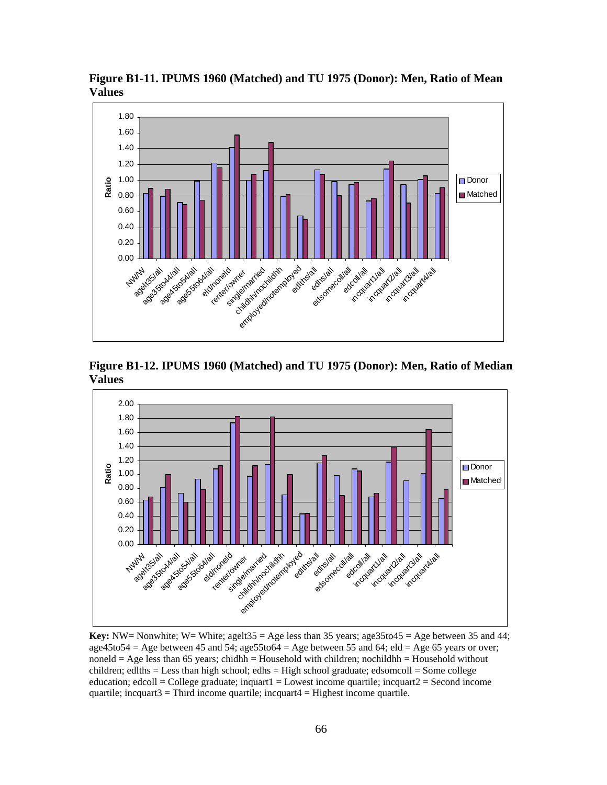

**Figure B1-11. IPUMS 1960 (Matched) and TU 1975 (Donor): Men, Ratio of Mean Values** 

**Figure B1-12. IPUMS 1960 (Matched) and TU 1975 (Donor): Men, Ratio of Median Values** 



**Key:** NW= Nonwhite; W= White; agelt  $35 = \text{Age}$  less than  $35$  years; age  $35$  to  $45 = \text{Age}$  between  $35$  and  $44$ ; age45to54 = Age between 45 and 54; age55to64 = Age between 55 and 64; eld = Age 65 years or over; noneld = Age less than 65 years; chidhh = Household with children; nochildhh = Household without children; edlths = Less than high school; edhs = High school graduate; edsomcoll = Some college education; edcoll = College graduate; inquart1 = Lowest income quartile; incquart2 = Second income quartile; incquart $3 =$ Third income quartile; incquart $4 =$  Highest income quartile.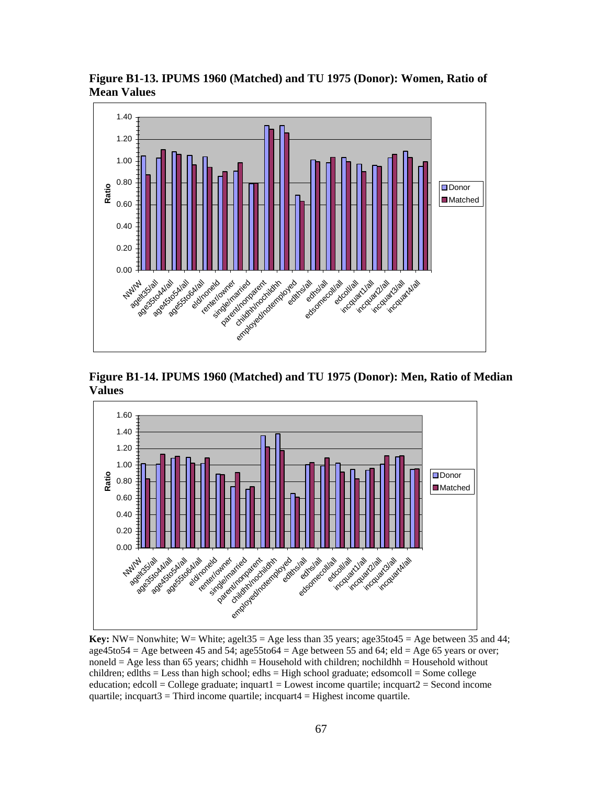

**Figure B1-13. IPUMS 1960 (Matched) and TU 1975 (Donor): Women, Ratio of Mean Values** 

**Figure B1-14. IPUMS 1960 (Matched) and TU 1975 (Donor): Men, Ratio of Median Values** 



**Key:** NW= Nonwhite; W= White; agelt  $35 = \text{Age}$  less than  $35$  years; age  $35$  to  $45 = \text{Age}$  between  $35$  and  $44$ ;  $age45to54 = Age$  between 45 and 54;  $age5to54 = Age$  between 55 and 64; eld = Age 65 years or over; noneld  $=$  Age less than 65 years; chidhh  $=$  Household with children; nochildhh  $=$  Household without children; edlths = Less than high school; edhs = High school graduate; edsomcoll = Some college education; edcoll = College graduate; inquart1 = Lowest income quartile; incquart2 = Second income quartile; incquart $3 =$ Third income quartile; incquart $4 =$  Highest income quartile.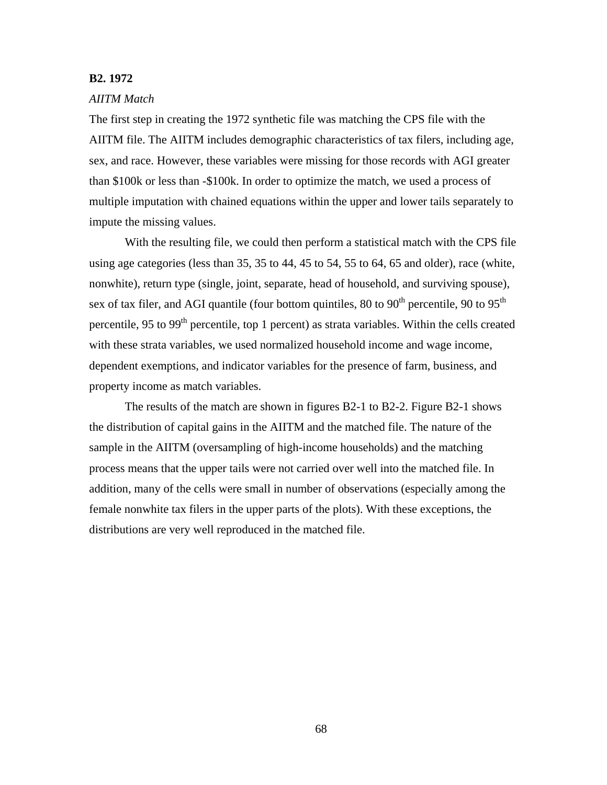#### **B2. 1972**

### *AIITM Match*

The first step in creating the 1972 synthetic file was matching the CPS file with the AIITM file. The AIITM includes demographic characteristics of tax filers, including age, sex, and race. However, these variables were missing for those records with AGI greater than \$100k or less than -\$100k. In order to optimize the match, we used a process of multiple imputation with chained equations within the upper and lower tails separately to impute the missing values.

With the resulting file, we could then perform a statistical match with the CPS file using age categories (less than 35, 35 to 44, 45 to 54, 55 to 64, 65 and older), race (white, nonwhite), return type (single, joint, separate, head of household, and surviving spouse), sex of tax filer, and AGI quantile (four bottom quintiles, 80 to 90<sup>th</sup> percentile, 90 to 95<sup>th</sup> percentile, 95 to 99<sup>th</sup> percentile, top 1 percent) as strata variables. Within the cells created with these strata variables, we used normalized household income and wage income, dependent exemptions, and indicator variables for the presence of farm, business, and property income as match variables.

The results of the match are shown in figures B2-1 to B2-2. Figure B2-1 shows the distribution of capital gains in the AIITM and the matched file. The nature of the sample in the AIITM (oversampling of high-income households) and the matching process means that the upper tails were not carried over well into the matched file. In addition, many of the cells were small in number of observations (especially among the female nonwhite tax filers in the upper parts of the plots). With these exceptions, the distributions are very well reproduced in the matched file.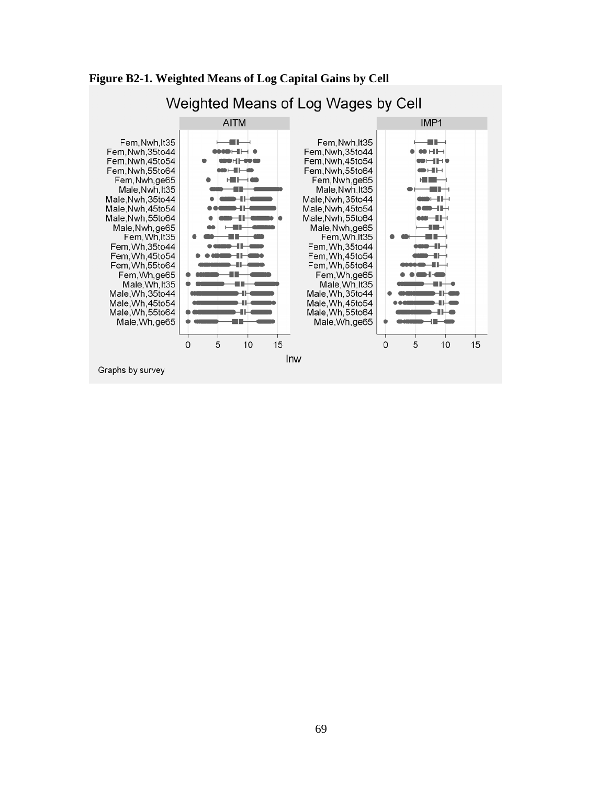

### **Figure B2-1. Weighted Means of Log Capital Gains by Cell**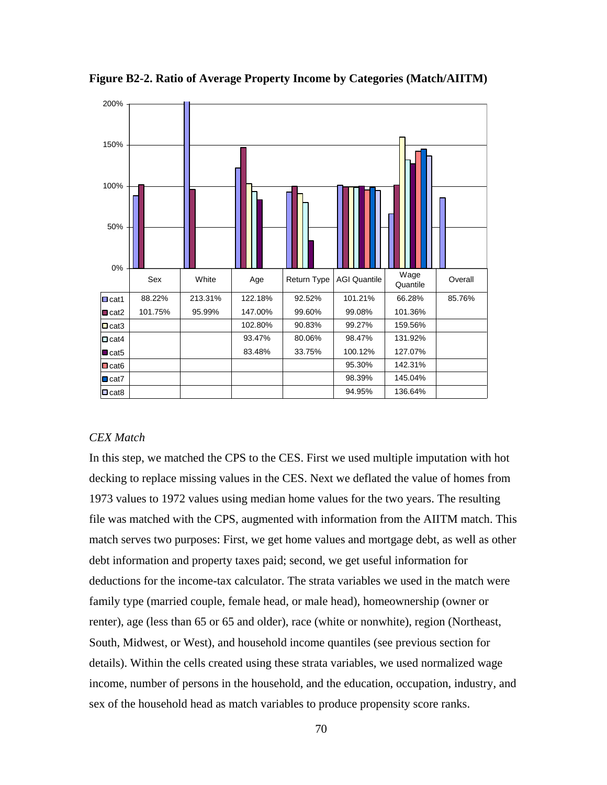

**Figure B2-2. Ratio of Average Property Income by Categories (Match/AIITM)** 

### *CEX Match*

In this step, we matched the CPS to the CES. First we used multiple imputation with hot decking to replace missing values in the CES. Next we deflated the value of homes from 1973 values to 1972 values using median home values for the two years. The resulting file was matched with the CPS, augmented with information from the AIITM match. This match serves two purposes: First, we get home values and mortgage debt, as well as other debt information and property taxes paid; second, we get useful information for deductions for the income-tax calculator. The strata variables we used in the match were family type (married couple, female head, or male head), homeownership (owner or renter), age (less than 65 or 65 and older), race (white or nonwhite), region (Northeast, South, Midwest, or West), and household income quantiles (see previous section for details). Within the cells created using these strata variables, we used normalized wage income, number of persons in the household, and the education, occupation, industry, and sex of the household head as match variables to produce propensity score ranks.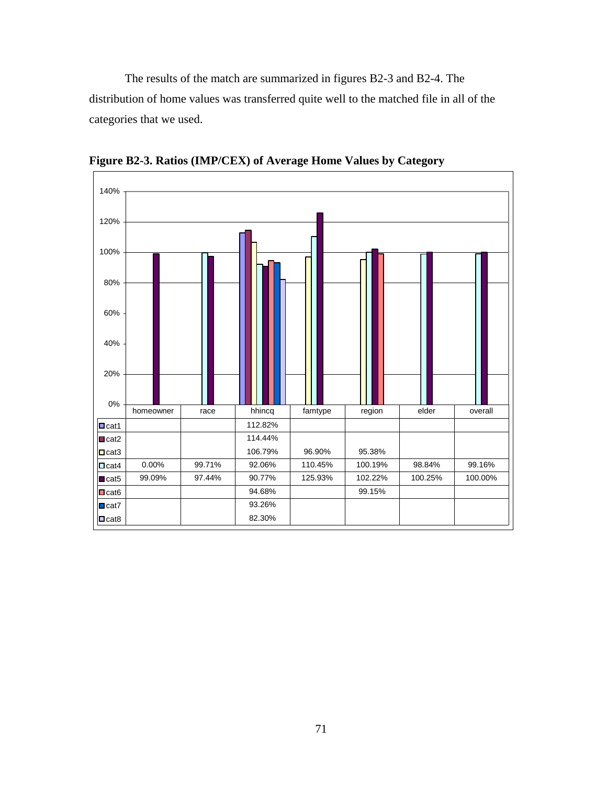The results of the match are summarized in figures B2-3 and B2-4. The distribution of home values was transferred quite well to the matched file in all of the categories that we used.



**Figure B2-3. Ratios (IMP/CEX) of Average Home Values by Category**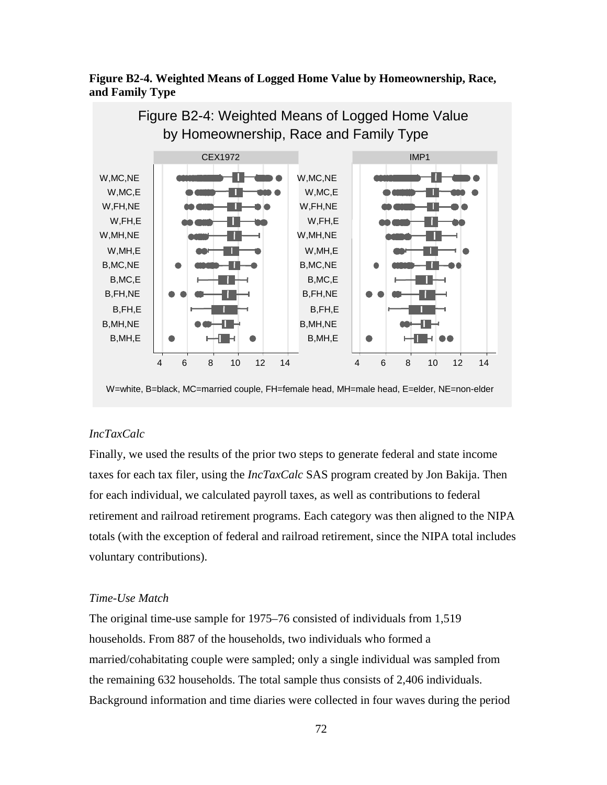## **Figure B2-4. Weighted Means of Logged Home Value by Homeownership, Race, and Family Type**



W=white, B=black, MC=married couple, FH=female head, MH=male head, E=elder, NE=non-elder

## *IncTaxCalc*

Finally, we used the results of the prior two steps to generate federal and state income taxes for each tax filer, using the *IncTaxCalc* SAS program created by Jon Bakija. Then for each individual, we calculated payroll taxes, as well as contributions to federal retirement and railroad retirement programs. Each category was then aligned to the NIPA totals (with the exception of federal and railroad retirement, since the NIPA total includes voluntary contributions).

## *Time-Use Match*

The original time-use sample for 1975–76 consisted of individuals from 1,519 households. From 887 of the households, two individuals who formed a married/cohabitating couple were sampled; only a single individual was sampled from the remaining 632 households. The total sample thus consists of 2,406 individuals. Background information and time diaries were collected in four waves during the period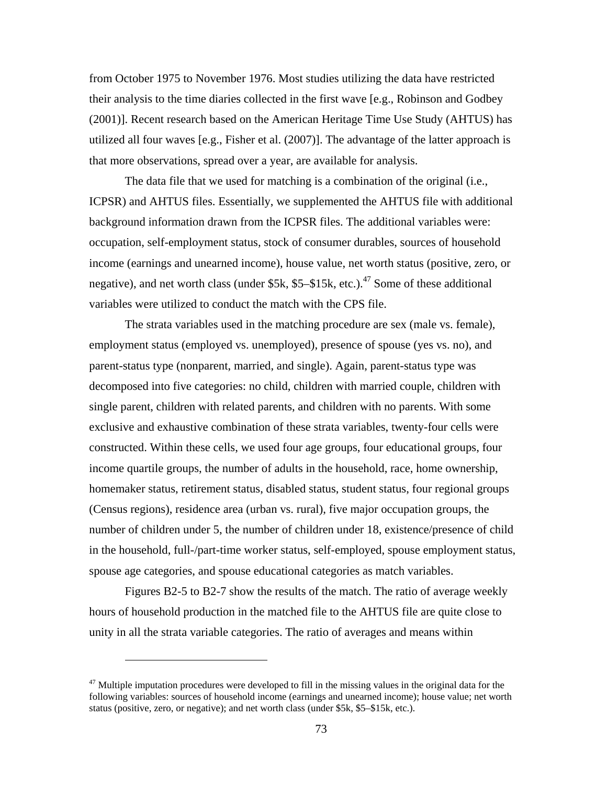from October 1975 to November 1976. Most studies utilizing the data have restricted their analysis to the time diaries collected in the first wave [e.g., Robinson and Godbey (2001)]. Recent research based on the American Heritage Time Use Study (AHTUS) has utilized all four waves [e.g., Fisher et al. (2007)]. The advantage of the latter approach is that more observations, spread over a year, are available for analysis.

The data file that we used for matching is a combination of the original (i.e., ICPSR) and AHTUS files. Essentially, we supplemented the AHTUS file with additional background information drawn from the ICPSR files. The additional variables were: occupation, self-employment status, stock of consumer durables, sources of household income (earnings and unearned income), house value, net worth status (positive, zero, or negative), and net worth class (under  $$5k, $5-$15k, etc.$ ).<sup>47</sup> Some of these additional variables were utilized to conduct the match with the CPS file.

The strata variables used in the matching procedure are sex (male vs. female), employment status (employed vs. unemployed), presence of spouse (yes vs. no), and parent-status type (nonparent, married, and single). Again, parent-status type was decomposed into five categories: no child, children with married couple, children with single parent, children with related parents, and children with no parents. With some exclusive and exhaustive combination of these strata variables, twenty-four cells were constructed. Within these cells, we used four age groups, four educational groups, four income quartile groups, the number of adults in the household, race, home ownership, homemaker status, retirement status, disabled status, student status, four regional groups (Census regions), residence area (urban vs. rural), five major occupation groups, the number of children under 5, the number of children under 18, existence/presence of child in the household, full-/part-time worker status, self-employed, spouse employment status, spouse age categories, and spouse educational categories as match variables.

Figures B2-5 to B2-7 show the results of the match. The ratio of average weekly hours of household production in the matched file to the AHTUS file are quite close to unity in all the strata variable categories. The ratio of averages and means within

 $\overline{a}$ 

 $47$  Multiple imputation procedures were developed to fill in the missing values in the original data for the following variables: sources of household income (earnings and unearned income); house value; net worth status (positive, zero, or negative); and net worth class (under \$5k, \$5–\$15k, etc.).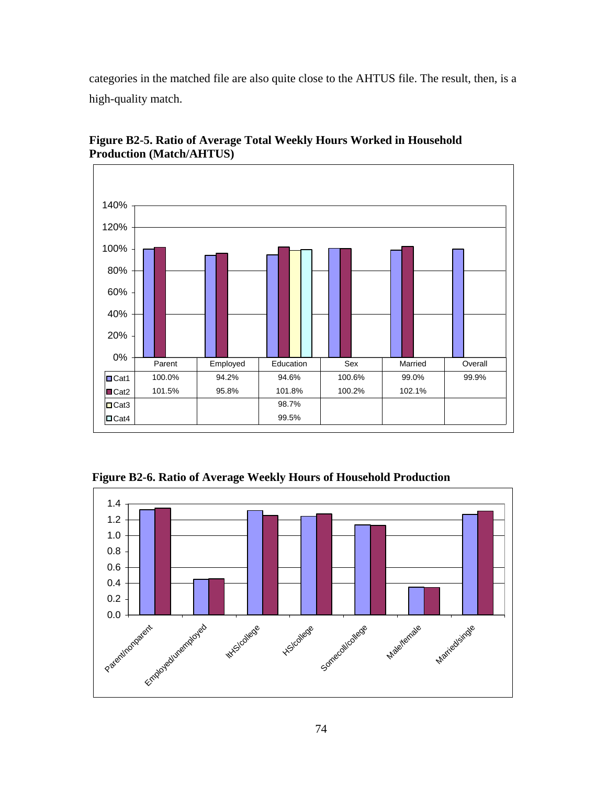categories in the matched file are also quite close to the AHTUS file. The result, then, is a high-quality match.



**Figure B2-5. Ratio of Average Total Weekly Hours Worked in Household Production (Match/AHTUS)** 

 **Figure B2-6. Ratio of Average Weekly Hours of Household Production** 

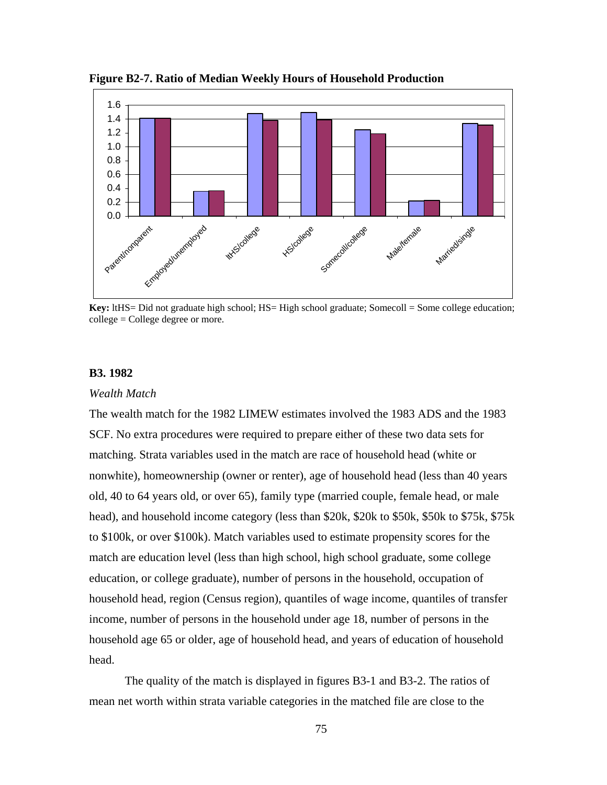

**Figure B2-7. Ratio of Median Weekly Hours of Household Production** 

**Key:** ltHS= Did not graduate high school; HS= High school graduate; Somecoll = Some college education; college = College degree or more.

## **B3. 1982**

#### *Wealth Match*

The wealth match for the 1982 LIMEW estimates involved the 1983 ADS and the 1983 SCF. No extra procedures were required to prepare either of these two data sets for matching. Strata variables used in the match are race of household head (white or nonwhite), homeownership (owner or renter), age of household head (less than 40 years old, 40 to 64 years old, or over 65), family type (married couple, female head, or male head), and household income category (less than \$20k, \$20k to \$50k, \$50k to \$75k, \$75k to \$100k, or over \$100k). Match variables used to estimate propensity scores for the match are education level (less than high school, high school graduate, some college education, or college graduate), number of persons in the household, occupation of household head, region (Census region), quantiles of wage income, quantiles of transfer income, number of persons in the household under age 18, number of persons in the household age 65 or older, age of household head, and years of education of household head.

The quality of the match is displayed in figures B3-1 and B3-2. The ratios of mean net worth within strata variable categories in the matched file are close to the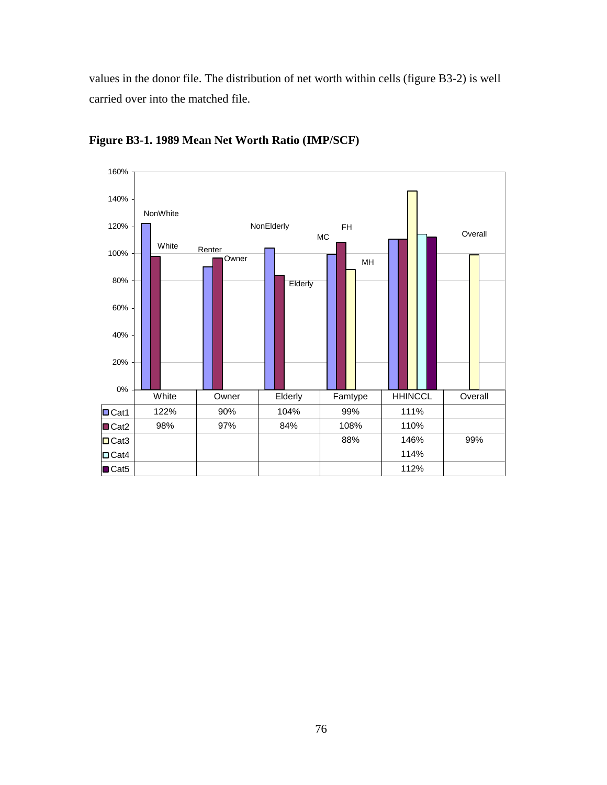values in the donor file. The distribution of net worth within cells (figure B3-2) is well carried over into the matched file.



**Figure B3-1. 1989 Mean Net Worth Ratio (IMP/SCF)**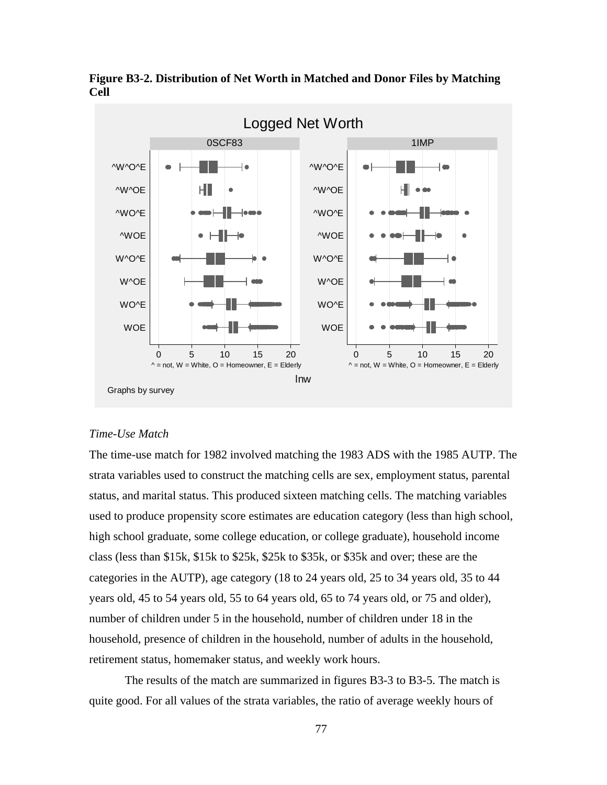

**Figure B3-2. Distribution of Net Worth in Matched and Donor Files by Matching Cell** 

#### *Time-Use Match*

The time-use match for 1982 involved matching the 1983 ADS with the 1985 AUTP. The strata variables used to construct the matching cells are sex, employment status, parental status, and marital status. This produced sixteen matching cells. The matching variables used to produce propensity score estimates are education category (less than high school, high school graduate, some college education, or college graduate), household income class (less than \$15k, \$15k to \$25k, \$25k to \$35k, or \$35k and over; these are the categories in the AUTP), age category (18 to 24 years old, 25 to 34 years old, 35 to 44 years old, 45 to 54 years old, 55 to 64 years old, 65 to 74 years old, or 75 and older), number of children under 5 in the household, number of children under 18 in the household, presence of children in the household, number of adults in the household, retirement status, homemaker status, and weekly work hours.

The results of the match are summarized in figures B3-3 to B3-5. The match is quite good. For all values of the strata variables, the ratio of average weekly hours of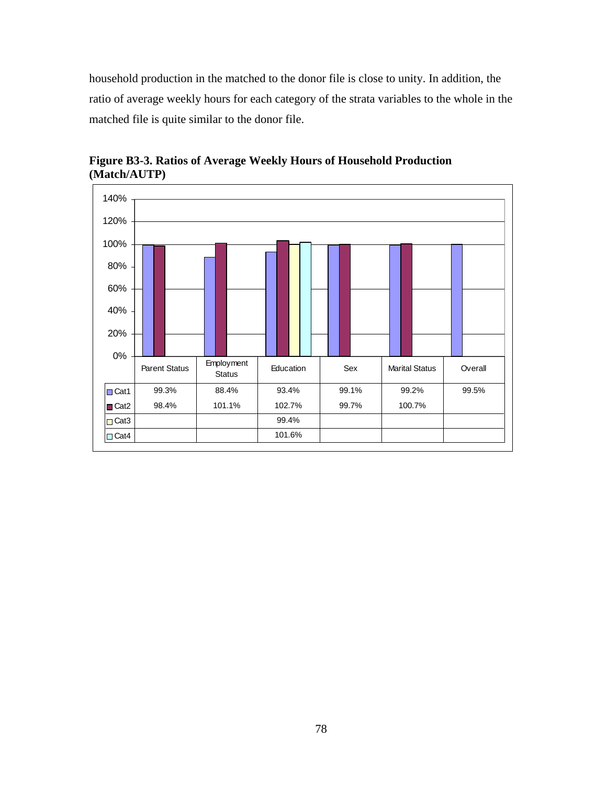household production in the matched to the donor file is close to unity. In addition, the ratio of average weekly hours for each category of the strata variables to the whole in the matched file is quite similar to the donor file.



**Figure B3-3. Ratios of Average Weekly Hours of Household Production (Match/AUTP)**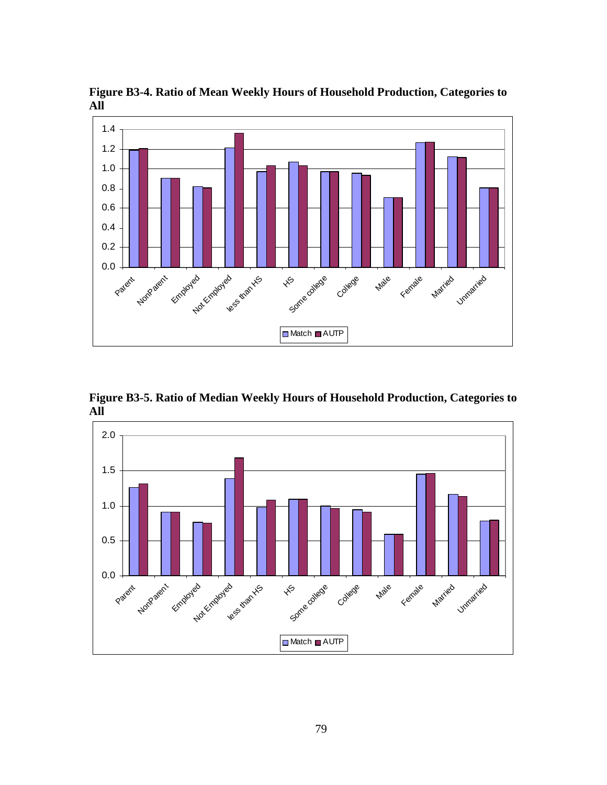**Figure B3-4. Ratio of Mean Weekly Hours of Household Production, Categories to All** 



**Figure B3-5. Ratio of Median Weekly Hours of Household Production, Categories to All** 

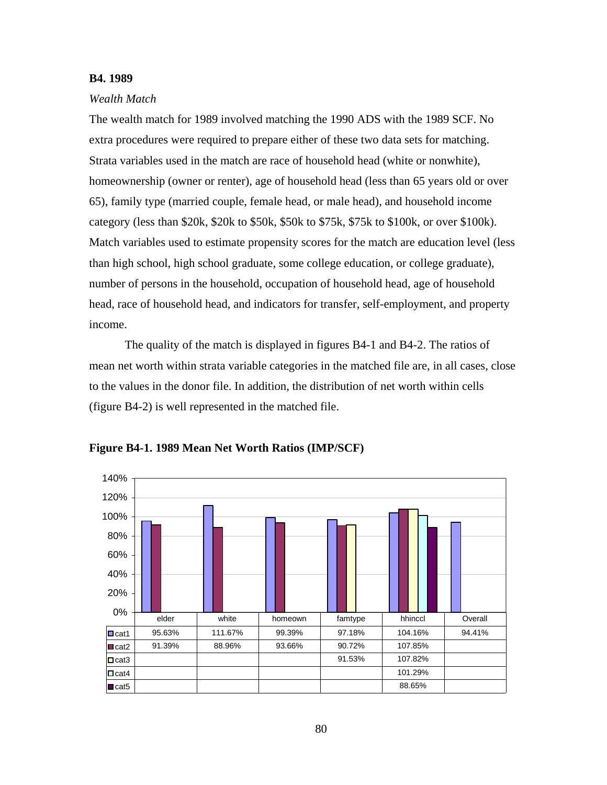#### **B4. 1989**

#### *Wealth Match*

The wealth match for 1989 involved matching the 1990 ADS with the 1989 SCF. No extra procedures were required to prepare either of these two data sets for matching. Strata variables used in the match are race of household head (white or nonwhite), homeownership (owner or renter), age of household head (less than 65 years old or over 65), family type (married couple, female head, or male head), and household income category (less than \$20k, \$20k to \$50k, \$50k to \$75k, \$75k to \$100k, or over \$100k). Match variables used to estimate propensity scores for the match are education level (less than high school, high school graduate, some college education, or college graduate), number of persons in the household, occupation of household head, age of household head, race of household head, and indicators for transfer, self-employment, and property income.

The quality of the match is displayed in figures B4-1 and B4-2. The ratios of mean net worth within strata variable categories in the matched file are, in all cases, close to the values in the donor file. In addition, the distribution of net worth within cells (figure B4-2) is well represented in the matched file.



**Figure B4-1. 1989 Mean Net Worth Ratios (IMP/SCF)**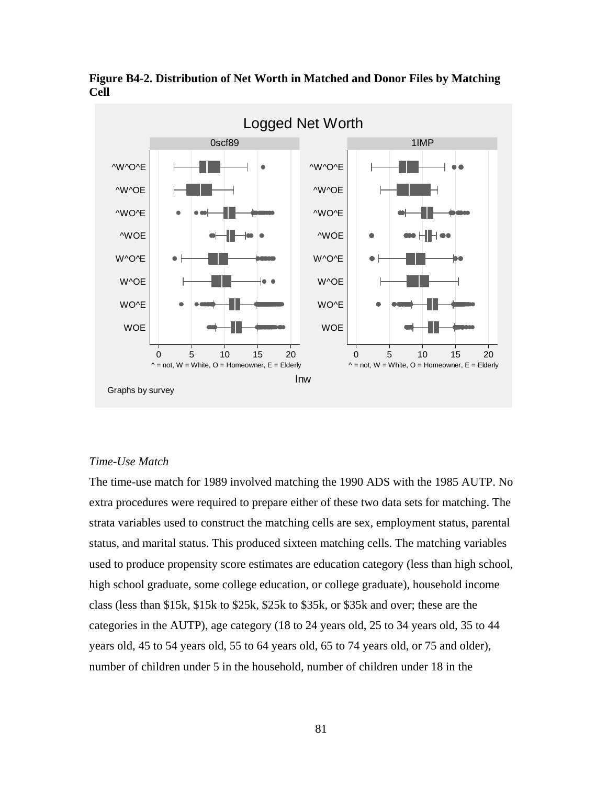

**Figure B4-2. Distribution of Net Worth in Matched and Donor Files by Matching Cell** 

#### *Time-Use Match*

The time-use match for 1989 involved matching the 1990 ADS with the 1985 AUTP. No extra procedures were required to prepare either of these two data sets for matching. The strata variables used to construct the matching cells are sex, employment status, parental status, and marital status. This produced sixteen matching cells. The matching variables used to produce propensity score estimates are education category (less than high school, high school graduate, some college education, or college graduate), household income class (less than \$15k, \$15k to \$25k, \$25k to \$35k, or \$35k and over; these are the categories in the AUTP), age category (18 to 24 years old, 25 to 34 years old, 35 to 44 years old, 45 to 54 years old, 55 to 64 years old, 65 to 74 years old, or 75 and older), number of children under 5 in the household, number of children under 18 in the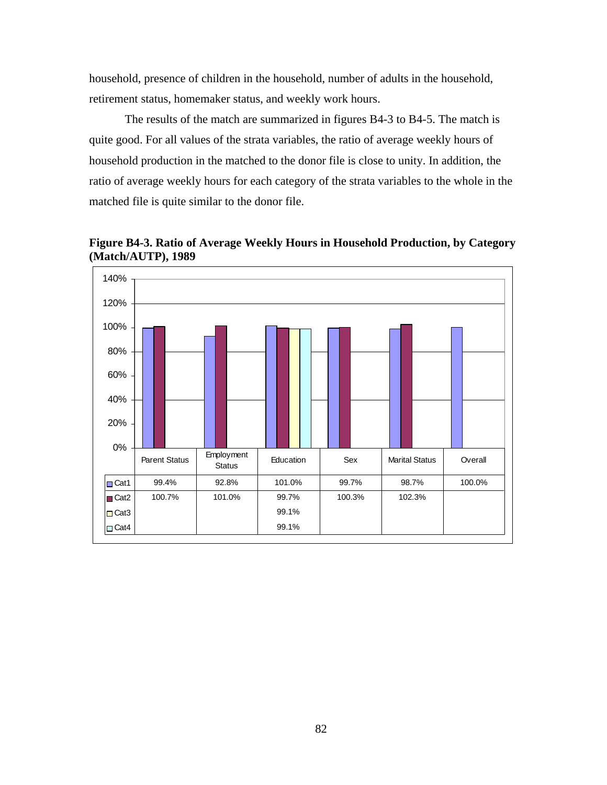household, presence of children in the household, number of adults in the household, retirement status, homemaker status, and weekly work hours.

The results of the match are summarized in figures B4-3 to B4-5. The match is quite good. For all values of the strata variables, the ratio of average weekly hours of household production in the matched to the donor file is close to unity. In addition, the ratio of average weekly hours for each category of the strata variables to the whole in the matched file is quite similar to the donor file.

**Figure B4-3. Ratio of Average Weekly Hours in Household Production, by Category (Match/AUTP), 1989** 

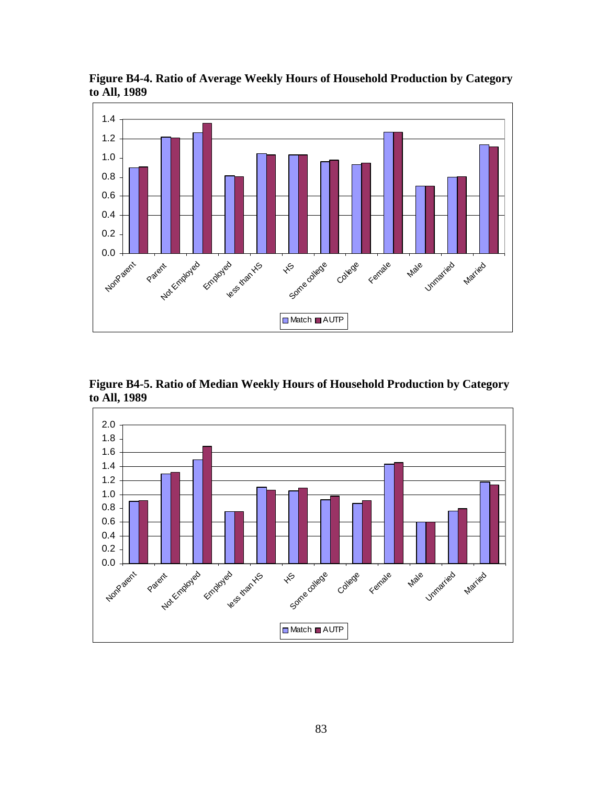

**Figure B4-4. Ratio of Average Weekly Hours of Household Production by Category to All, 1989** 

**Figure B4-5. Ratio of Median Weekly Hours of Household Production by Category to All, 1989** 

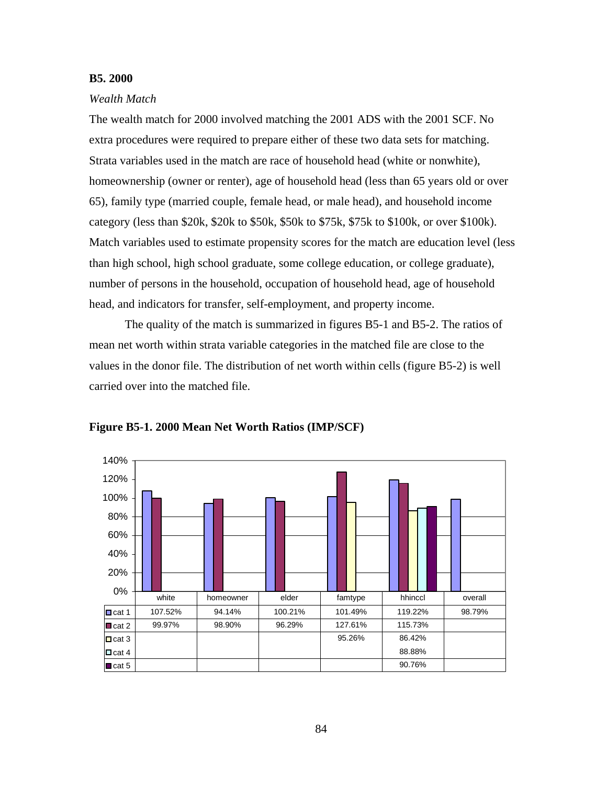## **B5. 2000**

#### *Wealth Match*

The wealth match for 2000 involved matching the 2001 ADS with the 2001 SCF. No extra procedures were required to prepare either of these two data sets for matching. Strata variables used in the match are race of household head (white or nonwhite), homeownership (owner or renter), age of household head (less than 65 years old or over 65), family type (married couple, female head, or male head), and household income category (less than \$20k, \$20k to \$50k, \$50k to \$75k, \$75k to \$100k, or over \$100k). Match variables used to estimate propensity scores for the match are education level (less than high school, high school graduate, some college education, or college graduate), number of persons in the household, occupation of household head, age of household head, and indicators for transfer, self-employment, and property income.

The quality of the match is summarized in figures B5-1 and B5-2. The ratios of mean net worth within strata variable categories in the matched file are close to the values in the donor file. The distribution of net worth within cells (figure B5-2) is well carried over into the matched file.



**Figure B5-1. 2000 Mean Net Worth Ratios (IMP/SCF)**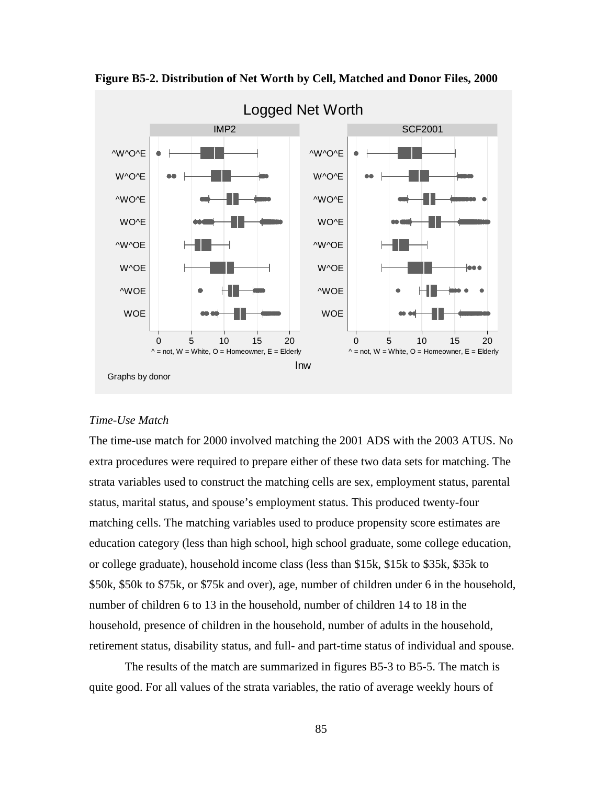

 **Figure B5-2. Distribution of Net Worth by Cell, Matched and Donor Files, 2000** 

## *Time-Use Match*

The time-use match for 2000 involved matching the 2001 ADS with the 2003 ATUS. No extra procedures were required to prepare either of these two data sets for matching. The strata variables used to construct the matching cells are sex, employment status, parental status, marital status, and spouse's employment status. This produced twenty-four matching cells. The matching variables used to produce propensity score estimates are education category (less than high school, high school graduate, some college education, or college graduate), household income class (less than \$15k, \$15k to \$35k, \$35k to \$50k, \$50k to \$75k, or \$75k and over), age, number of children under 6 in the household, number of children 6 to 13 in the household, number of children 14 to 18 in the household, presence of children in the household, number of adults in the household, retirement status, disability status, and full- and part-time status of individual and spouse.

The results of the match are summarized in figures B5-3 to B5-5. The match is quite good. For all values of the strata variables, the ratio of average weekly hours of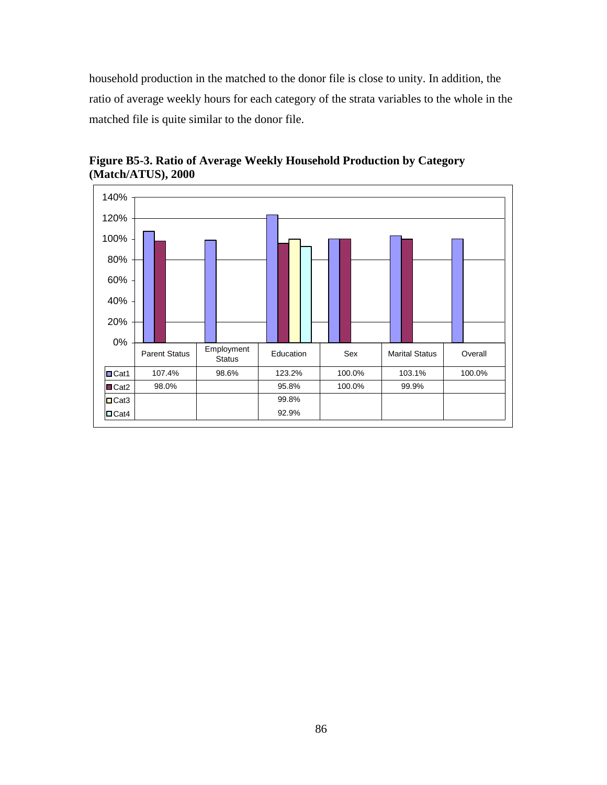household production in the matched to the donor file is close to unity. In addition, the ratio of average weekly hours for each category of the strata variables to the whole in the matched file is quite similar to the donor file.



**Figure B5-3. Ratio of Average Weekly Household Production by Category (Match/ATUS), 2000**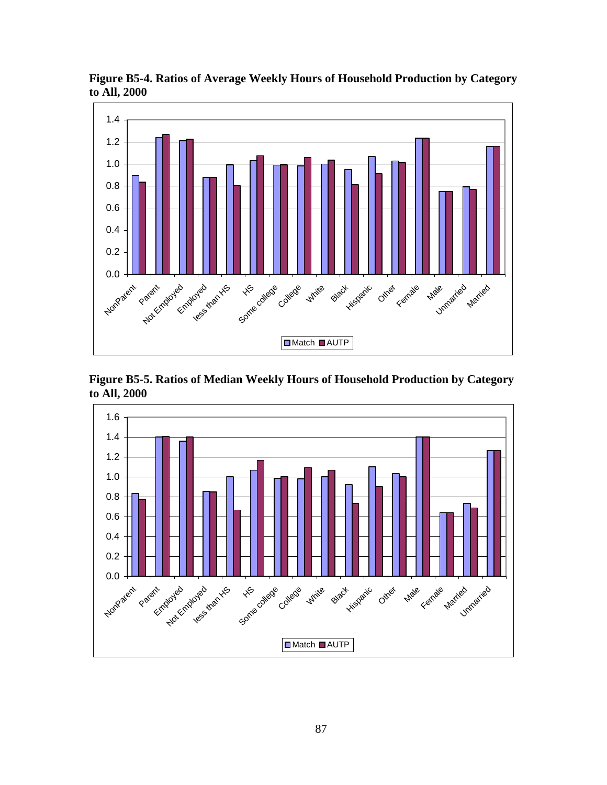

**Figure B5-4. Ratios of Average Weekly Hours of Household Production by Category to All, 2000** 

**Figure B5-5. Ratios of Median Weekly Hours of Household Production by Category to All, 2000** 

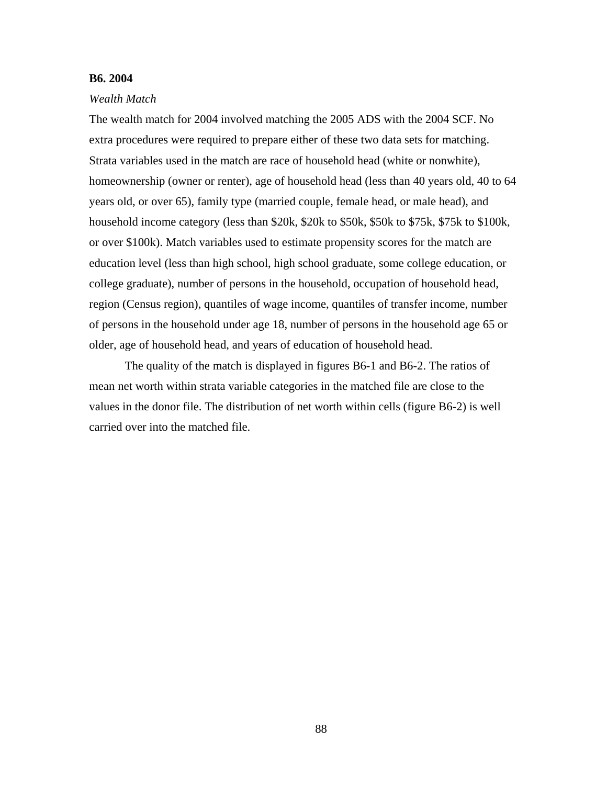#### **B6. 2004**

#### *Wealth Match*

The wealth match for 2004 involved matching the 2005 ADS with the 2004 SCF. No extra procedures were required to prepare either of these two data sets for matching. Strata variables used in the match are race of household head (white or nonwhite), homeownership (owner or renter), age of household head (less than 40 years old, 40 to 64 years old, or over 65), family type (married couple, female head, or male head), and household income category (less than \$20k, \$20k to \$50k, \$50k to \$75k, \$75k to \$100k, or over \$100k). Match variables used to estimate propensity scores for the match are education level (less than high school, high school graduate, some college education, or college graduate), number of persons in the household, occupation of household head, region (Census region), quantiles of wage income, quantiles of transfer income, number of persons in the household under age 18, number of persons in the household age 65 or older, age of household head, and years of education of household head.

The quality of the match is displayed in figures B6-1 and B6-2. The ratios of mean net worth within strata variable categories in the matched file are close to the values in the donor file. The distribution of net worth within cells (figure B6-2) is well carried over into the matched file.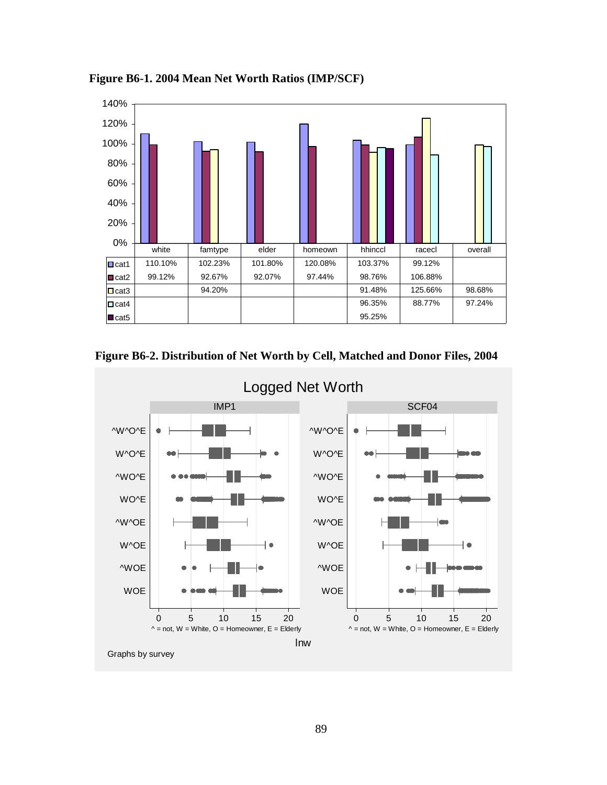

**Figure B6-1. 2004 Mean Net Worth Ratios (IMP/SCF)** 



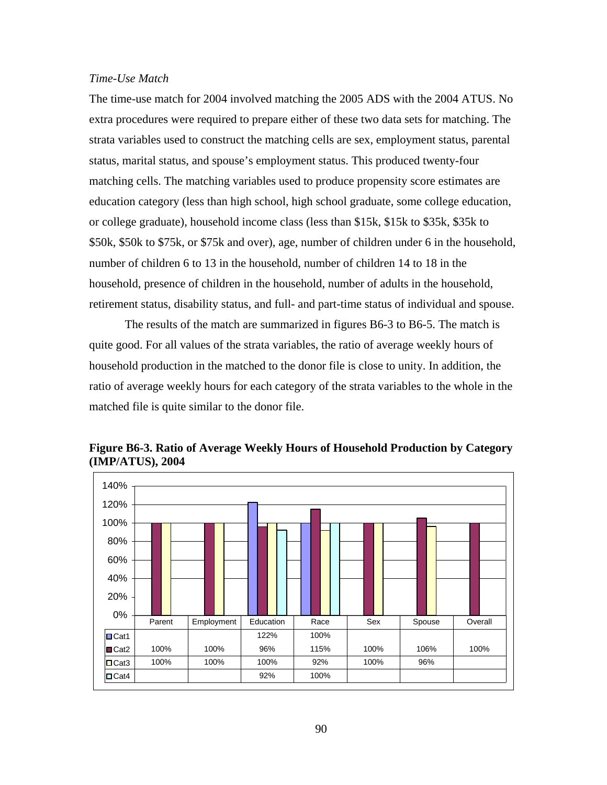## *Time-Use Match*

The time-use match for 2004 involved matching the 2005 ADS with the 2004 ATUS. No extra procedures were required to prepare either of these two data sets for matching. The strata variables used to construct the matching cells are sex, employment status, parental status, marital status, and spouse's employment status. This produced twenty-four matching cells. The matching variables used to produce propensity score estimates are education category (less than high school, high school graduate, some college education, or college graduate), household income class (less than \$15k, \$15k to \$35k, \$35k to \$50k, \$50k to \$75k, or \$75k and over), age, number of children under 6 in the household, number of children 6 to 13 in the household, number of children 14 to 18 in the household, presence of children in the household, number of adults in the household, retirement status, disability status, and full- and part-time status of individual and spouse.

The results of the match are summarized in figures B6-3 to B6-5. The match is quite good. For all values of the strata variables, the ratio of average weekly hours of household production in the matched to the donor file is close to unity. In addition, the ratio of average weekly hours for each category of the strata variables to the whole in the matched file is quite similar to the donor file.



**Figure B6-3. Ratio of Average Weekly Hours of Household Production by Category (IMP/ATUS), 2004**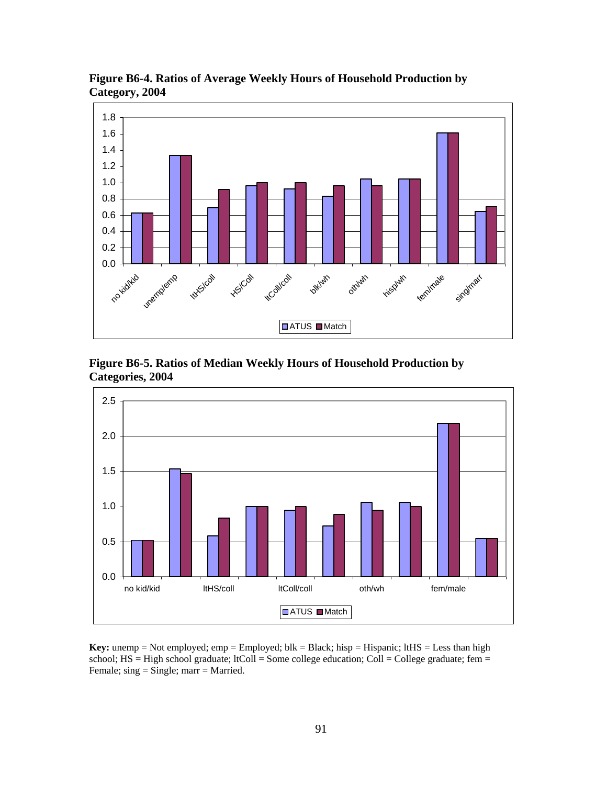

**Figure B6-4. Ratios of Average Weekly Hours of Household Production by Category, 2004** 





**Key:** unemp = Not employed; emp = Employed;  $blk = Black$ ; hisp = Hispanic;  $ltHS = Less$  than high school;  $HS = High school graduate$ ;  $ItColl = Some college education$ ;  $Coll = College graduate$ ;  $fem =$ Female; sing = Single; marr = Married.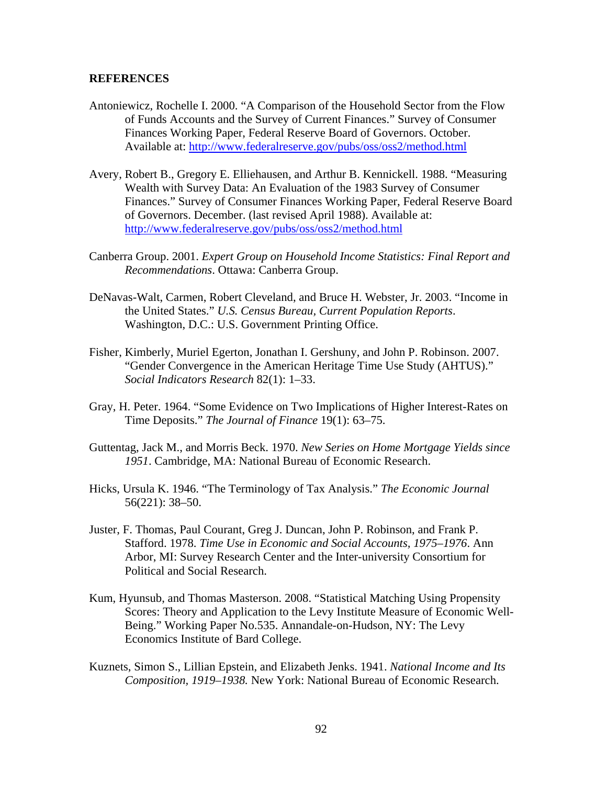#### **REFERENCES**

- Antoniewicz, Rochelle I. 2000. "A Comparison of the Household Sector from the Flow of Funds Accounts and the Survey of Current Finances." Survey of Consumer Finances Working Paper, Federal Reserve Board of Governors. October. Available at: http://www.federalreserve.gov/pubs/oss/oss2/method.html
- Avery, Robert B., Gregory E. Elliehausen, and Arthur B. Kennickell. 1988. "Measuring Wealth with Survey Data: An Evaluation of the 1983 Survey of Consumer Finances." Survey of Consumer Finances Working Paper, Federal Reserve Board of Governors. December. (last revised April 1988). Available at: http://www.federalreserve.gov/pubs/oss/oss2/method.html
- Canberra Group. 2001. *Expert Group on Household Income Statistics: Final Report and Recommendations*. Ottawa: Canberra Group.
- DeNavas-Walt, Carmen, Robert Cleveland, and Bruce H. Webster, Jr. 2003. "Income in the United States." *U.S. Census Bureau, Current Population Reports*. Washington, D.C.: U.S. Government Printing Office.
- Fisher, Kimberly, Muriel Egerton, Jonathan I. Gershuny, and John P. Robinson. 2007. "Gender Convergence in the American Heritage Time Use Study (AHTUS)." *Social Indicators Research* 82(1): 1–33.
- Gray, H. Peter. 1964. "Some Evidence on Two Implications of Higher Interest-Rates on Time Deposits." *The Journal of Finance* 19(1): 63–75.
- Guttentag, Jack M., and Morris Beck. 1970. *New Series on Home Mortgage Yields since 1951*. Cambridge, MA: National Bureau of Economic Research.
- Hicks, Ursula K. 1946. "The Terminology of Tax Analysis." *The Economic Journal* 56(221): 38–50.
- Juster, F. Thomas, Paul Courant, Greg J. Duncan, John P. Robinson, and Frank P. Stafford. 1978. *Time Use in Economic and Social Accounts, 1975–1976*. Ann Arbor, MI: Survey Research Center and the Inter-university Consortium for Political and Social Research.
- Kum, Hyunsub, and Thomas Masterson. 2008. "Statistical Matching Using Propensity Scores: Theory and Application to the Levy Institute Measure of Economic Well-Being." Working Paper No.535. Annandale-on-Hudson, NY: The Levy Economics Institute of Bard College.
- Kuznets, Simon S., Lillian Epstein, and Elizabeth Jenks. 1941. *National Income and Its Composition, 1919–1938.* New York: National Bureau of Economic Research.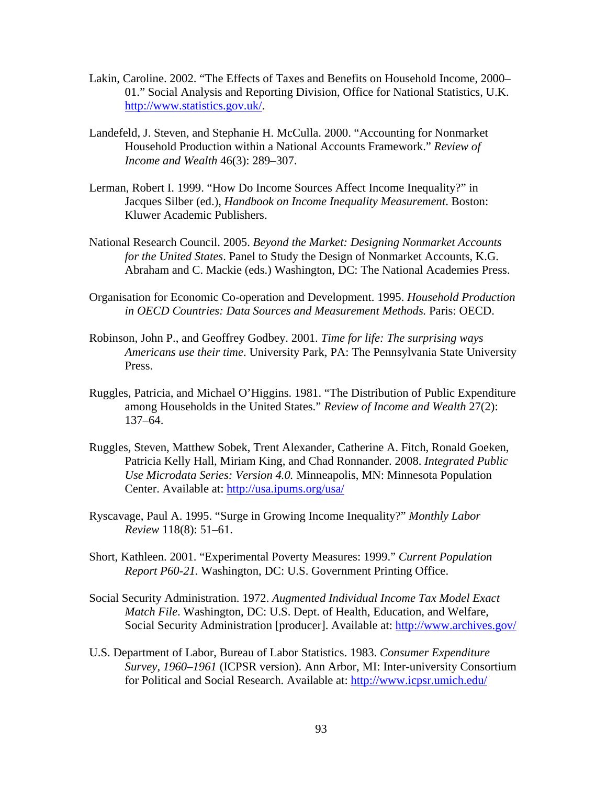- Lakin, Caroline. 2002. "The Effects of Taxes and Benefits on Household Income, 2000– 01." Social Analysis and Reporting Division, Office for National Statistics, U.K. http://www.statistics.gov.uk/.
- Landefeld, J. Steven, and Stephanie H. McCulla. 2000. "Accounting for Nonmarket Household Production within a National Accounts Framework." *Review of Income and Wealth* 46(3): 289–307.
- Lerman, Robert I. 1999. "How Do Income Sources Affect Income Inequality?" in Jacques Silber (ed.), *Handbook on Income Inequality Measurement*. Boston: Kluwer Academic Publishers.
- National Research Council. 2005. *Beyond the Market: Designing Nonmarket Accounts for the United States*. Panel to Study the Design of Nonmarket Accounts, K.G. Abraham and C. Mackie (eds.) Washington, DC: The National Academies Press.
- Organisation for Economic Co-operation and Development. 1995. *Household Production in OECD Countries: Data Sources and Measurement Methods.* Paris: OECD.
- Robinson, John P., and Geoffrey Godbey. 2001. *Time for life: The surprising ways Americans use their time*. University Park, PA: The Pennsylvania State University Press.
- Ruggles, Patricia, and Michael O'Higgins. 1981. "The Distribution of Public Expenditure among Households in the United States." *Review of Income and Wealth* 27(2): 137–64.
- Ruggles, Steven, Matthew Sobek, Trent Alexander, Catherine A. Fitch, Ronald Goeken, Patricia Kelly Hall, Miriam King, and Chad Ronnander. 2008. *Integrated Public Use Microdata Series: Version 4.0.* Minneapolis, MN: Minnesota Population Center. Available at: http://usa.ipums.org/usa/
- Ryscavage, Paul A. 1995. "Surge in Growing Income Inequality?" *Monthly Labor Review* 118(8): 51–61.
- Short, Kathleen. 2001. "Experimental Poverty Measures: 1999." *Current Population Report P60-21.* Washington, DC: U.S. Government Printing Office.
- Social Security Administration. 1972. *Augmented Individual Income Tax Model Exact Match File*. Washington, DC: U.S. Dept. of Health, Education, and Welfare, Social Security Administration [producer]. Available at: http://www.archives.gov/
- U.S. Department of Labor, Bureau of Labor Statistics. 1983. *Consumer Expenditure Survey, 1960–1961* (ICPSR version). Ann Arbor, MI: Inter-university Consortium for Political and Social Research. Available at: http://www.icpsr.umich.edu/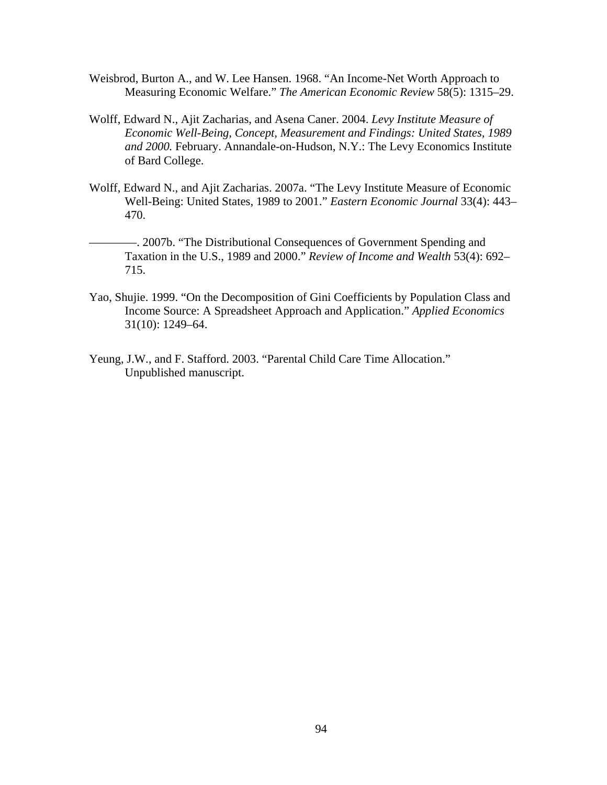- Weisbrod, Burton A., and W. Lee Hansen. 1968. "An Income-Net Worth Approach to Measuring Economic Welfare." *The American Economic Review* 58(5): 1315–29.
- Wolff, Edward N., Ajit Zacharias, and Asena Caner. 2004. *Levy Institute Measure of Economic Well-Being, Concept, Measurement and Findings: United States, 1989 and 2000.* February. Annandale-on-Hudson, N.Y.: The Levy Economics Institute of Bard College.
- Wolff, Edward N., and Ajit Zacharias. 2007a. "The Levy Institute Measure of Economic Well-Being: United States, 1989 to 2001." *Eastern Economic Journal* 33(4): 443– 470.
- ————. 2007b. "The Distributional Consequences of Government Spending and Taxation in the U.S., 1989 and 2000." *Review of Income and Wealth* 53(4): 692– 715.
- Yao, Shujie. 1999. "On the Decomposition of Gini Coefficients by Population Class and Income Source: A Spreadsheet Approach and Application." *Applied Economics* 31(10): 1249–64.
- Yeung, J.W., and F. Stafford. 2003. "Parental Child Care Time Allocation." Unpublished manuscript.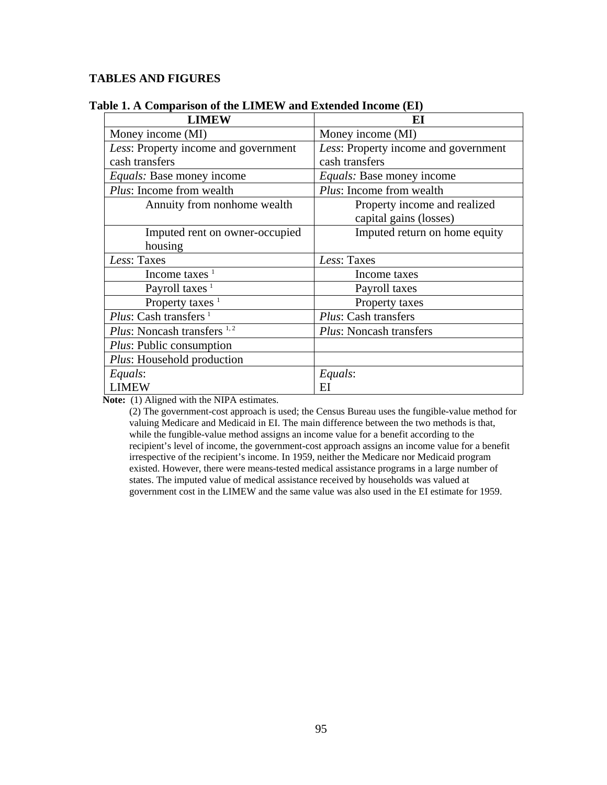## **TABLES AND FIGURES**

| <b>LIMEW</b>                          | EI                                   |
|---------------------------------------|--------------------------------------|
| Money income (MI)                     | Money income (MI)                    |
| Less: Property income and government  | Less: Property income and government |
| cash transfers                        | cash transfers                       |
| <i>Equals:</i> Base money income      | <i>Equals:</i> Base money income     |
| Plus: Income from wealth              | Plus: Income from wealth             |
| Annuity from nonhome wealth           | Property income and realized         |
|                                       | capital gains (losses)               |
| Imputed rent on owner-occupied        | Imputed return on home equity        |
| housing                               |                                      |
| Less: Taxes                           | Less: Taxes                          |
| Income taxes $1$                      | Income taxes                         |
| Payroll taxes $1$                     | Payroll taxes                        |
| Property taxes $1$                    | Property taxes                       |
| <i>Plus:</i> Cash transfers $^1$      | Plus: Cash transfers                 |
| <i>Plus</i> : Noncash transfers $1,2$ | <i>Plus:</i> Noncash transfers       |
| <i>Plus:</i> Public consumption       |                                      |
| Plus: Household production            |                                      |
| Equals:                               | Equals:                              |
| <b>LIMEW</b>                          | E1                                   |

## **Table 1. A Comparison of the LIMEW and Extended Income (EI)**

**Note:** (1) Aligned with the NIPA estimates.

(2) The government-cost approach is used; the Census Bureau uses the fungible-value method for valuing Medicare and Medicaid in EI. The main difference between the two methods is that, while the fungible-value method assigns an income value for a benefit according to the recipient's level of income, the government-cost approach assigns an income value for a benefit irrespective of the recipient's income. In 1959, neither the Medicare nor Medicaid program existed. However, there were means-tested medical assistance programs in a large number of states. The imputed value of medical assistance received by households was valued at government cost in the LIMEW and the same value was also used in the EI estimate for 1959.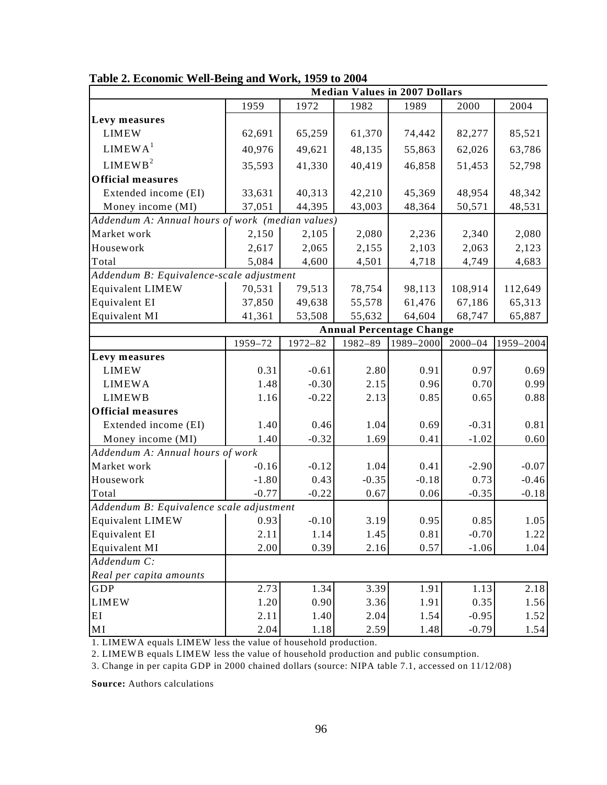|                                                  |         |         |         | <b>Median Values in 2007 Dollars</b> |             |           |
|--------------------------------------------------|---------|---------|---------|--------------------------------------|-------------|-----------|
|                                                  | 1959    | 1972    | 1982    | 1989                                 | 2000        | 2004      |
| Levy measures                                    |         |         |         |                                      |             |           |
| <b>LIMEW</b>                                     | 62,691  | 65,259  | 61,370  | 74,442                               | 82,277      | 85,521    |
| LIMEWA <sup>1</sup>                              | 40,976  | 49,621  | 48,135  | 55,863                               | 62,026      | 63,786    |
| LIMEWB <sup>2</sup>                              | 35,593  | 41,330  | 40,419  | 46,858                               | 51,453      | 52,798    |
| <b>Official measures</b>                         |         |         |         |                                      |             |           |
| Extended income (EI)                             | 33,631  | 40,313  | 42,210  | 45,369                               | 48,954      | 48,342    |
| Money income (MI)                                | 37,051  | 44,395  | 43,003  | 48,364                               | 50,571      | 48,531    |
| Addendum A: Annual hours of work (median values) |         |         |         |                                      |             |           |
| Market work                                      | 2,150   | 2,105   | 2,080   | 2,236                                | 2,340       | 2,080     |
| Housework                                        | 2,617   | 2,065   | 2,155   | 2,103                                | 2,063       | 2,123     |
| Total                                            | 5,084   | 4,600   | 4,501   | 4,718                                | 4,749       | 4,683     |
| Addendum B: Equivalence-scale adjustment         |         |         |         |                                      |             |           |
| <b>Equivalent LIMEW</b>                          | 70,531  | 79,513  | 78,754  | 98,113                               | 108,914     | 112,649   |
| Equivalent EI                                    | 37,850  | 49,638  | 55,578  | 61,476                               | 67,186      | 65,313    |
| Equivalent MI                                    | 41,361  | 53,508  | 55,632  | 64,604                               | 68,747      | 65,887    |
|                                                  |         |         |         | <b>Annual Percentage Change</b>      |             |           |
|                                                  | 1959-72 | 1972-82 | 1982-89 | 1989-2000                            | $2000 - 04$ | 1959-2004 |
| Levy measures                                    |         |         |         |                                      |             |           |
| <b>LIMEW</b>                                     | 0.31    | $-0.61$ | 2.80    | 0.91                                 | 0.97        | 0.69      |
| <b>LIMEWA</b>                                    | 1.48    | $-0.30$ | 2.15    | 0.96                                 | 0.70        | 0.99      |
| <b>LIMEWB</b>                                    | 1.16    | $-0.22$ | 2.13    | 0.85                                 | 0.65        | 0.88      |
| <b>Official measures</b>                         |         |         |         |                                      |             |           |
| Extended income (EI)                             | 1.40    | 0.46    | 1.04    | 0.69                                 | $-0.31$     | 0.81      |
| Money income (MI)                                | 1.40    | $-0.32$ | 1.69    | 0.41                                 | $-1.02$     | 0.60      |
| Addendum A: Annual hours of work                 |         |         |         |                                      |             |           |
| Market work                                      | $-0.16$ | $-0.12$ | 1.04    | 0.41                                 | $-2.90$     | $-0.07$   |
| Housework                                        | $-1.80$ | 0.43    | $-0.35$ | $-0.18$                              | 0.73        | $-0.46$   |
| Total                                            | $-0.77$ | $-0.22$ | 0.67    | 0.06                                 | $-0.35$     | $-0.18$   |
| Addendum B: Equivalence scale adjustment         |         |         |         |                                      |             |           |
| <b>Equivalent LIMEW</b>                          | 0.93    | $-0.10$ | 3.19    | 0.95                                 | 0.85        | 1.05      |
| Equivalent EI                                    | 2.11    | 1.14    | 1.45    | 0.81                                 | $-0.70$     | 1.22      |
| Equivalent MI                                    | 2.00    | 0.39    | 2.16    | 0.57                                 | $-1.06$     | 1.04      |
| Addendum C:                                      |         |         |         |                                      |             |           |
| Real per capita amounts                          |         |         |         |                                      |             |           |
| GDP                                              | 2.73    | 1.34    | 3.39    | 1.91                                 | 1.13        | 2.18      |
| <b>LIMEW</b>                                     | 1.20    | 0.90    | 3.36    | 1.91                                 | 0.35        | 1.56      |
| EI                                               | 2.11    | 1.40    | 2.04    | 1.54                                 | $-0.95$     | 1.52      |
| MI                                               | 2.04    | 1.18    | 2.59    | 1.48                                 | $-0.79$     | 1.54      |

**Table 2. Economic Well-Being and Work, 1959 to 2004** 

1. LIMEWA equals LIMEW less the value of household production.

2. LIMEWB equals LIMEW less the value of household production and public consumption.

3. Change in per capita GDP in 2000 chained dollars (source: NIPA table 7.1, accessed on 11/12/08)

**Source:** Authors calculations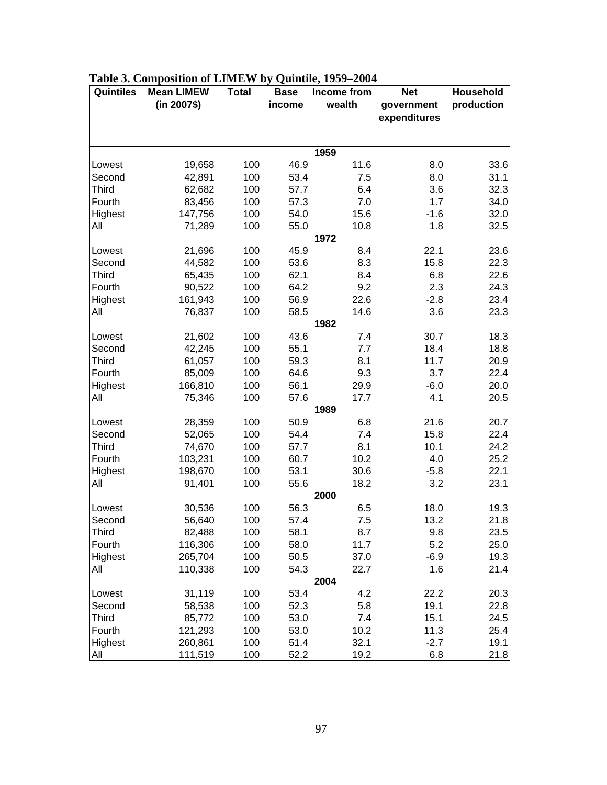| Quintiles    | <b>Mean LIMEW</b> | <b>Total</b> | <b>Base</b> | Income from<br><b>Net</b> |              | Household  |
|--------------|-------------------|--------------|-------------|---------------------------|--------------|------------|
|              | (in 2007\$)       |              | income      | wealth                    | government   | production |
|              |                   |              |             |                           | expenditures |            |
|              |                   |              |             |                           |              |            |
|              |                   |              |             | 1959                      |              |            |
| Lowest       | 19,658            | 100          | 46.9        | 11.6                      | 8.0          | 33.6       |
| Second       | 42,891            | 100          | 53.4        | 7.5                       | 8.0          | 31.1       |
| <b>Third</b> | 62,682            | 100          | 57.7        | 6.4                       | 3.6          | 32.3       |
| Fourth       | 83,456            | 100          | 57.3        | 7.0                       | 1.7          | 34.0       |
| Highest      | 147,756           | 100          | 54.0        | 15.6                      | $-1.6$       | 32.0       |
| All          | 71,289            | 100          | 55.0        | 10.8                      | 1.8          | 32.5       |
|              |                   |              |             | 1972                      |              |            |
| Lowest       | 21,696            | 100          | 45.9        | 8.4                       | 22.1         | 23.6       |
| Second       | 44,582            | 100          | 53.6        | 8.3                       | 15.8         | 22.3       |
| <b>Third</b> | 65,435            | 100          | 62.1        | 8.4                       | 6.8          | 22.6       |
| Fourth       | 90,522            | 100          | 64.2        | 9.2                       | 2.3          | 24.3       |
| Highest      | 161,943           | 100          | 56.9        | 22.6                      | $-2.8$       | 23.4       |
| All          | 76,837            | 100          | 58.5        | 14.6                      | 3.6          | 23.3       |
|              |                   |              |             | 1982                      |              |            |
| Lowest       | 21,602            | 100          | 43.6        | 7.4                       | 30.7         | 18.3       |
| Second       | 42,245            | 100          | 55.1        | 7.7                       | 18.4         | 18.8       |
| <b>Third</b> | 61,057            | 100          | 59.3        | 8.1                       | 11.7         | 20.9       |
| Fourth       | 85,009            | 100          | 64.6        | 9.3                       | 3.7          | 22.4       |
| Highest      | 166,810           | 100          | 56.1        | 29.9                      | $-6.0$       | 20.0       |
| All          | 75,346            | 100          | 57.6        | 17.7                      | 4.1          | 20.5       |
|              |                   |              |             | 1989                      |              |            |
| Lowest       | 28,359            | 100          | 50.9        | 6.8                       | 21.6         | 20.7       |
| Second       | 52,065            | 100          | 54.4        | 7.4                       | 15.8         | 22.4       |
| <b>Third</b> | 74,670            | 100          | 57.7        | 8.1                       | 10.1         | 24.2       |
| Fourth       | 103,231           | 100          | 60.7        | 10.2                      | 4.0          | 25.2       |
| Highest      | 198,670           | 100          | 53.1        | 30.6                      | $-5.8$       | 22.1       |
| All          | 91,401            | 100          | 55.6        | 18.2                      | 3.2          | 23.1       |
|              |                   |              |             | 2000                      |              |            |
| Lowest       | 30,536            | 100          | 56.3        | 6.5                       | 18.0         | 19.3       |
| Second       | 56,640            | 100          | 57.4        | 7.5                       | 13.2         | 21.8       |
| <b>Third</b> | 82,488            | 100          | 58.1        | 8.7                       | 9.8          | 23.5       |
| Fourth       | 116,306           | 100          | 58.0        | 11.7                      | 5.2          | 25.0       |
| Highest      | 265,704           | 100          | 50.5        | 37.0                      | $-6.9$       | 19.3       |
| All          | 110,338           | 100          | 54.3        | 22.7                      | 1.6          | 21.4       |
|              |                   |              |             | 2004                      |              |            |
| Lowest       | 31,119            | 100          | 53.4        | 4.2                       | 22.2         | 20.3       |
| Second       | 58,538            | 100          | 52.3        | 5.8                       | 19.1         | 22.8       |
| <b>Third</b> | 85,772            | 100          | 53.0        | 7.4                       | 15.1         | 24.5       |
| Fourth       | 121,293           | 100          | 53.0        | 10.2                      | 11.3         | 25.4       |
| Highest      | 260,861           | 100          | 51.4        | 32.1                      | $-2.7$       | 19.1       |
| All          | 111,519           | 100          | 52.2        | 19.2                      | 6.8          | 21.8       |

# **Table 3. Composition of LIMEW by Quintile, 1959–2004**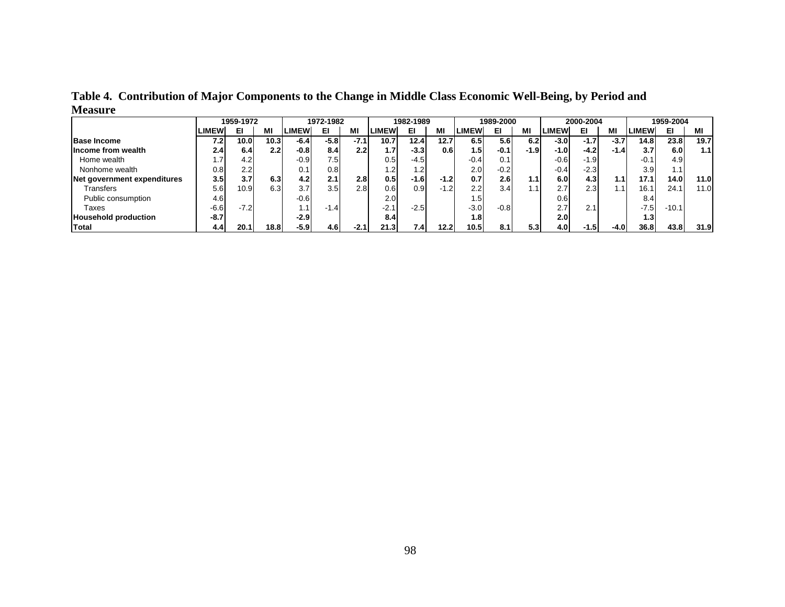|                             |                  | 1959-1972 |             |              | 1972-1982 |        |                  | 1982-1989 |        |              | 1989-2000 |                  |              | 2000-2004 |           |                   | 1959-2004        |      |
|-----------------------------|------------------|-----------|-------------|--------------|-----------|--------|------------------|-----------|--------|--------------|-----------|------------------|--------------|-----------|-----------|-------------------|------------------|------|
|                             | <b>LIMEW</b>     | ЕІ        | МI          | <b>LIMEW</b> | ЕІ        | ΜI     | <b>LIMEW</b>     | ЕІ        | МI     | <b>LIMEW</b> | EI        | ΜI               | <b>LIMEW</b> | EL        | МI        | <b>LIMEW</b>      | EI               | ΜI   |
| <b>Base Income</b>          | 7.2              | 10.0      | 10.3        | $-6.4$       | $-5.8$    | $-7.1$ | 10.7             | 12.4      | 12.7   | 6.5          | 5.6       | 6.2              | $-3.0$       | $-1.7$    | $-3.7$    | 14.8              | 23.8             | 19.7 |
| lIncome from wealth         | 2.4 <sub>1</sub> | 6.4       | 2.2         | $-0.8$       | 8.4       | 2.2    | 1.7              | $-3.3$    | 0.6    | 1.51         | $-0.1$    | -1.91            | -1.01        | $-4.2$    | $-1.4$    | 3.7               | 6.0              | 1.1  |
| Home wealth                 |                  | 4.2       |             | $-0.9$       | 7.5       |        | 0.5              | $-4.5$    |        | $-0.4$       | 0.1       |                  | $-0.6$       | $-1.9$    |           | $-0.1$            | 4.9 <sup>1</sup> |      |
| Nonhome wealth              | 0.8              | 2.2       |             | 0.1          | 0.8       |        | 1.2              | 1.2       |        | 2.0I         | $-0.2$    |                  | $-0.4$       | $-2.3$    |           | 3.9               | 1.1              |      |
| Net government expenditures | 3.5              | 3.7       | 6.3         | 4.2          | 2.1       | 2.8    | 0.5 <sub>l</sub> | -1.6      | $-1.2$ | 0.7          | 2.6       | 1.1 <sub>1</sub> | 6.0          | 4.3       | 1.1       | 17.1 <sub>1</sub> | 14.0I            | 11.0 |
| Transfers                   | 5.6              | 10.9      | 6.3         | 3.7          | 3.5       | 2.8    | 0.6              | 0.9       | $-1.2$ | 2.2          | 3.4       |                  | 2.7          | 2.3       | $\cdot$ 1 | 16.1              | 24.1             | 11.0 |
| Public consumption          | 4.6              |           |             | $-0.6$       |           |        | 2.0              |           |        | 1.5I         |           |                  | 0.6          |           |           | 8.4               |                  |      |
| Taxes                       | $-6.6$           | $-7.2$    |             | 1.1          | $-1.4$    |        | $-2.1$           | $-2.5$    |        | $-3.0$       | $-0.8$    |                  | 2.7          | 2.1       |           | $-7.5$            | $-10.1$          |      |
| <b>Household production</b> | $-8.7$           |           |             | $-2.9$       |           |        | 8.4              |           |        | 1.8I         |           |                  | 2.0          |           |           | 1.31              |                  |      |
| <b>Total</b>                | 4.4              | 20.1      | <b>18.8</b> | $-5.9$       | 4.6I      | $-2.1$ | 21.31            | 7.4       | 12.2   | 10.5         | 8.1       | 5.3              | 4.0          | $-1.5$    | $-4.0$    | 36.8              | 43.8             | 31.9 |

**Table 4. Contribution of Major Components to the Change in Middle Class Economic Well-Being, by Period and Measure**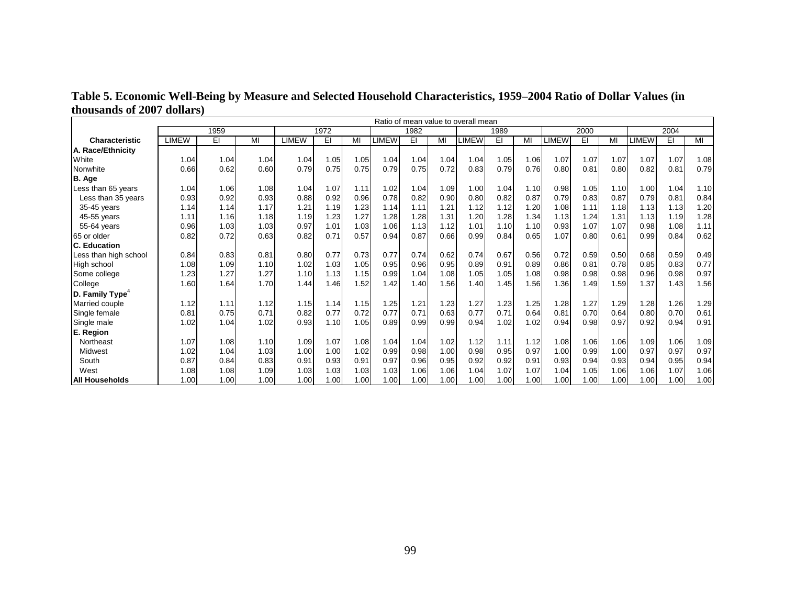|                             | Ratio of mean value to overall mean |      |      |              |      |      |       |      |      |       |      |      |       |      |      |              |      |      |
|-----------------------------|-------------------------------------|------|------|--------------|------|------|-------|------|------|-------|------|------|-------|------|------|--------------|------|------|
|                             |                                     | 1959 |      |              | 1972 |      |       | 1982 |      |       | 1989 |      | 2000  |      |      | 2004         |      |      |
| <b>Characteristic</b>       | <b>LIMEW</b>                        | EI   | MI   | <b>LIMEW</b> | EI   | MI   | LIMEW | EI   | MI   | LIMEW | EI   | MI   | LIMEW | EI   | MI   | <b>LIMEW</b> | EI   | MI   |
| A. Race/Ethnicity           |                                     |      |      |              |      |      |       |      |      |       |      |      |       |      |      |              |      |      |
| White                       | 1.04                                | 1.04 | 1.04 | 1.04         | 1.05 | 1.05 | 1.04  | 1.04 | 1.04 | 1.04  | 1.05 | 1.06 | 1.07  | 1.07 | 1.07 | 1.07         | 1.07 | 1.08 |
| Nonwhite                    | 0.66                                | 0.62 | 0.60 | 0.79         | 0.75 | 0.75 | 0.79  | 0.75 | 0.72 | 0.83  | 0.79 | 0.76 | 0.80  | 0.81 | 0.80 | 0.82         | 0.81 | 0.79 |
| B. Age                      |                                     |      |      |              |      |      |       |      |      |       |      |      |       |      |      |              |      |      |
| Less than 65 years          | 1.04                                | 1.06 | 1.08 | 1.04         | 1.07 | 1.11 | 1.02  | 1.04 | 1.09 | 1.00  | 1.04 | 1.10 | 0.98  | 1.05 | 1.10 | 1.00         | 1.04 | 1.10 |
| Less than 35 years          | 0.93                                | 0.92 | 0.93 | 0.88         | 0.92 | 0.96 | 0.78  | 0.82 | 0.90 | 0.80  | 0.82 | 0.87 | 0.79  | 0.83 | 0.87 | 0.79         | 0.81 | 0.84 |
| 35-45 years                 | 1.14                                | 1.14 | 1.17 | 1.21         | 1.19 | 1.23 | 1.14  | 1.11 | 1.21 | 1.12  | 1.12 | 1.20 | 1.08  | 1.11 | 1.18 | 1.13         | 1.13 | 1.20 |
| 45-55 years                 | 1.11                                | 1.16 | 1.18 | 1.19         | 1.23 | 1.27 | 1.28  | 1.28 | 1.31 | 1.20  | 1.28 | 1.34 | 1.13  | 1.24 | 1.31 | 1.13         | 1.19 | 1.28 |
| 55-64 years                 | 0.96                                | 1.03 | 1.03 | 0.97         | 1.01 | 1.03 | 1.06  | 1.13 | 1.12 | 1.01  | 1.10 | 1.10 | 0.93  | 1.07 | 1.07 | 0.98         | 1.08 | 1.11 |
| 65 or older                 | 0.82                                | 0.72 | 0.63 | 0.82         | 0.71 | 0.57 | 0.94  | 0.87 | 0.66 | 0.99  | 0.84 | 0.65 | 1.07  | 0.80 | 0.61 | 0.99         | 0.84 | 0.62 |
| <b>C. Education</b>         |                                     |      |      |              |      |      |       |      |      |       |      |      |       |      |      |              |      |      |
| Less than high school       | 0.84                                | 0.83 | 0.81 | 0.80         | 0.77 | 0.73 | 0.77  | 0.74 | 0.62 | 0.74  | 0.67 | 0.56 | 0.72  | 0.59 | 0.50 | 0.68         | 0.59 | 0.49 |
| High school                 | 1.08                                | 1.09 | 1.10 | 1.02         | 1.03 | 1.05 | 0.95  | 0.96 | 0.95 | 0.89  | 0.91 | 0.89 | 0.86  | 0.81 | 0.78 | 0.85         | 0.83 | 0.77 |
| Some college                | 1.23                                | 1.27 | 1.27 | 1.10         | 1.13 | 1.15 | 0.99  | 1.04 | 1.08 | 1.05  | 1.05 | 1.08 | 0.98  | 0.98 | 0.98 | 0.96         | 0.98 | 0.97 |
| College                     | 1.60                                | 1.64 | 1.70 | 1.44         | 1.46 | 1.52 | 1.42  | 1.40 | 1.56 | 1.40  | 1.45 | 1.56 | 1.36  | 1.49 | 1.59 | 1.37         | 1.43 | 1.56 |
| D. Family Type <sup>4</sup> |                                     |      |      |              |      |      |       |      |      |       |      |      |       |      |      |              |      |      |
| Married couple              | 1.12                                | 1.11 | 1.12 | 1.15         | 1.14 | 1.15 | 1.25  | 1.21 | 1.23 | 1.27  | 1.23 | 1.25 | 1.28  | 1.27 | 1.29 | 1.28         | 1.26 | 1.29 |
| Single female               | 0.81                                | 0.75 | 0.71 | 0.82         | 0.77 | 0.72 | 0.77  | 0.71 | 0.63 | 0.77  | 0.71 | 0.64 | 0.81  | 0.70 | 0.64 | 0.80         | 0.70 | 0.61 |
| Single male                 | 1.02                                | 1.04 | 1.02 | 0.93         | 1.10 | 1.05 | 0.89  | 0.99 | 0.99 | 0.94  | 1.02 | 1.02 | 0.94  | 0.98 | 0.97 | 0.92         | 0.94 | 0.91 |
| E. Region                   |                                     |      |      |              |      |      |       |      |      |       |      |      |       |      |      |              |      |      |
| Northeast                   | 1.07                                | 1.08 | 1.10 | 1.09         | 1.07 | 1.08 | 1.04  | 1.04 | 1.02 | 1.12  | 1.11 | 1.12 | 1.08  | 1.06 | 1.06 | 1.09         | 1.06 | 1.09 |
| Midwest                     | 1.02                                | 1.04 | 1.03 | 1.00         | 1.00 | 1.02 | 0.99  | 0.98 | 1.00 | 0.98  | 0.95 | 0.97 | 1.00  | 0.99 | 1.00 | 0.97         | 0.97 | 0.97 |
| South                       | 0.87                                | 0.84 | 0.83 | 0.91         | 0.93 | 0.91 | 0.97  | 0.96 | 0.95 | 0.92  | 0.92 | 0.91 | 0.93  | 0.94 | 0.93 | 0.94         | 0.95 | 0.94 |
| West                        | 1.08                                | 1.08 | 1.09 | 1.03         | 1.03 | 1.03 | 1.03  | 1.06 | 1.06 | 1.04  | 1.07 | 1.07 | 1.04  | 1.05 | 1.06 | 1.06         | 1.07 | 1.06 |
| All Households              | 1.00                                | 1.00 | 1.00 | 1.00         | 1.00 | 1.00 | 1.00  | 1.00 | 1.00 | 1.00  | 1.00 | 1.00 | 1.00  | 1.00 | 1.00 | 1.00         | 1.00 | 1.00 |

**Table 5. Economic Well-Being by Measure and Selected Household Characteristics, 1959–2004 Ratio of Dollar Values (in thousands of 2007 dollars)**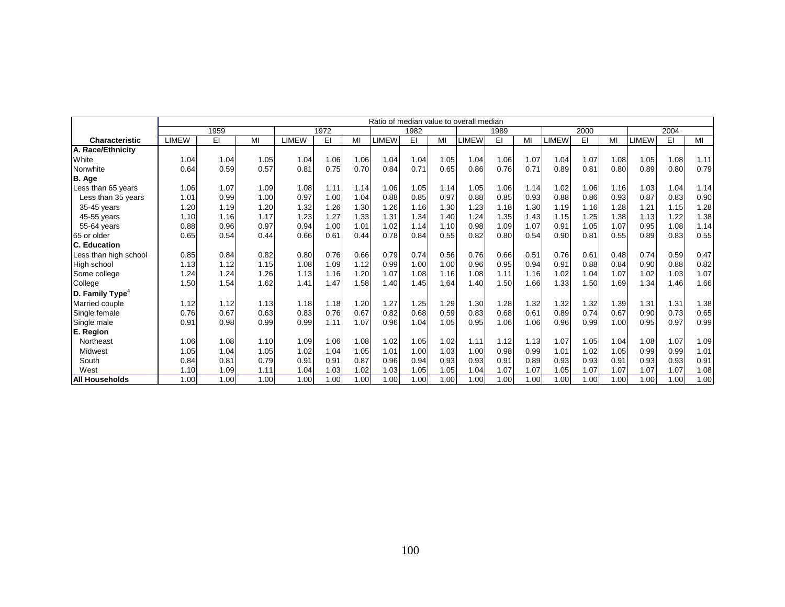|                               |              | Ratio of median value to overall median |      |       |      |      |              |      |      |       |      |      |              |      |      |       |      |      |
|-------------------------------|--------------|-----------------------------------------|------|-------|------|------|--------------|------|------|-------|------|------|--------------|------|------|-------|------|------|
|                               |              | 1959                                    |      |       | 1972 |      |              | 1982 |      |       | 1989 |      |              | 2000 |      |       | 2004 |      |
| <b>Characteristic</b>         | <b>LIMEW</b> | EI                                      | MI   | LIMEW | EI   | МΙ   | <b>LIMEW</b> | EI   | MI   | LIMEW | EI   | MI   | <b>LIMEW</b> | EI   | MI   | LIMEW | EI   | MI   |
| <b>A. Race/Ethnicitv</b>      |              |                                         |      |       |      |      |              |      |      |       |      |      |              |      |      |       |      |      |
| White                         | 1.04         | 1.04                                    | 1.05 | 1.04  | 1.06 | 1.06 | 1.04         | 1.04 | 1.05 | 1.04  | 1.06 | 1.07 | 1.04         | 1.07 | 1.08 | 1.05  | 1.08 | 1.11 |
| Nonwhite                      | 0.64         | 0.59                                    | 0.57 | 0.81  | 0.75 | 0.70 | 0.84         | 0.71 | 0.65 | 0.86  | 0.76 | 0.71 | 0.89         | 0.81 | 0.80 | 0.89  | 0.80 | 0.79 |
| B. Age                        |              |                                         |      |       |      |      |              |      |      |       |      |      |              |      |      |       |      |      |
| Less than 65 years            | 1.06         | 1.07                                    | 1.09 | 1.08  | 1.11 | 1.14 | 1.06         | 1.05 | 1.14 | 1.05  | 1.06 | 1.14 | 1.02         | 1.06 | 1.16 | 1.03  | 1.04 | 1.14 |
| Less than 35 years            | 1.01         | 0.99                                    | 1.00 | 0.97  | 1.00 | 1.04 | 0.88         | 0.85 | 0.97 | 0.88  | 0.85 | 0.93 | 0.88         | 0.86 | 0.93 | 0.87  | 0.83 | 0.90 |
| 35-45 years                   | 1.20         | 1.19                                    | 1.20 | 1.32  | 1.26 | 1.30 | 1.26         | 1.16 | 1.30 | 1.23  | 1.18 | 1.30 | 1.19         | 1.16 | 1.28 | 1.21  | 1.15 | 1.28 |
| 45-55 years                   | 1.10         | 1.16                                    | 1.17 | 1.23  | 1.27 | 1.33 | 1.31         | 1.34 | 1.40 | 1.24  | 1.35 | 1.43 | 1.15         | 1.25 | 1.38 | 1.13  | 1.22 | 1.38 |
| 55-64 years                   | 0.88         | 0.96                                    | 0.97 | 0.94  | 1.00 | 1.01 | 1.02         | 1.14 | 1.10 | 0.98  | 1.09 | 1.07 | 0.91         | 1.05 | 1.07 | 0.95  | 1.08 | 1.14 |
| 65 or older                   | 0.65         | 0.54                                    | 0.44 | 0.66  | 0.61 | 0.44 | 0.78         | 0.84 | 0.55 | 0.82  | 0.80 | 0.54 | 0.90         | 0.81 | 0.55 | 0.89  | 0.83 | 0.55 |
| C. Education                  |              |                                         |      |       |      |      |              |      |      |       |      |      |              |      |      |       |      |      |
| Less than high school         | 0.85         | 0.84                                    | 0.82 | 0.80  | 0.76 | 0.66 | 0.79         | 0.74 | 0.56 | 0.76  | 0.66 | 0.51 | 0.76         | 0.61 | 0.48 | 0.74  | 0.59 | 0.47 |
| High school                   | 1.13         | 1.12                                    | 1.15 | 1.08  | 1.09 | 1.12 | 0.99         | 1.00 | 1.00 | 0.96  | 0.95 | 0.94 | 0.91         | 0.88 | 0.84 | 0.90  | 0.88 | 0.82 |
| Some college                  | 1.24         | 1.24                                    | 1.26 | 1.13  | 1.16 | 1.20 | 1.07         | 1.08 | 1.16 | 1.08  | 1.11 | 1.16 | 1.02         | 1.04 | 1.07 | 1.02  | 1.03 | 1.07 |
| College                       | 1.50         | 1.54                                    | 1.62 | 1.41  | 1.47 | 1.58 | 1.40         | 1.45 | 1.64 | 1.40  | 1.50 | 1.66 | 1.33         | 1.50 | 1.69 | 1.34  | 1.46 | 1.66 |
| $D.$ Family Type <sup>4</sup> |              |                                         |      |       |      |      |              |      |      |       |      |      |              |      |      |       |      |      |
| Married couple                | 1.12         | 1.12                                    | 1.13 | 1.18  | 1.18 | 1.20 | 1.27         | 1.25 | 1.29 | 1.30  | 1.28 | 1.32 | 1.32         | 1.32 | 1.39 | 1.31  | 1.31 | 1.38 |
| Single female                 | 0.76         | 0.67                                    | 0.63 | 0.83  | 0.76 | 0.67 | 0.82         | 0.68 | 0.59 | 0.83  | 0.68 | 0.61 | 0.89         | 0.74 | 0.67 | 0.90  | 0.73 | 0.65 |
| Single male                   | 0.91         | 0.98                                    | 0.99 | 0.99  | 1.11 | 1.07 | 0.96         | 1.04 | 1.05 | 0.95  | 1.06 | 1.06 | 0.96         | 0.99 | 1.00 | 0.95  | 0.97 | 0.99 |
| E. Region                     |              |                                         |      |       |      |      |              |      |      |       |      |      |              |      |      |       |      |      |
| Northeast                     | 1.06         | 1.08                                    | 1.10 | 1.09  | 1.06 | 1.08 | 1.02         | 1.05 | 1.02 | 1.11  | 1.12 | 1.13 | 1.07         | 1.05 | 1.04 | 1.08  | 1.07 | 1.09 |
| Midwest                       | 1.05         | 1.04                                    | 1.05 | 1.02  | 1.04 | 1.05 | 1.01         | 1.00 | 1.03 | 1.00  | 0.98 | 0.99 | 1.01         | 1.02 | 1.05 | 0.99  | 0.99 | 1.01 |
| South                         | 0.84         | 0.81                                    | 0.79 | 0.91  | 0.91 | 0.87 | 0.96         | 0.94 | 0.93 | 0.93  | 0.91 | 0.89 | 0.93         | 0.93 | 0.91 | 0.93  | 0.93 | 0.91 |
| West                          | 1.10         | 1.09                                    | 1.11 | 1.04  | 1.03 | 1.02 | 1.03         | 1.05 | 1.05 | 1.04  | 1.07 | 1.07 | 1.05         | 1.07 | 1.07 | 1.07  | 1.07 | 1.08 |
| <b>All Households</b>         | 1.00         | 1.00                                    | 1.00 | 1.00  | 1.00 | 1.00 | 1.00         | 1.00 | 1.00 | 1.00  | 1.00 | 1.00 | 1.00         | 1.00 | 1.00 | 1.00  | 1.00 | 1.00 |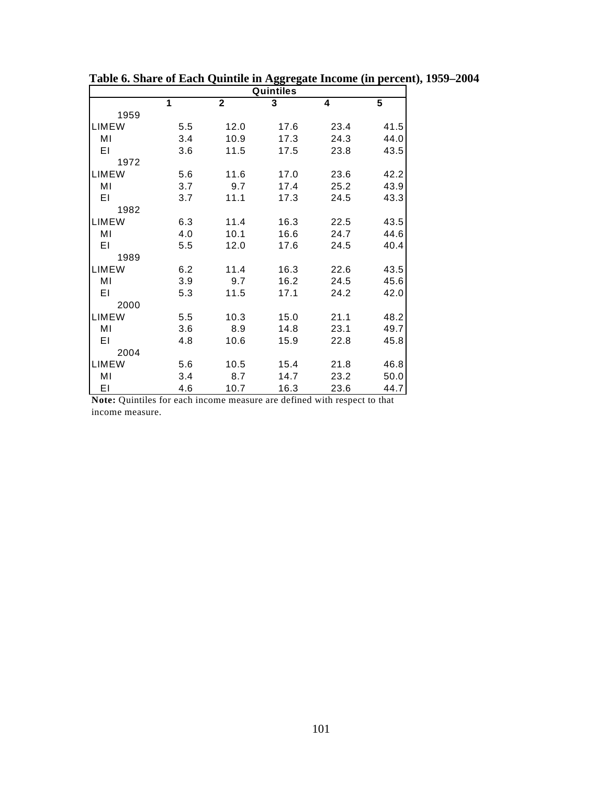|              |     |                         | Quintiles |      |      |
|--------------|-----|-------------------------|-----------|------|------|
|              | 1   | $\overline{\mathbf{2}}$ | 3         | 4    | 5    |
| 1959         |     |                         |           |      |      |
| <b>LIMEW</b> | 5.5 | 12.0                    | 17.6      | 23.4 | 41.5 |
| MI           | 3.4 | 10.9                    | 17.3      | 24.3 | 44.0 |
| ΕI           | 3.6 | 11.5                    | 17.5      | 23.8 | 43.5 |
| 1972         |     |                         |           |      |      |
| <b>LIMEW</b> | 5.6 | 11.6                    | 17.0      | 23.6 | 42.2 |
| MI           | 3.7 | 9.7                     | 17.4      | 25.2 | 43.9 |
| EI           | 3.7 | 11.1                    | 17.3      | 24.5 | 43.3 |
| 1982         |     |                         |           |      |      |
| <b>LIMEW</b> | 6.3 | 11.4                    | 16.3      | 22.5 | 43.5 |
| MI           | 4.0 | 10.1                    | 16.6      | 24.7 | 44.6 |
| ΕI           | 5.5 | 12.0                    | 17.6      | 24.5 | 40.4 |
| 1989         |     |                         |           |      |      |
| <b>LIMEW</b> | 6.2 | 11.4                    | 16.3      | 22.6 | 43.5 |
| MI           | 3.9 | 9.7                     | 16.2      | 24.5 | 45.6 |
| ΕI           | 5.3 | 11.5                    | 17.1      | 24.2 | 42.0 |
| 2000         |     |                         |           |      |      |
| <b>LIMEW</b> | 5.5 | 10.3                    | 15.0      | 21.1 | 48.2 |
| MI           | 3.6 | 8.9                     | 14.8      | 23.1 | 49.7 |
| EI           | 4.8 | 10.6                    | 15.9      | 22.8 | 45.8 |
| 2004         |     |                         |           |      |      |
| LIMEW        | 5.6 | 10.5                    | 15.4      | 21.8 | 46.8 |
| MI           | 3.4 | 8.7                     | 14.7      | 23.2 | 50.0 |
| EI           | 4.6 | 10.7                    | 16.3      | 23.6 | 44.7 |

**Table 6. Share of Each Quintile in Aggregate Income (in percent), 1959–2004** 

**Note:** Quintiles for each income measure are defined with respect to that income measure.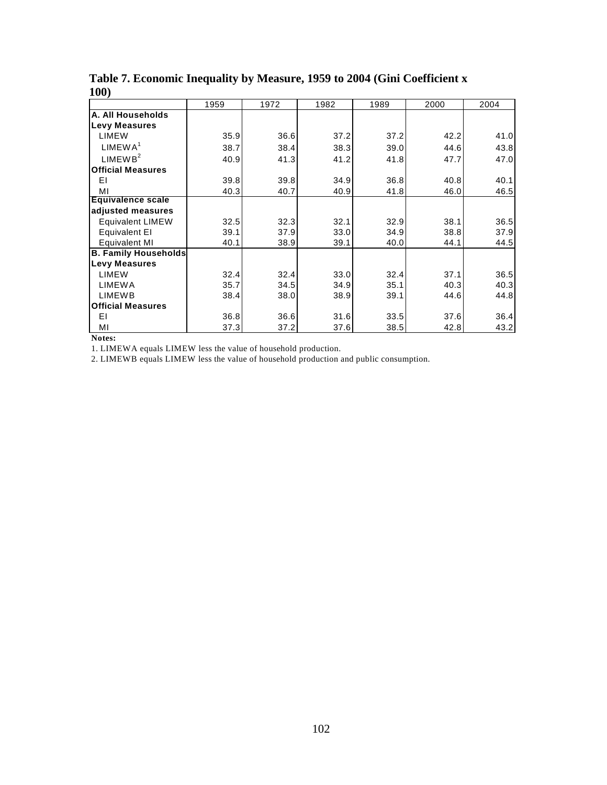|                             | 1959 | 1972 | 1982 | 1989 | 2000 | 2004 |
|-----------------------------|------|------|------|------|------|------|
| A. All Households           |      |      |      |      |      |      |
| <b>Levy Measures</b>        |      |      |      |      |      |      |
| <b>LIMEW</b>                | 35.9 | 36.6 | 37.2 | 37.2 | 42.2 | 41.0 |
| LIMEWA <sup>1</sup>         | 38.7 | 38.4 | 38.3 | 39.0 | 44.6 | 43.8 |
| LIMEWB <sup>2</sup>         | 40.9 | 41.3 | 41.2 | 41.8 | 47.7 | 47.0 |
| <b>Official Measures</b>    |      |      |      |      |      |      |
| ΕI                          | 39.8 | 39.8 | 34.9 | 36.8 | 40.8 | 40.1 |
| МI                          | 40.3 | 40.7 | 40.9 | 41.8 | 46.0 | 46.5 |
| <b>Equivalence scale</b>    |      |      |      |      |      |      |
| adjusted measures           |      |      |      |      |      |      |
| <b>Equivalent LIMEW</b>     | 32.5 | 32.3 | 32.1 | 32.9 | 38.1 | 36.5 |
| Equivalent El               | 39.1 | 37.9 | 33.0 | 34.9 | 38.8 | 37.9 |
| <b>Equivalent MI</b>        | 40.1 | 38.9 | 39.1 | 40.0 | 44.1 | 44.5 |
| <b>B. Family Households</b> |      |      |      |      |      |      |
| <b>Levy Measures</b>        |      |      |      |      |      |      |
| <b>LIMEW</b>                | 32.4 | 32.4 | 33.0 | 32.4 | 37.1 | 36.5 |
| <b>LIMEWA</b>               | 35.7 | 34.5 | 34.9 | 35.1 | 40.3 | 40.3 |
| <b>LIMEWB</b>               | 38.4 | 38.0 | 38.9 | 39.1 | 44.6 | 44.8 |
| <b>Official Measures</b>    |      |      |      |      |      |      |
| ΕI                          | 36.8 | 36.6 | 31.6 | 33.5 | 37.6 | 36.4 |
| MI                          | 37.3 | 37.2 | 37.6 | 38.5 | 42.8 | 43.2 |

**Table 7. Economic Inequality by Measure, 1959 to 2004 (Gini Coefficient x 100)**

**Notes:**

1. LIMEWA equals LIMEW less the value of household production.

2. LIMEWB equals LIMEW less the value of household production and public consumption.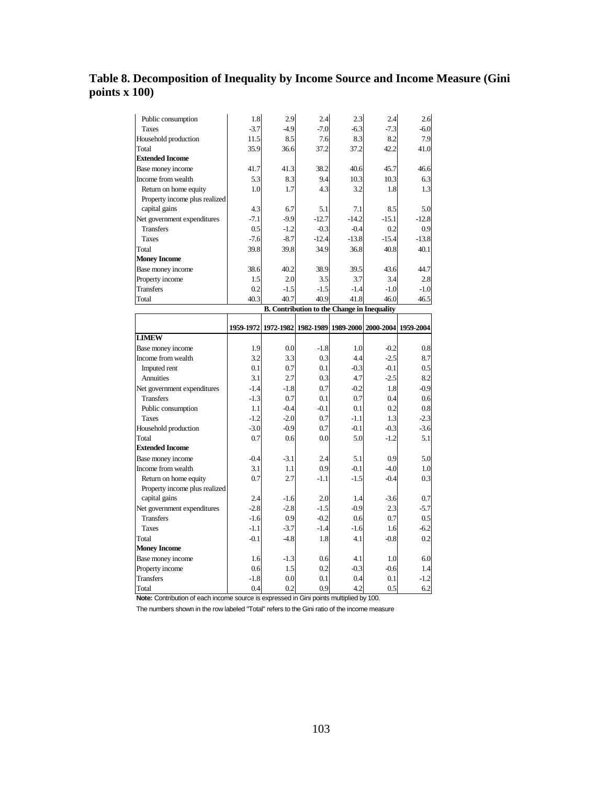# **Table 8. Decomposition of Inequality by Income Source and Income Measure (Gini points x 100)**

| Public consumption            | 1.8    | 2.9                 | 2.4                                                | 2.3     | 2.4                           | 2.6     |
|-------------------------------|--------|---------------------|----------------------------------------------------|---------|-------------------------------|---------|
| <b>Taxes</b>                  | $-3.7$ | $-4.9$              | $-7.0$                                             | $-6.3$  | $-7.3$                        | $-6.0$  |
| Household production          | 11.5   | 8.5                 | 7.6                                                | 8.3     | 8.2                           | 7.9     |
| Total                         | 35.9   | 36.6                | 37.2                                               | 37.2    | 42.2                          | 41.0    |
| <b>Extended Income</b>        |        |                     |                                                    |         |                               |         |
| Base money income             | 41.7   | 41.3                | 38.2                                               | 40.6    | 45.7                          | 46.6    |
| Income from wealth            | 5.3    | 8.3                 | 9.4                                                | 10.3    | 10.3                          | 6.3     |
| Return on home equity         | 1.0    | 1.7                 | 4.3                                                | 3.2     | 1.8                           | 1.3     |
| Property income plus realized |        |                     |                                                    |         |                               |         |
| capital gains                 | 4.3    | 6.7                 | 5.1                                                | 7.1     | 8.5                           | 5.0     |
| Net government expenditures   | $-7.1$ | $-9.9$              | $-12.7$                                            | $-14.2$ | $-15.1$                       | $-12.8$ |
| <b>Transfers</b>              | 0.5    | $-1.2$              | $-0.3$                                             | $-0.4$  | 0.2                           | 0.9     |
| <b>Taxes</b>                  | $-7.6$ | $-8.7$              | $-12.4$                                            | $-13.8$ | $-15.4$                       | $-13.8$ |
| Total                         | 39.8   | 39.8                | 34.9                                               | 36.8    | 40.8                          | 40.1    |
| <b>Money Income</b>           |        |                     |                                                    |         |                               |         |
| Base money income             | 38.6   | 40.2                | 38.9                                               | 39.5    | 43.6                          | 44.7    |
| Property income               | 1.5    | 2.0                 | 3.5                                                | 3.7     | 3.4                           | 2.8     |
| <b>Transfers</b>              | 0.2    | $-1.5$              | $-1.5$                                             | $-1.4$  | $-1.0$                        | $-1.0$  |
| Total                         | 40.3   | 40.7                | 40.9                                               | 41.8    | 46.0                          | 46.5    |
|                               |        |                     | <b>B.</b> Contribution to the Change in Inequality |         |                               |         |
|                               |        |                     |                                                    |         |                               |         |
|                               |        | 1959-1972 1972-1982 | 1982-1989                                          |         | 1989-2000 2000-2004 1959-2004 |         |
| <b>LIMEW</b>                  |        |                     |                                                    |         |                               |         |
| Base money income             | 1.9    | 0.0                 | $-1.8$                                             | 1.0     | $-0.2$                        | 0.8     |
| Income from wealth            | 3.2    | 3.3                 | 0.3                                                | 4.4     | $-2.5$                        | 8.7     |
| Imputed rent                  | 0.1    | 0.7                 | 0.1                                                | $-0.3$  | $-0.1$                        | 0.5     |
| Annuities                     | 3.1    | 2.7                 | 0.3                                                | 4.7     | $-2.5$                        | 8.2     |
| Net government expenditures   | $-1.4$ | $-1.8$              | 0.7                                                | $-0.2$  | 1.8                           | $-0.9$  |
| <b>Transfers</b>              |        |                     |                                                    |         |                               |         |
|                               | $-1.3$ | 0.7                 | 0.1                                                | 0.7     | 0.4                           | 0.6     |
| Public consumption            | 1.1    | $-0.4$              | $-0.1$                                             | 0.1     | 0.2                           | 0.8     |
| <b>Taxes</b>                  | $-1.2$ | $-2.0$              | 0.7                                                | $-1.1$  | 1.3                           | $-2.3$  |
| Household production          | $-3.0$ | $-0.9$              | 0.7                                                | $-0.1$  | $-0.3$                        | $-3.6$  |
| Total                         | 0.7    | 0.6                 | 0.0                                                | 5.0     | $-1.2$                        | 5.1     |
| <b>Extended Income</b>        |        |                     |                                                    |         |                               |         |
| Base money income             | $-0.4$ | $-3.1$              | 2.4                                                | 5.1     | 0.9                           | 5.0     |
| Income from wealth            | 3.1    | 1.1                 | 0.9                                                | $-0.1$  | $-4.0$                        | 1.0     |
| Return on home equity         | 0.7    | 2.7                 | $-1.1$                                             | $-1.5$  | $-0.4$                        | 0.3     |
| Property income plus realized |        |                     |                                                    |         |                               |         |
| capital gains                 | 2.4    | $-1.6$              | 2.0                                                | 1.4     | $-3.6$                        | 0.7     |
| Net government expenditures   | $-2.8$ | $-2.8$              | $-1.5$                                             | $-0.9$  | 2.3                           | $-5.7$  |
| <b>Transfers</b>              | $-1.6$ | 0.9                 | $-0.2$                                             | 0.6     | 0.7                           | 0.5     |
| <b>Taxes</b>                  | $-1.1$ | $-3.7$              | $-1.4$                                             | $-1.6$  | 1.6                           | $-6.2$  |
| Total                         | $-0.1$ | $-4.8$              | 1.8                                                | 4.1     | $-0.8$                        | 0.2     |
| <b>Money Income</b>           |        |                     |                                                    |         |                               |         |
| Base money income             | 1.6    | $-1.3$              | 0.6                                                | 4.1     | 1.0                           | 6.0     |
| Property income               | 0.6    | 1.5                 | 0.2                                                | $-0.3$  | $-0.6$                        | 1.4     |
| <b>Transfers</b>              | $-1.8$ | 0.0                 | 0.1                                                | 0.4     | 0.1                           | $-1.2$  |

**Note:** Contribution of each income source is expressed in Gini points multiplied by 100.

The numbers shown in the row labeled "Total" refers to the Gini ratio of the income measure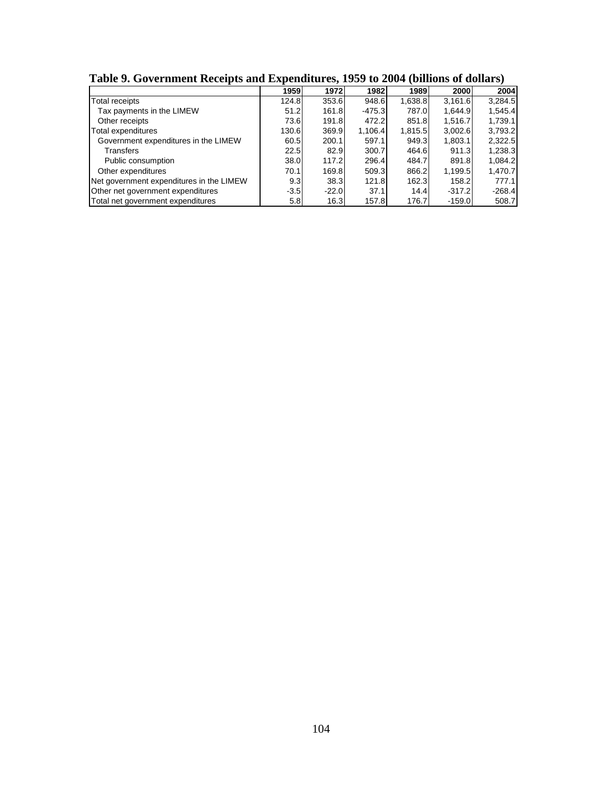|                                          | -<br>1959        | 1972    | 1982     | 1989    | 2000     | 2004     |
|------------------------------------------|------------------|---------|----------|---------|----------|----------|
| <b>Total receipts</b>                    | 124.8            | 353.6   | 948.6    | 1,638.8 | 3,161.6  | 3,284.5  |
| Tax payments in the LIMEW                | 51.2             | 161.8   | $-475.3$ | 787.0   | 1,644.9  | 1,545.4  |
| Other receipts                           | 73.6             | 191.8   | 472.2    | 851.8   | 1,516.7  | 1,739.1  |
| Total expenditures                       | 130.6            | 369.9   | 1,106.4  | 1,815.5 | 3,002.6  | 3,793.2  |
| Government expenditures in the LIMEW     | 60.5             | 200.1   | 597.1    | 949.3   | 1,803.1  | 2,322.5  |
| Transfers                                | 22.5             | 82.9    | 300.7    | 464.6   | 911.3    | 1,238.3  |
| Public consumption                       | 38.0             | 117.2   | 296.4    | 484.7   | 891.8    | 1,084.2  |
| Other expenditures                       | 70.1             | 169.8   | 509.3    | 866.2   | 1,199.5  | 1,470.7  |
| Net government expenditures in the LIMEW | 9.3              | 38.3    | 121.8    | 162.3   | 158.2    | 777.1    |
| Other net government expenditures        | $-3.5$           | $-22.0$ | 37.1     | 14.4    | $-317.2$ | $-268.4$ |
| Total net government expenditures        | 5.8 <sub>1</sub> | 16.3    | 157.8    | 176.7   | $-159.0$ | 508.7    |

**Table 9. Government Receipts and Expenditures, 1959 to 2004 (billions of dollars)**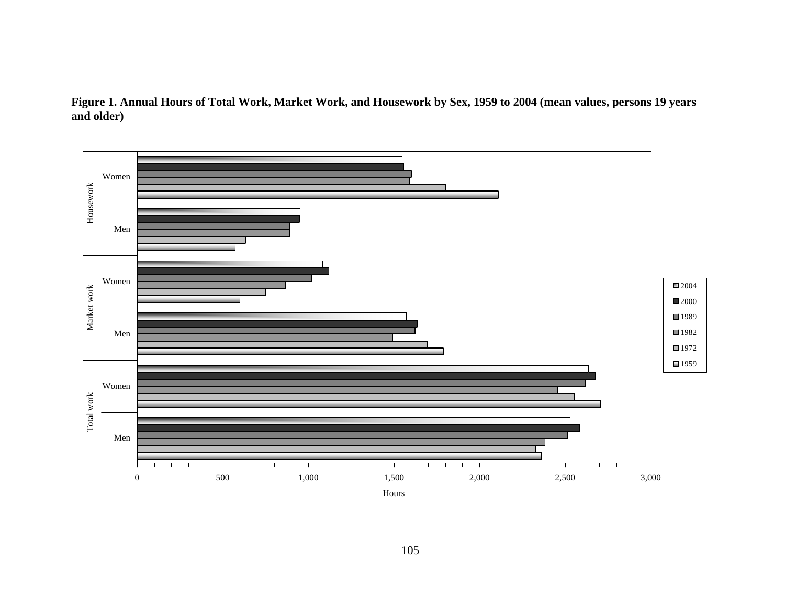

**Figure 1. Annual Hours of Total Work, Market Work, and Housework by Sex, 1959 to 2004 (mean values, persons 19 years and older)**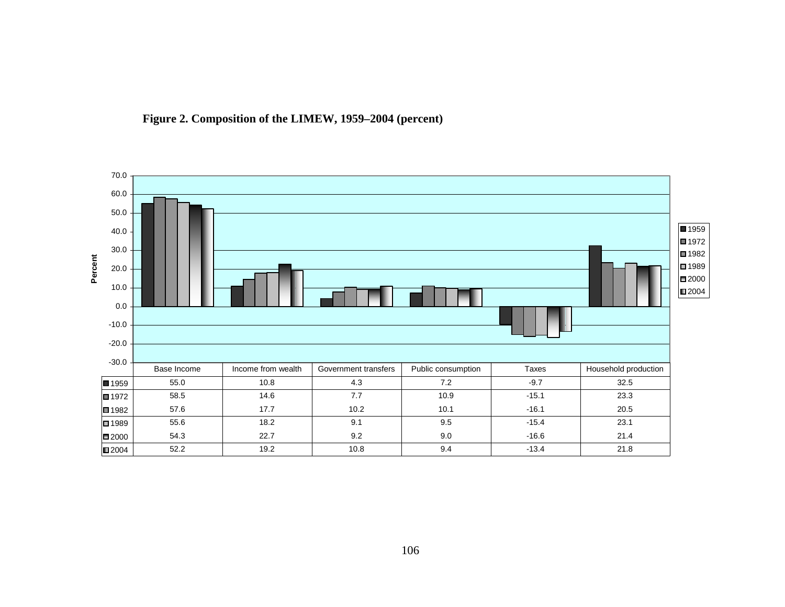

**Figure 2. Composition of the LIMEW, 1959–2004 (percent)**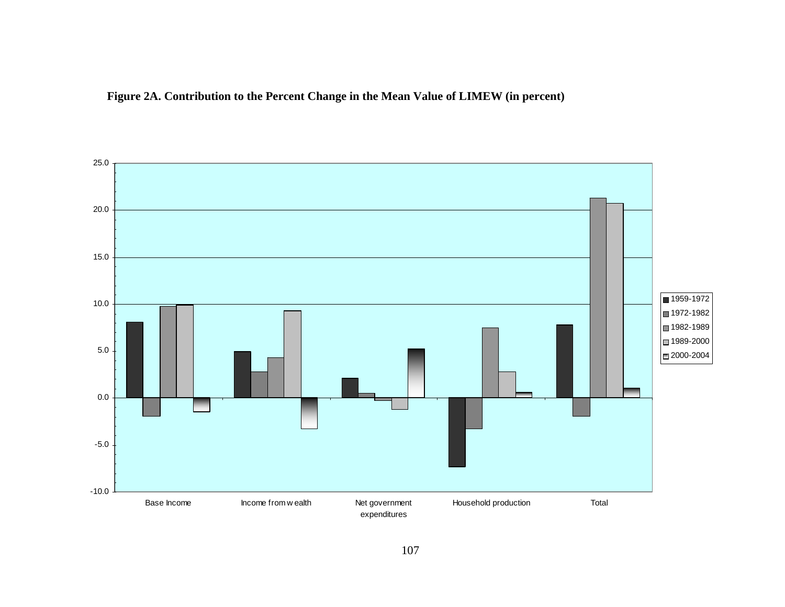

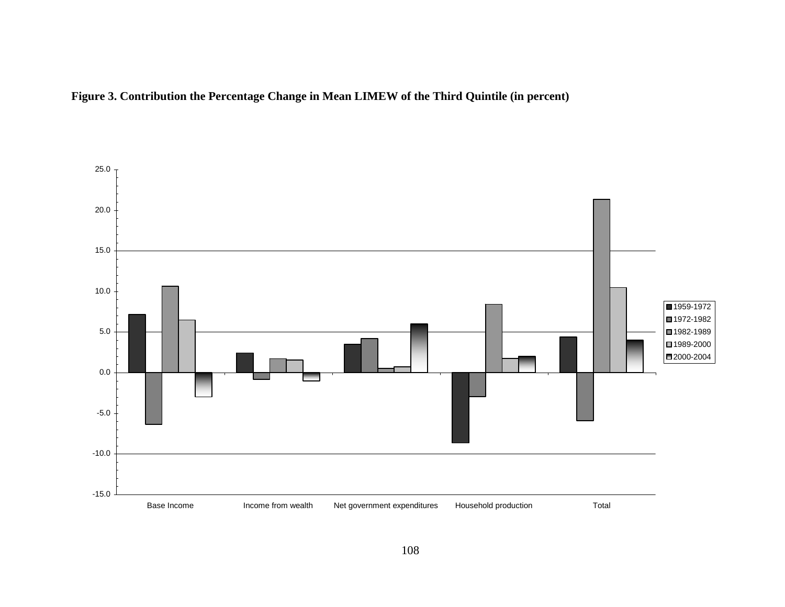

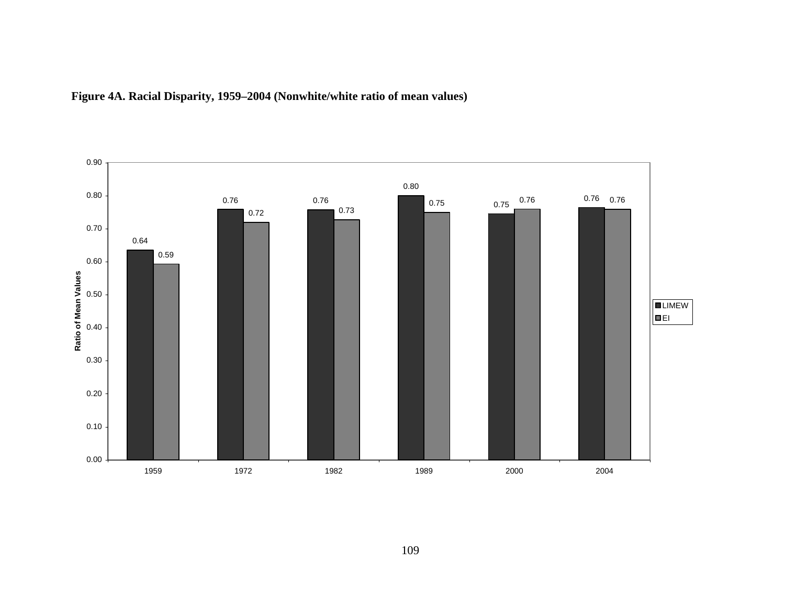

## **Figure 4A. Racial Disparity, 1959–2004 (Nonwhite/white ratio of mean values)**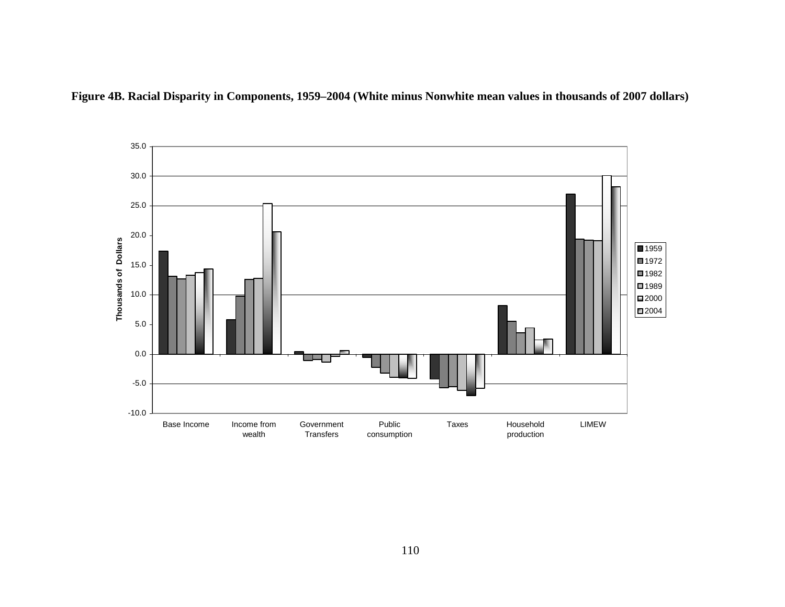

**Figure 4B. Racial Disparity in Components, 1959–2004 (White minus Nonwhite mean values in thousands of 2007 dollars)**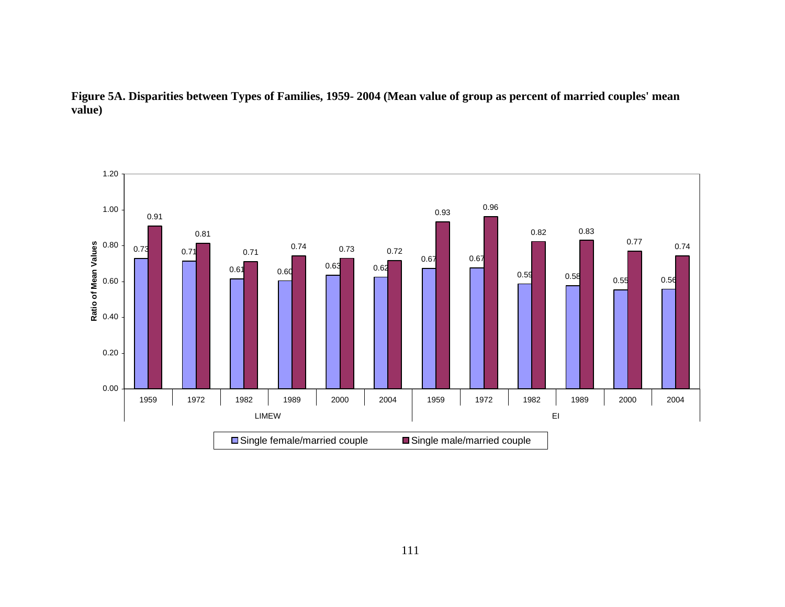

**Figure 5A. Disparities between Types of Families, 1959- 2004 (Mean value of group as percent of married couples' mean value)**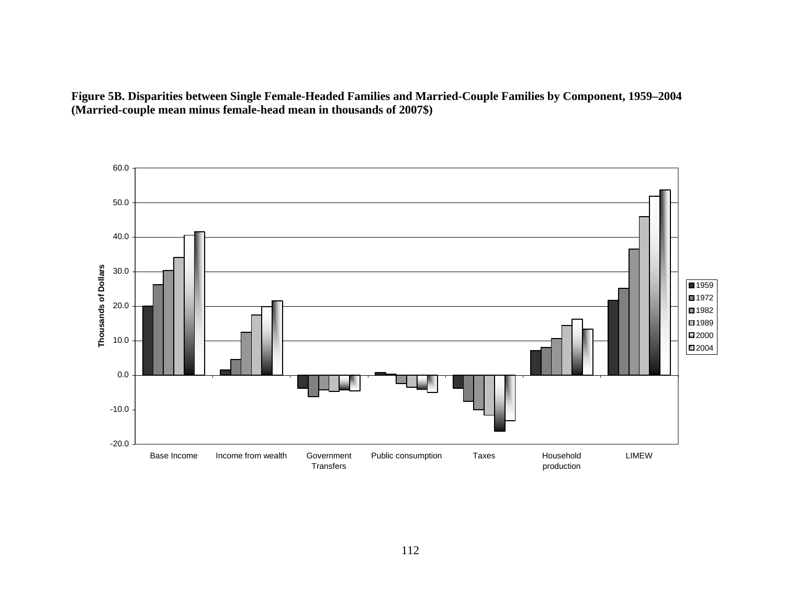**Figure 5B. Disparities between Single Female-Headed Families and Married-Couple Families by Component, 1959–2004 (Married-couple mean minus female-head mean in thousands of 2007\$)** 

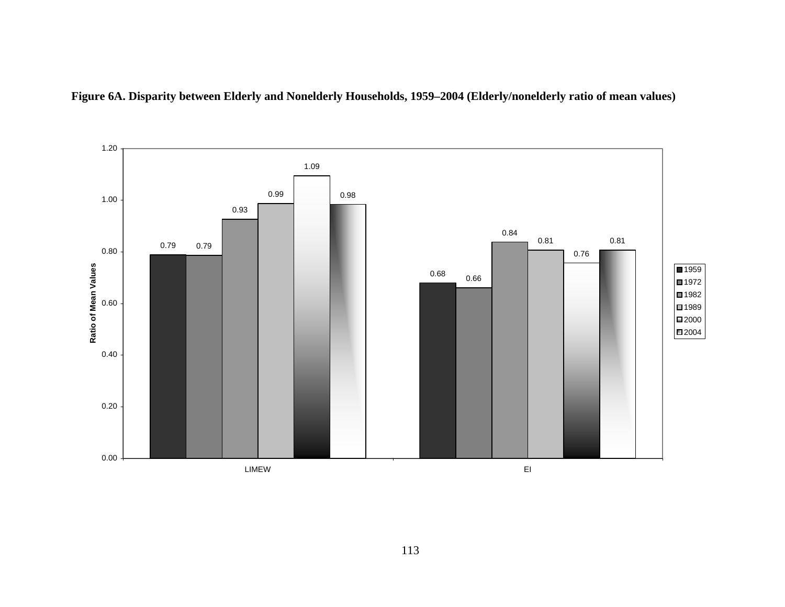

**Figure 6A. Disparity between Elderly and Nonelderly Households, 1959–2004 (Elderly/nonelderly ratio of mean values)**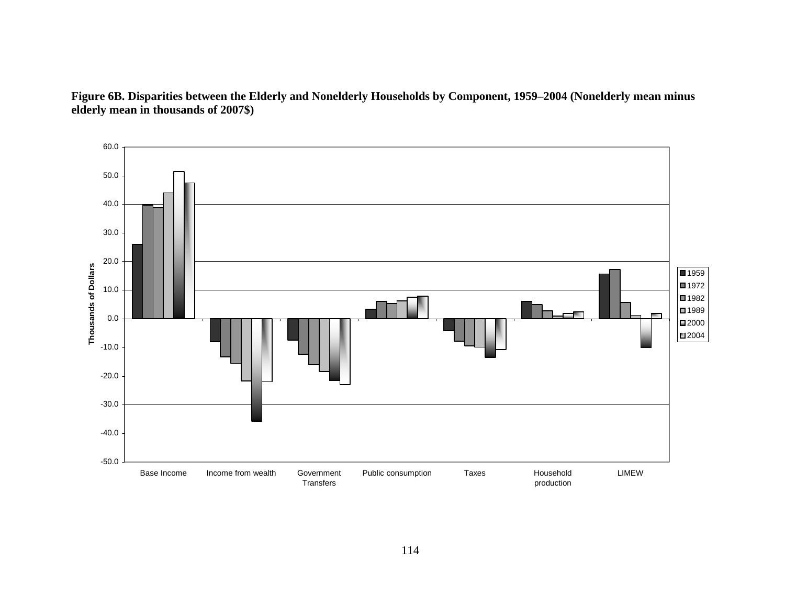

**Figure 6B. Disparities between the Elderly and Nonelderly Households by Component, 1959–2004 (Nonelderly mean minus elderly mean in thousands of 2007\$)**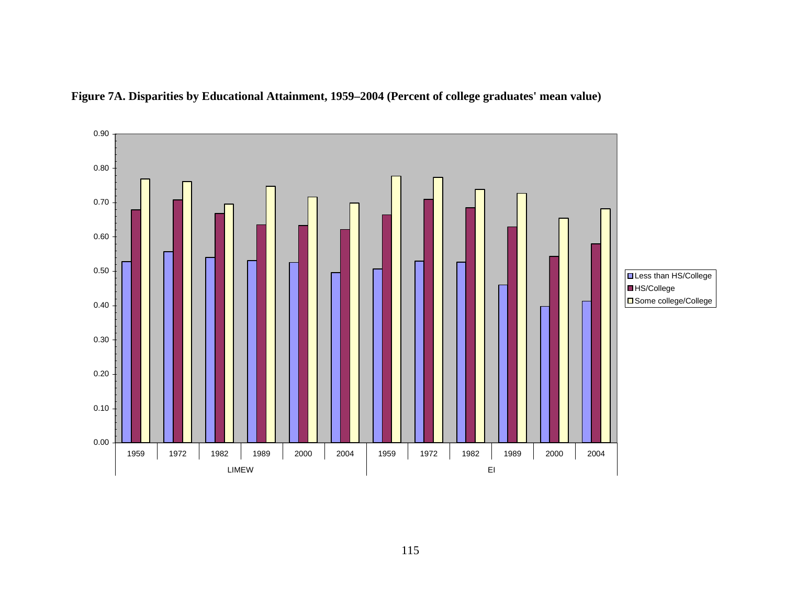

**Figure 7A. Disparities by Educational Attainment, 1959–2004 (Percent of college graduates' mean value)**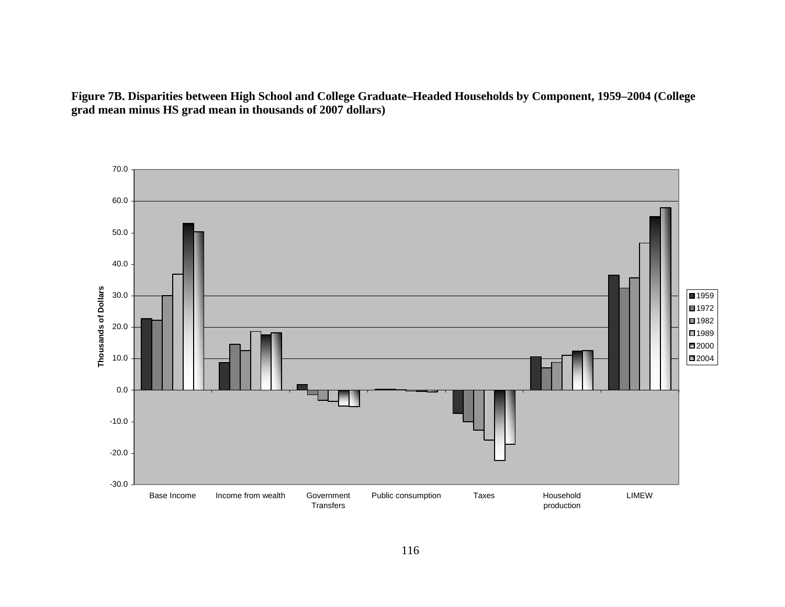**Figure 7B. Disparities between High School and College Graduate–Headed Households by Component, 1959–2004 (College grad mean minus HS grad mean in thousands of 2007 dollars)**